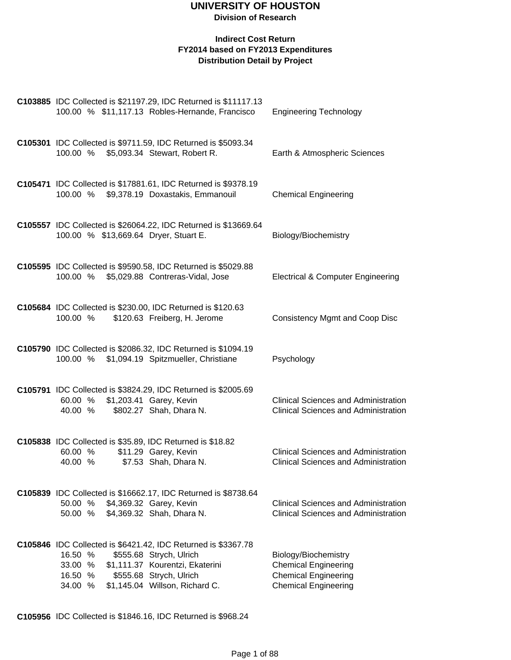#### **Indirect Cost Return FY2014 based on FY2013 Expenditures Distribution Detail by Project**

| C103885 IDC Collected is \$21197.29, IDC Returned is \$11117.13<br>100.00 % \$11,117.13 Robles-Hernande, Francisco                                                                                                                   | <b>Engineering Technology</b>                                                                                     |
|--------------------------------------------------------------------------------------------------------------------------------------------------------------------------------------------------------------------------------------|-------------------------------------------------------------------------------------------------------------------|
| C105301 IDC Collected is \$9711.59, IDC Returned is \$5093.34<br>\$5,093.34 Stewart, Robert R.<br>100.00 %                                                                                                                           | Earth & Atmospheric Sciences                                                                                      |
| C105471 IDC Collected is \$17881.61, IDC Returned is \$9378.19<br>100.00 %<br>\$9,378.19 Doxastakis, Emmanouil                                                                                                                       | <b>Chemical Engineering</b>                                                                                       |
| C105557 IDC Collected is \$26064.22, IDC Returned is \$13669.64<br>100.00 % \$13,669.64 Dryer, Stuart E.                                                                                                                             | Biology/Biochemistry                                                                                              |
| C105595 IDC Collected is \$9590.58, IDC Returned is \$5029.88<br>\$5,029.88 Contreras-Vidal, Jose<br>100.00 %                                                                                                                        | <b>Electrical &amp; Computer Engineering</b>                                                                      |
| C105684 IDC Collected is \$230.00, IDC Returned is \$120.63<br>\$120.63 Freiberg, H. Jerome<br>100.00 %                                                                                                                              | <b>Consistency Mgmt and Coop Disc</b>                                                                             |
| C105790 IDC Collected is \$2086.32, IDC Returned is \$1094.19<br>100.00 % \$1,094.19 Spitzmueller, Christiane                                                                                                                        | Psychology                                                                                                        |
| C105791 IDC Collected is \$3824.29, IDC Returned is \$2005.69<br>\$1,203.41 Garey, Kevin<br>60.00 %<br>\$802.27 Shah, Dhara N.<br>40.00 %                                                                                            | <b>Clinical Sciences and Administration</b><br><b>Clinical Sciences and Administration</b>                        |
| C105838 IDC Collected is \$35.89, IDC Returned is \$18.82<br>\$11.29 Garey, Kevin<br>60.00 %<br>40.00 %<br>\$7.53 Shah, Dhara N.                                                                                                     | <b>Clinical Sciences and Administration</b><br><b>Clinical Sciences and Administration</b>                        |
| C105839 IDC Collected is \$16662.17, IDC Returned is \$8738.64<br>50.00 % \$4,369.32 Garey, Kevin<br>\$4,369.32 Shah, Dhara N.<br>50.00 %                                                                                            | <b>Clinical Sciences and Administration</b><br><b>Clinical Sciences and Administration</b>                        |
| C105846 IDC Collected is \$6421.42, IDC Returned is \$3367.78<br>16.50 %<br>\$555.68 Strych, Ulrich<br>\$1,111.37 Kourentzi, Ekaterini<br>33.00 %<br>\$555.68 Strych, Ulrich<br>16.50 %<br>\$1,145.04 Willson, Richard C.<br>34.00 % | Biology/Biochemistry<br><b>Chemical Engineering</b><br><b>Chemical Engineering</b><br><b>Chemical Engineering</b> |

**C105956** IDC Collected is \$1846.16, IDC Returned is \$968.24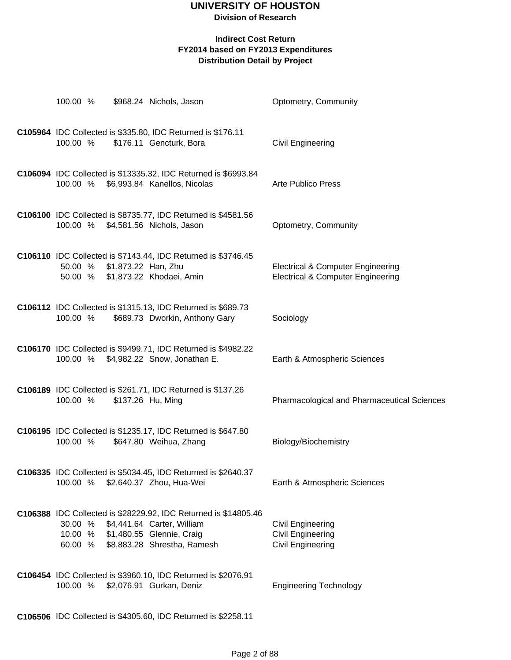**Division of Research**

#### **Indirect Cost Return FY2014 based on FY2013 Expenditures Distribution Detail by Project**

| 100.00 %           |                             | \$968.24 Nichols, Jason                                                                                                                                           | Optometry, Community                                                                         |
|--------------------|-----------------------------|-------------------------------------------------------------------------------------------------------------------------------------------------------------------|----------------------------------------------------------------------------------------------|
| 100.00 %           |                             | C105964 IDC Collected is \$335.80, IDC Returned is \$176.11<br>\$176.11 Gencturk, Bora                                                                            | <b>Civil Engineering</b>                                                                     |
|                    |                             | C106094 IDC Collected is \$13335.32, IDC Returned is \$6993.84<br>100.00 % \$6,993.84 Kanellos, Nicolas                                                           | <b>Arte Publico Press</b>                                                                    |
| 100.00 %           |                             | C106100 IDC Collected is \$8735.77, IDC Returned is \$4581.56<br>\$4,581.56 Nichols, Jason                                                                        | Optometry, Community                                                                         |
|                    | 50.00 % \$1,873.22 Han, Zhu | C106110 IDC Collected is \$7143.44, IDC Returned is \$3746.45<br>50.00 % \$1,873.22 Khodaei, Amin                                                                 | <b>Electrical &amp; Computer Engineering</b><br><b>Electrical &amp; Computer Engineering</b> |
| 100.00 %           |                             | C106112 IDC Collected is \$1315.13, IDC Returned is \$689.73<br>\$689.73 Dworkin, Anthony Gary                                                                    | Sociology                                                                                    |
|                    |                             | C106170 IDC Collected is \$9499.71, IDC Returned is \$4982.22<br>100.00 % \$4,982.22 Snow, Jonathan E.                                                            | Earth & Atmospheric Sciences                                                                 |
| 100.00 %           |                             | C106189 IDC Collected is \$261.71, IDC Returned is \$137.26<br>\$137.26 Hu, Ming                                                                                  | Pharmacological and Pharmaceutical Sciences                                                  |
| 100.00 %           |                             | C106195 IDC Collected is \$1235.17, IDC Returned is \$647.80<br>\$647.80 Weihua, Zhang                                                                            | Biology/Biochemistry                                                                         |
|                    |                             | C106335 IDC Collected is \$5034.45, IDC Returned is \$2640.37<br>100.00 % \$2,640.37 Zhou, Hua-Wei                                                                | Earth & Atmospheric Sciences                                                                 |
| 30.00 %<br>60.00 % |                             | C106388 IDC Collected is \$28229.92, IDC Returned is \$14805.46<br>\$4,441.64 Carter, William<br>10.00 % \$1,480.55 Glennie, Craig<br>\$8,883.28 Shrestha, Ramesh | <b>Civil Engineering</b><br><b>Civil Engineering</b><br><b>Civil Engineering</b>             |
| 100.00 %           |                             | C106454 IDC Collected is \$3960.10, IDC Returned is \$2076.91<br>\$2,076.91 Gurkan, Deniz                                                                         | <b>Engineering Technology</b>                                                                |

**C106506** IDC Collected is \$4305.60, IDC Returned is \$2258.11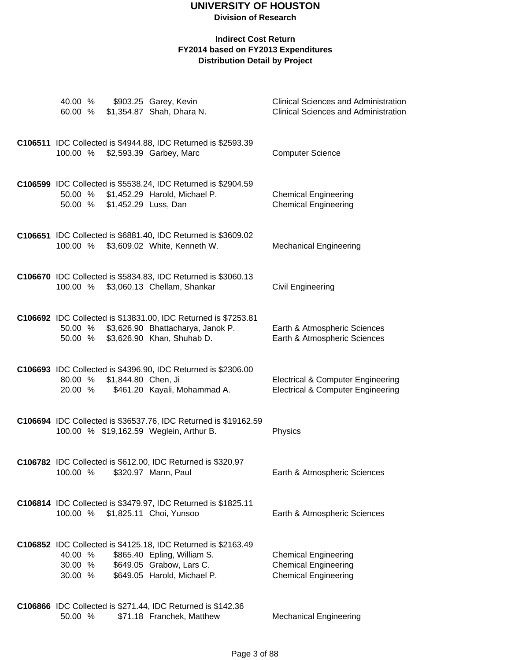| 40.00 %<br>60.00 %            |                      | \$903.25 Garey, Kevin<br>\$1,354.87 Shah, Dhara N.                                                                                                      | <b>Clinical Sciences and Administration</b><br><b>Clinical Sciences and Administration</b>   |
|-------------------------------|----------------------|---------------------------------------------------------------------------------------------------------------------------------------------------------|----------------------------------------------------------------------------------------------|
|                               |                      |                                                                                                                                                         |                                                                                              |
|                               |                      | C106511 IDC Collected is \$4944.88, IDC Returned is \$2593.39<br>100.00 % \$2,593.39 Garbey, Marc                                                       | <b>Computer Science</b>                                                                      |
| 50.00 %                       | \$1,452.29 Luss, Dan | C106599 IDC Collected is \$5538.24, IDC Returned is \$2904.59<br>50.00 % \$1,452.29 Harold, Michael P.                                                  | <b>Chemical Engineering</b><br><b>Chemical Engineering</b>                                   |
| 100.00 %                      |                      | C106651 IDC Collected is \$6881.40, IDC Returned is \$3609.02<br>\$3,609.02 White, Kenneth W.                                                           | <b>Mechanical Engineering</b>                                                                |
| 100.00 %                      |                      | C106670 IDC Collected is \$5834.83, IDC Returned is \$3060.13<br>\$3,060.13 Chellam, Shankar                                                            | <b>Civil Engineering</b>                                                                     |
| 50.00 %                       |                      | C106692 IDC Collected is \$13831.00, IDC Returned is \$7253.81<br>50.00 % \$3,626.90 Bhattacharya, Janok P.<br>\$3,626.90 Khan, Shuhab D.               | Earth & Atmospheric Sciences<br>Earth & Atmospheric Sciences                                 |
| 80.00 %<br>20.00 %            | \$1,844.80 Chen, Ji  | C106693 IDC Collected is \$4396.90, IDC Returned is \$2306.00<br>\$461.20 Kayali, Mohammad A.                                                           | <b>Electrical &amp; Computer Engineering</b><br><b>Electrical &amp; Computer Engineering</b> |
|                               |                      | C106694 IDC Collected is \$36537.76, IDC Returned is \$19162.59<br>100.00 % \$19,162.59 Weglein, Arthur B.                                              | Physics                                                                                      |
| 100.00 %                      |                      | C106782 IDC Collected is \$612.00, IDC Returned is \$320.97<br>\$320.97 Mann, Paul                                                                      | Earth & Atmospheric Sciences                                                                 |
| 100.00 %                      |                      | C106814 IDC Collected is \$3479.97, IDC Returned is \$1825.11<br>\$1,825.11 Choi, Yunsoo                                                                | Earth & Atmospheric Sciences                                                                 |
| 40.00 %<br>30.00 %<br>30.00 % |                      | C106852 IDC Collected is \$4125.18, IDC Returned is \$2163.49<br>\$865.40 Epling, William S.<br>\$649.05 Grabow, Lars C.<br>\$649.05 Harold, Michael P. | <b>Chemical Engineering</b><br><b>Chemical Engineering</b><br><b>Chemical Engineering</b>    |
| 50.00 %                       |                      | <b>C106866</b> IDC Collected is \$271.44, IDC Returned is \$142.36<br>\$71.18 Franchek, Matthew                                                         | <b>Mechanical Engineering</b>                                                                |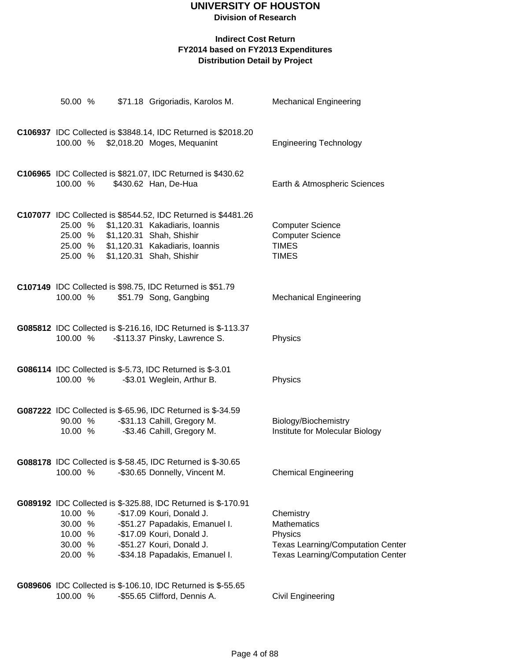#### **Indirect Cost Return FY2014 based on FY2013 Expenditures Distribution Detail by Project**

| 50.00 %                                             |  | \$71.18 Grigoriadis, Karolos M.                                                                                                                                                                                          | <b>Mechanical Engineering</b>                                                                                                      |
|-----------------------------------------------------|--|--------------------------------------------------------------------------------------------------------------------------------------------------------------------------------------------------------------------------|------------------------------------------------------------------------------------------------------------------------------------|
| 100.00 %                                            |  | C106937 IDC Collected is \$3848.14, IDC Returned is \$2018.20<br>\$2,018.20 Moges, Mequanint                                                                                                                             | <b>Engineering Technology</b>                                                                                                      |
| 100.00 %                                            |  | C106965 IDC Collected is \$821.07, IDC Returned is \$430.62<br>\$430.62 Han, De-Hua                                                                                                                                      | Earth & Atmospheric Sciences                                                                                                       |
| 25.00 %<br>25.00 %<br>25.00 %                       |  | C107077 IDC Collected is \$8544.52, IDC Returned is \$4481.26<br>\$1,120.31 Kakadiaris, Ioannis<br>\$1,120.31 Shah, Shishir<br>25.00 % \$1,120.31 Kakadiaris, Ioannis<br>\$1,120.31 Shah, Shishir                        | <b>Computer Science</b><br><b>Computer Science</b><br><b>TIMES</b><br><b>TIMES</b>                                                 |
| 100.00 %                                            |  | C107149 IDC Collected is \$98.75, IDC Returned is \$51.79<br>\$51.79 Song, Gangbing                                                                                                                                      | <b>Mechanical Engineering</b>                                                                                                      |
| 100.00 %                                            |  | G085812 IDC Collected is \$-216.16, IDC Returned is \$-113.37<br>-\$113.37 Pinsky, Lawrence S.                                                                                                                           | Physics                                                                                                                            |
| 100.00 %                                            |  | G086114 IDC Collected is \$-5.73, IDC Returned is \$-3.01<br>-\$3.01 Weglein, Arthur B.                                                                                                                                  | Physics                                                                                                                            |
| 90.00 %<br>10.00 %                                  |  | G087222 IDC Collected is \$-65.96, IDC Returned is \$-34.59<br>-\$31.13 Cahill, Gregory M.<br>-\$3.46 Cahill, Gregory M.                                                                                                 | Biology/Biochemistry<br>Institute for Molecular Biology                                                                            |
| 100.00 %                                            |  | G088178 IDC Collected is \$-58.45, IDC Returned is \$-30.65<br>-\$30.65 Donnelly, Vincent M.                                                                                                                             | <b>Chemical Engineering</b>                                                                                                        |
| 10.00 %<br>30.00 %<br>10.00 %<br>30.00 %<br>20.00 % |  | G089192 IDC Collected is \$-325.88, IDC Returned is \$-170.91<br>-\$17.09 Kouri, Donald J.<br>-\$51.27 Papadakis, Emanuel I.<br>-\$17.09 Kouri, Donald J.<br>-\$51.27 Kouri, Donald J.<br>-\$34.18 Papadakis, Emanuel I. | Chemistry<br><b>Mathematics</b><br>Physics<br><b>Texas Learning/Computation Center</b><br><b>Texas Learning/Computation Center</b> |
|                                                     |  | G089606 IDC Collected is \$-106.10, IDC Returned is \$-55.65                                                                                                                                                             |                                                                                                                                    |

100.00 % -\$55.65 Clifford, Dennis A. Civil Engineering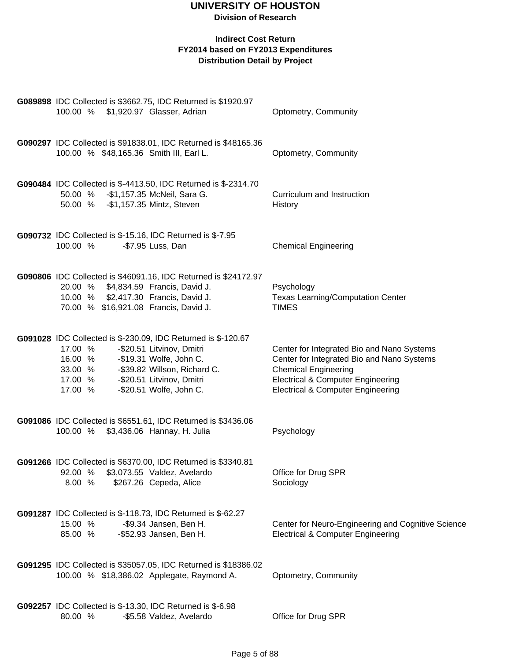#### **Division of Research**

| G089898 IDC Collected is \$3662.75, IDC Returned is \$1920.97<br>100.00 % \$1,920.97 Glasser, Adrian                                                                                                                                                                 | Optometry, Community                                                                                                                                                                                                    |
|----------------------------------------------------------------------------------------------------------------------------------------------------------------------------------------------------------------------------------------------------------------------|-------------------------------------------------------------------------------------------------------------------------------------------------------------------------------------------------------------------------|
| G090297 IDC Collected is \$91838.01, IDC Returned is \$48165.36<br>100.00 % \$48,165.36 Smith III, Earl L.                                                                                                                                                           | Optometry, Community                                                                                                                                                                                                    |
| G090484 IDC Collected is \$-4413.50, IDC Returned is \$-2314.70<br>50.00 % - \$1,157.35 McNeil, Sara G.<br>50.00 % - \$1,157.35 Mintz, Steven                                                                                                                        | Curriculum and Instruction<br>History                                                                                                                                                                                   |
| G090732 IDC Collected is \$-15.16, IDC Returned is \$-7.95<br>100.00 %<br>-\$7.95 Luss, Dan                                                                                                                                                                          | <b>Chemical Engineering</b>                                                                                                                                                                                             |
| G090806 IDC Collected is \$46091.16, IDC Returned is \$24172.97<br>20.00 % \$4,834.59 Francis, David J.<br>10.00 % \$2,417.30 Francis, David J.<br>70.00 % \$16,921.08 Francis, David J.                                                                             | Psychology<br><b>Texas Learning/Computation Center</b><br><b>TIMES</b>                                                                                                                                                  |
| G091028 IDC Collected is \$-230.09, IDC Returned is \$-120.67<br>17.00 %<br>-\$20.51 Litvinov, Dmitri<br>-\$19.31 Wolfe, John C.<br>16.00 %<br>-\$39.82 Willson, Richard C.<br>33.00 %<br>-\$20.51 Litvinov, Dmitri<br>17.00 %<br>-\$20.51 Wolfe, John C.<br>17.00 % | Center for Integrated Bio and Nano Systems<br>Center for Integrated Bio and Nano Systems<br><b>Chemical Engineering</b><br><b>Electrical &amp; Computer Engineering</b><br><b>Electrical &amp; Computer Engineering</b> |
| G091086 IDC Collected is \$6551.61, IDC Returned is \$3436.06<br>100.00 % \$3,436.06 Hannay, H. Julia                                                                                                                                                                | Psychology                                                                                                                                                                                                              |
| G091266 IDC Collected is \$6370.00, IDC Returned is \$3340.81<br>\$3,073.55 Valdez, Avelardo<br>92.00 %<br>\$267.26 Cepeda, Alice<br>8.00%                                                                                                                           | Office for Drug SPR<br>Sociology                                                                                                                                                                                        |
| G091287 IDC Collected is \$-118.73, IDC Returned is \$-62.27<br>15.00 %<br>-\$9.34 Jansen, Ben H.<br>-\$52.93 Jansen, Ben H.<br>85.00 %                                                                                                                              | Center for Neuro-Engineering and Cognitive Science<br><b>Electrical &amp; Computer Engineering</b>                                                                                                                      |
| G091295 IDC Collected is \$35057.05, IDC Returned is \$18386.02<br>100.00 % \$18,386.02 Applegate, Raymond A.                                                                                                                                                        | Optometry, Community                                                                                                                                                                                                    |
| G092257 IDC Collected is \$-13.30, IDC Returned is \$-6.98<br>80.00 %<br>-\$5.58 Valdez, Avelardo                                                                                                                                                                    | Office for Drug SPR                                                                                                                                                                                                     |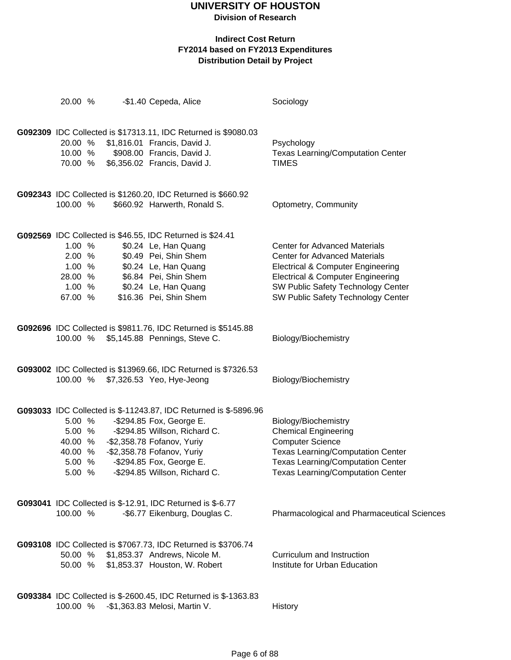**Division of Research**

| 20.00 %  | -\$1.40 Cepeda, Alice                                             | Sociology                                    |
|----------|-------------------------------------------------------------------|----------------------------------------------|
|          |                                                                   |                                              |
|          | G092309 IDC Collected is \$17313.11, IDC Returned is \$9080.03    |                                              |
| 20.00 %  | \$1,816.01 Francis, David J.                                      | Psychology                                   |
| 10.00 %  | \$908.00 Francis, David J.                                        | <b>Texas Learning/Computation Center</b>     |
| 70.00 %  | \$6,356.02 Francis, David J.                                      | <b>TIMES</b>                                 |
|          |                                                                   |                                              |
|          | G092343 IDC Collected is \$1260.20, IDC Returned is \$660.92      |                                              |
| 100.00 % | \$660.92 Harwerth, Ronald S.                                      | Optometry, Community                         |
|          |                                                                   |                                              |
|          | G092569 IDC Collected is \$46.55, IDC Returned is \$24.41         |                                              |
| 1.00 %   | \$0.24 Le, Han Quang                                              | <b>Center for Advanced Materials</b>         |
| 2.00 %   | \$0.49 Pei, Shin Shem                                             | <b>Center for Advanced Materials</b>         |
| 1.00 %   | \$0.24 Le, Han Quang                                              | <b>Electrical &amp; Computer Engineering</b> |
| 28.00 %  | \$6.84 Pei, Shin Shem                                             | <b>Electrical &amp; Computer Engineering</b> |
| 1.00 %   | \$0.24 Le, Han Quang                                              | SW Public Safety Technology Center           |
| 67.00 %  | \$16.36 Pei, Shin Shem                                            | SW Public Safety Technology Center           |
|          |                                                                   |                                              |
|          | G092696 IDC Collected is \$9811.76, IDC Returned is \$5145.88     |                                              |
| 100.00 % | \$5,145.88 Pennings, Steve C.                                     | Biology/Biochemistry                         |
|          |                                                                   |                                              |
|          | G093002 IDC Collected is \$13969.66, IDC Returned is \$7326.53    |                                              |
|          | 100.00 % \$7,326.53 Yeo, Hye-Jeong                                | Biology/Biochemistry                         |
|          |                                                                   |                                              |
|          | G093033 IDC Collected is \$-11243.87, IDC Returned is \$-5896.96  |                                              |
| 5.00 %   | -\$294.85 Fox, George E.                                          | Biology/Biochemistry                         |
| 5.00 %   | -\$294.85 Willson, Richard C.                                     | <b>Chemical Engineering</b>                  |
| 40.00 %  | -\$2,358.78 Fofanov, Yuriy                                        | <b>Computer Science</b>                      |
| 40.00 %  | -\$2,358.78 Fofanov, Yuriy                                        | <b>Texas Learning/Computation Center</b>     |
| 5.00 %   | -\$294.85 Fox, George E.                                          | <b>Texas Learning/Computation Center</b>     |
| 5.00 %   | -\$294.85 Willson, Richard C.                                     | Texas Learning/Computation Center            |
|          |                                                                   |                                              |
|          | <b>G093041</b> IDC Collected is \$-12.91, IDC Returned is \$-6.77 |                                              |
| 100.00 % | -\$6.77 Eikenburg, Douglas C.                                     | Pharmacological and Pharmaceutical Sciences  |
|          |                                                                   |                                              |
|          | G093108 IDC Collected is \$7067.73, IDC Returned is \$3706.74     |                                              |
| 50.00 %  | \$1,853.37 Andrews, Nicole M.                                     | Curriculum and Instruction                   |
| 50.00 %  | \$1,853.37 Houston, W. Robert                                     | Institute for Urban Education                |
|          |                                                                   |                                              |
|          | G093384 IDC Collected is \$-2600.45, IDC Returned is \$-1363.83   |                                              |
| 100.00 % | -\$1,363.83 Melosi, Martin V.                                     | History                                      |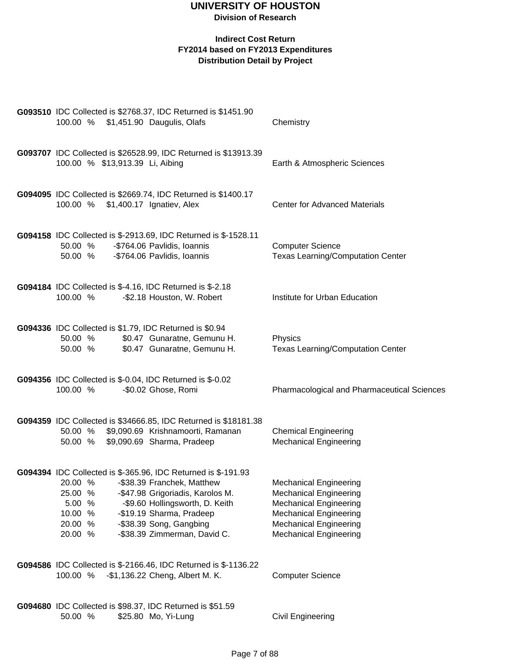| G093510 IDC Collected is \$2768.37, IDC Returned is \$1451.90<br>100.00 % \$1,451.90 Daugulis, Olafs                                                                                                                                                                                                                       | Chemistry                                                                                                                                                                                          |
|----------------------------------------------------------------------------------------------------------------------------------------------------------------------------------------------------------------------------------------------------------------------------------------------------------------------------|----------------------------------------------------------------------------------------------------------------------------------------------------------------------------------------------------|
| G093707 IDC Collected is \$26528.99, IDC Returned is \$13913.39<br>100.00 % \$13,913.39 Li, Aibing                                                                                                                                                                                                                         | Earth & Atmospheric Sciences                                                                                                                                                                       |
| G094095 IDC Collected is \$2669.74, IDC Returned is \$1400.17<br>100.00 % \$1,400.17 Ignatiev, Alex                                                                                                                                                                                                                        | <b>Center for Advanced Materials</b>                                                                                                                                                               |
| G094158 IDC Collected is \$-2913.69, IDC Returned is \$-1528.11<br>50.00 %<br>-\$764.06 Pavlidis, Ioannis<br>50.00 %<br>-\$764.06 Pavlidis, Ioannis                                                                                                                                                                        | <b>Computer Science</b><br><b>Texas Learning/Computation Center</b>                                                                                                                                |
| G094184 IDC Collected is \$-4.16, IDC Returned is \$-2.18<br>-\$2.18 Houston, W. Robert<br>100.00 %                                                                                                                                                                                                                        | Institute for Urban Education                                                                                                                                                                      |
| G094336 IDC Collected is \$1.79, IDC Returned is \$0.94<br>\$0.47 Gunaratne, Gemunu H.<br>50.00 %<br>\$0.47 Gunaratne, Gemunu H.<br>50.00 %                                                                                                                                                                                | Physics<br><b>Texas Learning/Computation Center</b>                                                                                                                                                |
| G094356 IDC Collected is \$-0.04, IDC Returned is \$-0.02<br>-\$0.02 Ghose, Romi<br>100.00 %                                                                                                                                                                                                                               | Pharmacological and Pharmaceutical Sciences                                                                                                                                                        |
| G094359 IDC Collected is \$34666.85, IDC Returned is \$18181.38<br>\$9,090.69 Krishnamoorti, Ramanan<br>50.00 %<br>\$9,090.69 Sharma, Pradeep<br>50.00 %                                                                                                                                                                   | <b>Chemical Engineering</b><br><b>Mechanical Engineering</b>                                                                                                                                       |
| G094394 IDC Collected is \$-365.96, IDC Returned is \$-191.93<br>20.00 %<br>-\$38.39 Franchek, Matthew<br>25.00 %<br>-\$47.98 Grigoriadis, Karolos M.<br>-\$9.60 Hollingsworth, D. Keith<br>5.00 %<br>-\$19.19 Sharma, Pradeep<br>10.00 %<br>-\$38.39 Song, Gangbing<br>20.00 %<br>-\$38.39 Zimmerman, David C.<br>20.00 % | <b>Mechanical Engineering</b><br><b>Mechanical Engineering</b><br><b>Mechanical Engineering</b><br><b>Mechanical Engineering</b><br><b>Mechanical Engineering</b><br><b>Mechanical Engineering</b> |
| G094586 IDC Collected is \$-2166.46, IDC Returned is \$-1136.22<br>-\$1,136.22 Cheng, Albert M. K.<br>100.00 %                                                                                                                                                                                                             | <b>Computer Science</b>                                                                                                                                                                            |
| G094680 IDC Collected is \$98.37, IDC Returned is \$51.59<br>50.00 %<br>\$25.80 Mo, Yi-Lung                                                                                                                                                                                                                                | <b>Civil Engineering</b>                                                                                                                                                                           |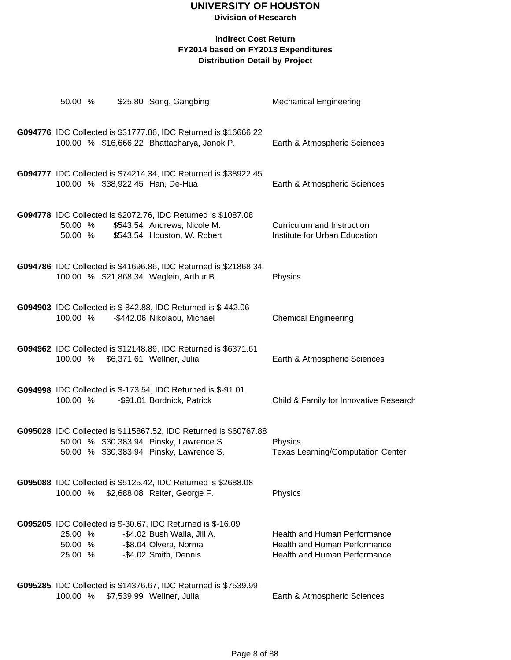#### **Indirect Cost Return FY2014 based on FY2013 Expenditures Distribution Detail by Project**

| 50.00 %                       |  | \$25.80 Song, Gangbing                                                                                                                                 | <b>Mechanical Engineering</b>                                                                                     |
|-------------------------------|--|--------------------------------------------------------------------------------------------------------------------------------------------------------|-------------------------------------------------------------------------------------------------------------------|
|                               |  | G094776 IDC Collected is \$31777.86, IDC Returned is \$16666.22<br>100.00 % \$16,666.22 Bhattacharya, Janok P.                                         | Earth & Atmospheric Sciences                                                                                      |
|                               |  | G094777 IDC Collected is \$74214.34, IDC Returned is \$38922.45<br>100.00 % \$38,922.45 Han, De-Hua                                                    | Earth & Atmospheric Sciences                                                                                      |
| 50.00 %<br>50.00 %            |  | G094778 IDC Collected is \$2072.76, IDC Returned is \$1087.08<br>\$543.54 Andrews, Nicole M.<br>\$543.54 Houston, W. Robert                            | Curriculum and Instruction<br>Institute for Urban Education                                                       |
|                               |  | G094786 IDC Collected is \$41696.86, IDC Returned is \$21868.34<br>100.00 % \$21,868.34 Weglein, Arthur B.                                             | Physics                                                                                                           |
| 100.00 %                      |  | G094903 IDC Collected is \$-842.88, IDC Returned is \$-442.06<br>-\$442.06 Nikolaou, Michael                                                           | <b>Chemical Engineering</b>                                                                                       |
|                               |  | G094962 IDC Collected is \$12148.89, IDC Returned is \$6371.61<br>100.00 % \$6,371.61 Wellner, Julia                                                   | Earth & Atmospheric Sciences                                                                                      |
| 100.00 %                      |  | G094998 IDC Collected is \$-173.54, IDC Returned is \$-91.01<br>-\$91.01 Bordnick, Patrick                                                             | Child & Family for Innovative Research                                                                            |
|                               |  | G095028 IDC Collected is \$115867.52, IDC Returned is \$60767.88<br>50.00 % \$30,383.94 Pinsky, Lawrence S.<br>50.00 % \$30,383.94 Pinsky, Lawrence S. | Physics<br><b>Texas Learning/Computation Center</b>                                                               |
|                               |  | G095088 IDC Collected is \$5125.42, IDC Returned is \$2688.08<br>100.00 % \$2,688.08 Reiter, George F.                                                 | Physics                                                                                                           |
| 25.00 %<br>50.00 %<br>25.00 % |  | G095205 IDC Collected is \$-30.67, IDC Returned is \$-16.09<br>-\$4.02 Bush Walla, Jill A.<br>-\$8.04 Olvera, Norma<br>-\$4.02 Smith, Dennis           | <b>Health and Human Performance</b><br><b>Health and Human Performance</b><br><b>Health and Human Performance</b> |
|                               |  | G095285 IDC Collected is \$14376.67, IDC Returned is \$7539.99                                                                                         |                                                                                                                   |

100.00 % \$7,539.99 Wellner, Julia Earth & Atmospheric Sciences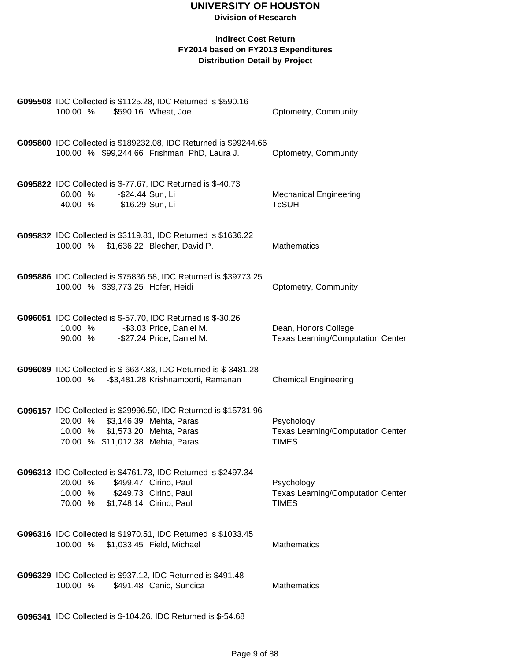| G095508 IDC Collected is \$1125.28, IDC Returned is \$590.16<br>100.00 %<br>\$590.16 Wheat, Joe                                                                           | Optometry, Community                                                   |
|---------------------------------------------------------------------------------------------------------------------------------------------------------------------------|------------------------------------------------------------------------|
| G095800 IDC Collected is \$189232.08, IDC Returned is \$99244.66<br>100.00 % \$99,244.66 Frishman, PhD, Laura J.                                                          | Optometry, Community                                                   |
| G095822 IDC Collected is \$-77.67, IDC Returned is \$-40.73<br>-\$24.44 Sun, Li<br>60.00 %<br>-\$16.29 Sun, Li<br>40.00 %                                                 | <b>Mechanical Engineering</b><br><b>TcSUH</b>                          |
| G095832 IDC Collected is \$3119.81, IDC Returned is \$1636.22<br>100.00 % \$1,636.22 Blecher, David P.                                                                    | <b>Mathematics</b>                                                     |
| G095886 IDC Collected is \$75836.58, IDC Returned is \$39773.25<br>100.00 % \$39,773.25 Hofer, Heidi                                                                      | Optometry, Community                                                   |
| G096051 IDC Collected is \$-57.70, IDC Returned is \$-30.26<br>10.00 % - \$3.03 Price, Daniel M.<br>90.00 %<br>-\$27.24 Price, Daniel M.                                  | Dean, Honors College<br><b>Texas Learning/Computation Center</b>       |
| G096089 IDC Collected is \$-6637.83, IDC Returned is \$-3481.28<br>100.00 % - \$3,481.28 Krishnamoorti, Ramanan                                                           | <b>Chemical Engineering</b>                                            |
| G096157 IDC Collected is \$29996.50, IDC Returned is \$15731.96<br>20.00 % \$3,146.39 Mehta, Paras<br>10.00 % \$1,573.20 Mehta, Paras<br>70.00 % \$11,012.38 Mehta, Paras | Psychology<br><b>Texas Learning/Computation Center</b><br><b>TIMES</b> |
| G096313 IDC Collected is \$4761.73, IDC Returned is \$2497.34<br>20.00 % \$499.47 Cirino, Paul<br>10.00 % \$249.73 Cirino, Paul<br>70.00 % \$1,748.14 Cirino, Paul        | Psychology<br><b>Texas Learning/Computation Center</b><br><b>TIMES</b> |
| G096316 IDC Collected is \$1970.51, IDC Returned is \$1033.45<br>100.00 % \$1,033.45 Field, Michael                                                                       | <b>Mathematics</b>                                                     |
| <b>G096329</b> IDC Collected is \$937.12, IDC Returned is \$491.48<br>100.00 %<br>\$491.48 Canic, Suncica                                                                 | Mathematics                                                            |
| G096341 IDC Collected is \$-104.26, IDC Returned is \$-54.68                                                                                                              |                                                                        |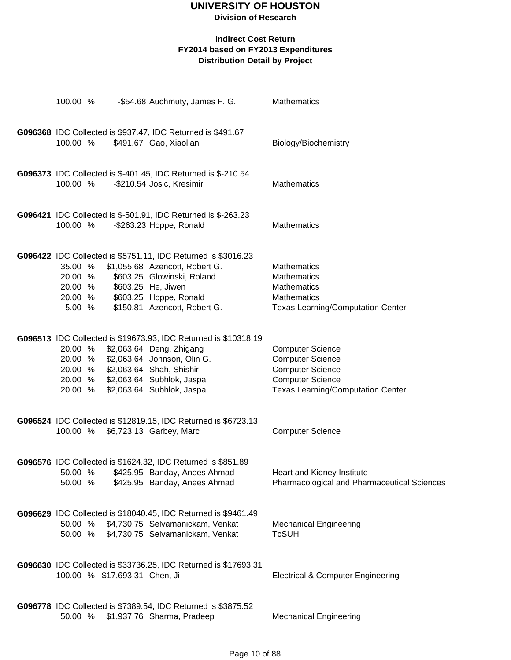| 100.00 %                                            |                               | -\$54.68 Auchmuty, James F. G.                                                                                                                                                                                     | Mathematics                                                                                                                                   |
|-----------------------------------------------------|-------------------------------|--------------------------------------------------------------------------------------------------------------------------------------------------------------------------------------------------------------------|-----------------------------------------------------------------------------------------------------------------------------------------------|
| 100.00 %                                            |                               | G096368 IDC Collected is \$937.47, IDC Returned is \$491.67<br>\$491.67 Gao, Xiaolian                                                                                                                              | Biology/Biochemistry                                                                                                                          |
| 100.00 %                                            |                               | G096373 IDC Collected is \$-401.45, IDC Returned is \$-210.54<br>-\$210.54 Josic, Kresimir                                                                                                                         | <b>Mathematics</b>                                                                                                                            |
| 100.00 %                                            |                               | <b>G096421</b> IDC Collected is \$-501.91, IDC Returned is \$-263.23<br>-\$263.23 Hoppe, Ronald                                                                                                                    | <b>Mathematics</b>                                                                                                                            |
| 35.00 %<br>20.00 %<br>20.00 %<br>20.00 %<br>5.00 %  |                               | G096422 IDC Collected is \$5751.11, IDC Returned is \$3016.23<br>\$1,055.68 Azencott, Robert G.<br>\$603.25 Glowinski, Roland<br>\$603.25 He, Jiwen<br>\$603.25 Hoppe, Ronald<br>\$150.81 Azencott, Robert G.      | <b>Mathematics</b><br><b>Mathematics</b><br>Mathematics<br>Mathematics<br><b>Texas Learning/Computation Center</b>                            |
| 20.00 %<br>20.00 %<br>20.00 %<br>20.00 %<br>20.00 % |                               | G096513 IDC Collected is \$19673.93, IDC Returned is \$10318.19<br>\$2,063.64 Deng, Zhigang<br>\$2,063.64 Johnson, Olin G.<br>\$2,063.64 Shah, Shishir<br>\$2,063.64 Subhlok, Jaspal<br>\$2,063.64 Subhlok, Jaspal | <b>Computer Science</b><br><b>Computer Science</b><br><b>Computer Science</b><br><b>Computer Science</b><br>Texas Learning/Computation Center |
| 100.00 %                                            |                               | G096524 IDC Collected is \$12819.15, IDC Returned is \$6723.13<br>\$6,723.13 Garbey, Marc                                                                                                                          | <b>Computer Science</b>                                                                                                                       |
| 50.00 %<br>50.00 %                                  |                               | G096576 IDC Collected is \$1624.32, IDC Returned is \$851.89<br>\$425.95 Banday, Anees Ahmad<br>\$425.95 Banday, Anees Ahmad                                                                                       | Heart and Kidney Institute<br>Pharmacological and Pharmaceutical Sciences                                                                     |
| 50.00 %<br>50.00 %                                  |                               | G096629 IDC Collected is \$18040.45, IDC Returned is \$9461.49<br>\$4,730.75 Selvamanickam, Venkat<br>\$4,730.75 Selvamanickam, Venkat                                                                             | <b>Mechanical Engineering</b><br><b>TcSUH</b>                                                                                                 |
|                                                     | 100.00 % \$17,693.31 Chen, Ji | G096630 IDC Collected is \$33736.25, IDC Returned is \$17693.31                                                                                                                                                    | <b>Electrical &amp; Computer Engineering</b>                                                                                                  |
| 50.00 %                                             |                               | G096778 IDC Collected is \$7389.54, IDC Returned is \$3875.52<br>\$1,937.76 Sharma, Pradeep                                                                                                                        | <b>Mechanical Engineering</b>                                                                                                                 |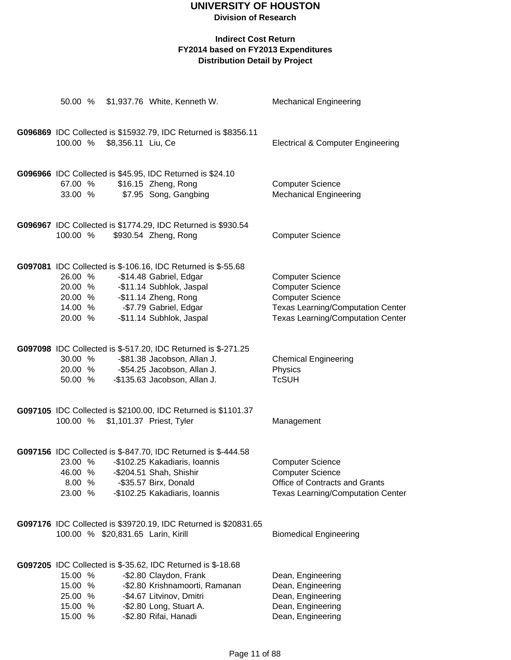**Division of Research**

| 50.00 %                                             |                                    | \$1,937.76 White, Kenneth W.                                                                                                                                                                            | <b>Mechanical Engineering</b>                                                                                                                                         |
|-----------------------------------------------------|------------------------------------|---------------------------------------------------------------------------------------------------------------------------------------------------------------------------------------------------------|-----------------------------------------------------------------------------------------------------------------------------------------------------------------------|
| 100.00 %                                            | \$8,356.11 Liu, Ce                 | G096869 IDC Collected is \$15932.79, IDC Returned is \$8356.11                                                                                                                                          | <b>Electrical &amp; Computer Engineering</b>                                                                                                                          |
| 67.00 %<br>33.00 %                                  |                                    | G096966 IDC Collected is \$45.95, IDC Returned is \$24.10<br>\$16.15 Zheng, Rong<br>\$7.95 Song, Gangbing                                                                                               | <b>Computer Science</b><br><b>Mechanical Engineering</b>                                                                                                              |
| 100.00 %                                            |                                    | G096967 IDC Collected is \$1774.29, IDC Returned is \$930.54<br>\$930.54 Zheng, Rong                                                                                                                    | <b>Computer Science</b>                                                                                                                                               |
| 26.00 %<br>20.00 %<br>20.00 %<br>14.00 %<br>20.00 % |                                    | G097081 IDC Collected is \$-106.16, IDC Returned is \$-55.68<br>-\$14.48 Gabriel, Edgar<br>-\$11.14 Subhlok, Jaspal<br>-\$11.14 Zheng, Rong<br>-\$7.79 Gabriel, Edgar<br>-\$11.14 Subhlok, Jaspal       | <b>Computer Science</b><br><b>Computer Science</b><br><b>Computer Science</b><br><b>Texas Learning/Computation Center</b><br><b>Texas Learning/Computation Center</b> |
| 30.00 %<br>20.00 %<br>50.00 %                       |                                    | G097098 IDC Collected is \$-517.20, IDC Returned is \$-271.25<br>-\$81.38 Jacobson, Allan J.<br>-\$54.25 Jacobson, Allan J.<br>-\$135.63 Jacobson, Allan J.                                             | <b>Chemical Engineering</b><br>Physics<br><b>TcSUH</b>                                                                                                                |
| 100.00 %                                            |                                    | G097105 IDC Collected is \$2100.00, IDC Returned is \$1101.37<br>\$1,101.37 Priest, Tyler                                                                                                               | Management                                                                                                                                                            |
| 46.00 %<br>8.00 %<br>23.00 %                        |                                    | G097156 IDC Collected is \$-847.70, IDC Returned is \$-444.58<br>23.00 % - \$102.25 Kakadiaris, Ioannis<br>-\$204.51 Shah, Shishir<br>-\$35.57 Birx, Donald<br>-\$102.25 Kakadiaris, Ioannis            | <b>Computer Science</b><br><b>Computer Science</b><br>Office of Contracts and Grants<br><b>Texas Learning/Computation Center</b>                                      |
|                                                     | 100.00 % \$20,831.65 Larin, Kirill | G097176 IDC Collected is \$39720.19, IDC Returned is \$20831.65                                                                                                                                         | <b>Biomedical Engineering</b>                                                                                                                                         |
| 15.00 %<br>15.00 %<br>25.00 %<br>15.00 %<br>15.00 % |                                    | G097205 IDC Collected is \$-35.62, IDC Returned is \$-18.68<br>-\$2.80 Claydon, Frank<br>-\$2.80 Krishnamoorti, Ramanan<br>-\$4.67 Litvinov, Dmitri<br>-\$2.80 Long, Stuart A.<br>-\$2.80 Rifai, Hanadi | Dean, Engineering<br>Dean, Engineering<br>Dean, Engineering<br>Dean, Engineering<br>Dean, Engineering                                                                 |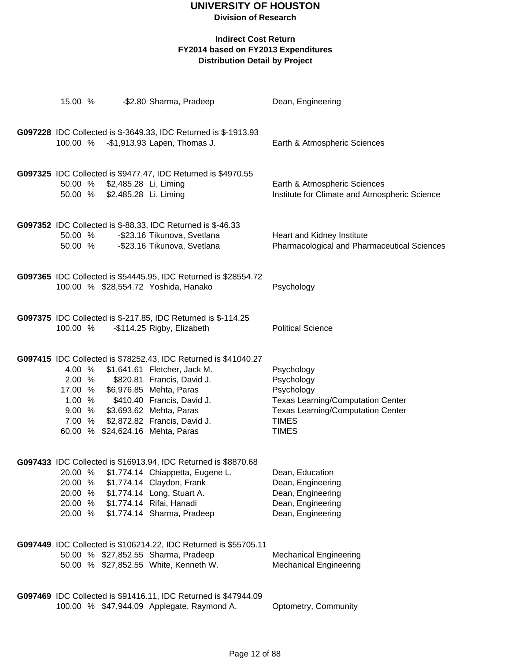**Division of Research**

| 15.00 %                                                   |                                                | -\$2.80 Sharma, Pradeep                                                                                                                                                                                                                                                                      | Dean, Engineering                                                                                                                                              |
|-----------------------------------------------------------|------------------------------------------------|----------------------------------------------------------------------------------------------------------------------------------------------------------------------------------------------------------------------------------------------------------------------------------------------|----------------------------------------------------------------------------------------------------------------------------------------------------------------|
| 100.00 %                                                  |                                                | G097228 IDC Collected is \$-3649.33, IDC Returned is \$-1913.93<br>-\$1,913.93 Lapen, Thomas J.                                                                                                                                                                                              | Earth & Atmospheric Sciences                                                                                                                                   |
| 50.00 %<br>50.00 %                                        | \$2,485.28 Li, Liming<br>\$2,485.28 Li, Liming | G097325 IDC Collected is \$9477.47, IDC Returned is \$4970.55                                                                                                                                                                                                                                | Earth & Atmospheric Sciences<br>Institute for Climate and Atmospheric Science                                                                                  |
| 50.00 %<br>50.00 %                                        |                                                | <b>G097352</b> IDC Collected is \$-88.33, IDC Returned is \$-46.33<br>-\$23.16 Tikunova, Svetlana<br>-\$23.16 Tikunova, Svetlana                                                                                                                                                             | Heart and Kidney Institute<br>Pharmacological and Pharmaceutical Sciences                                                                                      |
|                                                           |                                                | G097365 IDC Collected is \$54445.95, IDC Returned is \$28554.72<br>100.00 % \$28,554.72 Yoshida, Hanako                                                                                                                                                                                      | Psychology                                                                                                                                                     |
| 100.00 %                                                  |                                                | G097375 IDC Collected is \$-217.85, IDC Returned is \$-114.25<br>-\$114.25 Rigby, Elizabeth                                                                                                                                                                                                  | <b>Political Science</b>                                                                                                                                       |
| 4.00 %<br>2.00 %<br>17.00 %<br>9.00%<br>7.00 %            |                                                | G097415 IDC Collected is \$78252.43, IDC Returned is \$41040.27<br>\$1,641.61 Fletcher, Jack M.<br>\$820.81 Francis, David J.<br>\$6,976.85 Mehta, Paras<br>1.00 % \$410.40 Francis, David J.<br>\$3,693.62 Mehta, Paras<br>\$2,872.82 Francis, David J.<br>60.00 % \$24,624.16 Mehta, Paras | Psychology<br>Psychology<br>Psychology<br><b>Texas Learning/Computation Center</b><br><b>Texas Learning/Computation Center</b><br><b>TIMES</b><br><b>TIMES</b> |
| 20.00 %<br>20.00<br>%<br>20.00<br>%<br>20.00 %<br>20.00 % |                                                | G097433 IDC Collected is \$16913.94, IDC Returned is \$8870.68<br>\$1,774.14 Chiappetta, Eugene L.<br>\$1,774.14 Claydon, Frank<br>\$1,774.14 Long, Stuart A.<br>\$1,774.14 Rifai, Hanadi<br>\$1,774.14 Sharma, Pradeep                                                                      | Dean, Education<br>Dean, Engineering<br>Dean, Engineering<br>Dean, Engineering<br>Dean, Engineering                                                            |
|                                                           |                                                | G097449 IDC Collected is \$106214.22, IDC Returned is \$55705.11<br>50.00 % \$27,852.55 Sharma, Pradeep<br>50.00 % \$27,852.55 White, Kenneth W.                                                                                                                                             | <b>Mechanical Engineering</b><br><b>Mechanical Engineering</b>                                                                                                 |
|                                                           |                                                | G097469 IDC Collected is \$91416.11, IDC Returned is \$47944.09<br>100.00 % \$47,944.09 Applegate, Raymond A.                                                                                                                                                                                | Optometry, Community                                                                                                                                           |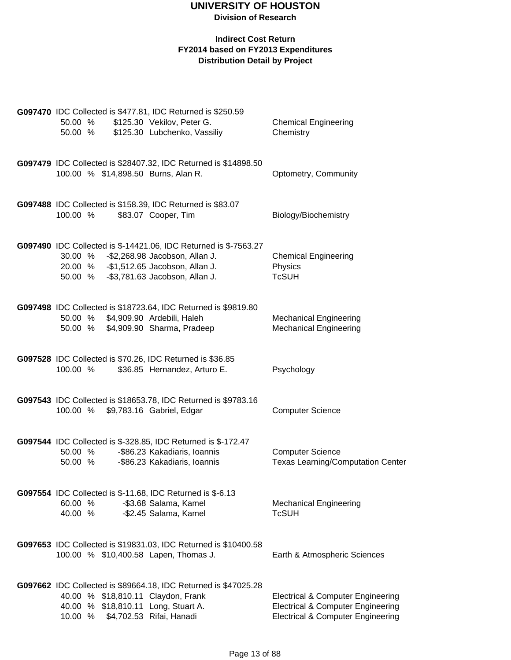|          |  | <b>G097470</b> IDC Collected is \$477.81, IDC Returned is \$250.59                          |                                              |
|----------|--|---------------------------------------------------------------------------------------------|----------------------------------------------|
| 50.00 %  |  | \$125.30 Vekilov, Peter G.                                                                  | <b>Chemical Engineering</b>                  |
| 50.00 %  |  | \$125.30 Lubchenko, Vassiliy                                                                | Chemistry                                    |
|          |  |                                                                                             |                                              |
|          |  |                                                                                             |                                              |
|          |  | G097479 IDC Collected is \$28407.32, IDC Returned is \$14898.50                             |                                              |
|          |  | 100.00 % \$14,898.50 Burns, Alan R.                                                         | Optometry, Community                         |
|          |  |                                                                                             |                                              |
|          |  |                                                                                             |                                              |
| 100.00 % |  | G097488 IDC Collected is \$158.39, IDC Returned is \$83.07<br>\$83.07 Cooper, Tim           |                                              |
|          |  |                                                                                             | Biology/Biochemistry                         |
|          |  |                                                                                             |                                              |
|          |  | G097490 IDC Collected is \$-14421.06, IDC Returned is \$-7563.27                            |                                              |
|          |  | 30.00 % - \$2,268.98 Jacobson, Allan J.                                                     | <b>Chemical Engineering</b>                  |
|          |  | 20.00 % -\$1,512.65 Jacobson, Allan J.                                                      | Physics                                      |
| 50.00 %  |  | -\$3,781.63 Jacobson, Allan J.                                                              | <b>TcSUH</b>                                 |
|          |  |                                                                                             |                                              |
|          |  |                                                                                             |                                              |
|          |  | G097498 IDC Collected is \$18723.64, IDC Returned is \$9819.80                              |                                              |
|          |  | 50.00 % \$4,909.90 Ardebili, Haleh                                                          | <b>Mechanical Engineering</b>                |
| 50.00 %  |  | \$4,909.90 Sharma, Pradeep                                                                  | <b>Mechanical Engineering</b>                |
|          |  |                                                                                             |                                              |
|          |  |                                                                                             |                                              |
|          |  | G097528 IDC Collected is \$70.26, IDC Returned is \$36.85                                   |                                              |
| 100.00 % |  | \$36.85 Hernandez, Arturo E.                                                                | Psychology                                   |
|          |  |                                                                                             |                                              |
|          |  |                                                                                             |                                              |
| 100.00 % |  | G097543 IDC Collected is \$18653.78, IDC Returned is \$9783.16<br>\$9,783.16 Gabriel, Edgar | <b>Computer Science</b>                      |
|          |  |                                                                                             |                                              |
|          |  |                                                                                             |                                              |
|          |  | G097544 IDC Collected is \$-328.85, IDC Returned is \$-172.47                               |                                              |
| 50.00 %  |  | -\$86.23 Kakadiaris, Ioannis                                                                | <b>Computer Science</b>                      |
| 50.00 %  |  | -\$86.23 Kakadiaris, Ioannis                                                                | <b>Texas Learning/Computation Center</b>     |
|          |  |                                                                                             |                                              |
|          |  |                                                                                             |                                              |
|          |  | G097554 IDC Collected is \$-11.68, IDC Returned is \$-6.13                                  |                                              |
| 60.00 %  |  | -\$3.68 Salama, Kamel                                                                       | <b>Mechanical Engineering</b>                |
| 40.00 %  |  | -\$2.45 Salama, Kamel                                                                       | <b>TcSUH</b>                                 |
|          |  |                                                                                             |                                              |
|          |  |                                                                                             |                                              |
|          |  | G097653 IDC Collected is \$19831.03, IDC Returned is \$10400.58                             |                                              |
|          |  | 100.00 % \$10,400.58 Lapen, Thomas J.                                                       | Earth & Atmospheric Sciences                 |
|          |  |                                                                                             |                                              |
|          |  | G097662 IDC Collected is \$89664.18, IDC Returned is \$47025.28                             |                                              |
|          |  | 40.00 % \$18,810.11 Claydon, Frank                                                          | <b>Electrical &amp; Computer Engineering</b> |
|          |  | 40.00 % \$18,810.11 Long, Stuart A.                                                         | <b>Electrical &amp; Computer Engineering</b> |
|          |  | 10.00 % \$4,702.53 Rifai, Hanadi                                                            | <b>Electrical &amp; Computer Engineering</b> |
|          |  |                                                                                             |                                              |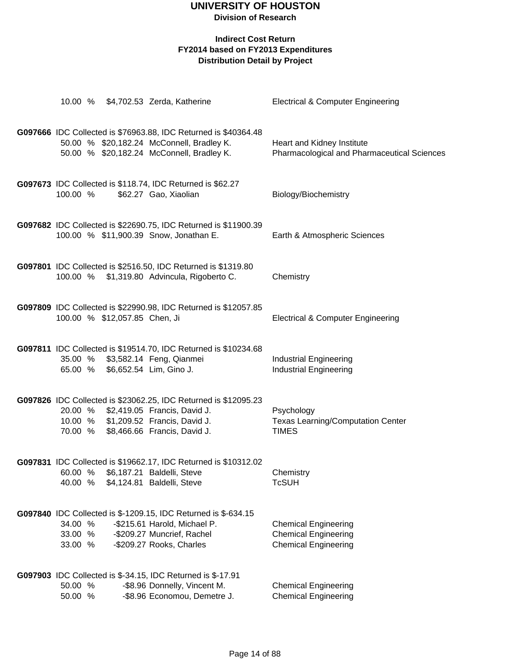|                               |                               | 10.00 % \$4,702.53 Zerda, Katherine                                                                                                                                             | <b>Electrical &amp; Computer Engineering</b>                                              |
|-------------------------------|-------------------------------|---------------------------------------------------------------------------------------------------------------------------------------------------------------------------------|-------------------------------------------------------------------------------------------|
|                               |                               | G097666 IDC Collected is \$76963.88, IDC Returned is \$40364.48<br>50.00 % \$20,182.24 McConnell, Bradley K.<br>50.00 % \$20,182.24 McConnell, Bradley K.                       | Heart and Kidney Institute<br>Pharmacological and Pharmaceutical Sciences                 |
| 100.00 %                      |                               | G097673 IDC Collected is \$118.74, IDC Returned is \$62.27<br>\$62.27 Gao, Xiaolian                                                                                             | Biology/Biochemistry                                                                      |
|                               |                               | G097682 IDC Collected is \$22690.75, IDC Returned is \$11900.39<br>100.00 % \$11,900.39 Snow, Jonathan E.                                                                       | Earth & Atmospheric Sciences                                                              |
|                               |                               | G097801 IDC Collected is \$2516.50, IDC Returned is \$1319.80<br>100.00 % \$1,319.80 Advincula, Rigoberto C.                                                                    | Chemistry                                                                                 |
|                               | 100.00 % \$12,057.85 Chen, Ji | G097809 IDC Collected is \$22990.98, IDC Returned is \$12057.85                                                                                                                 | <b>Electrical &amp; Computer Engineering</b>                                              |
| 65.00 %                       |                               | G097811 IDC Collected is \$19514.70, IDC Returned is \$10234.68<br>35.00 % \$3,582.14 Feng, Qianmei<br>\$6,652.54 Lim, Gino J.                                                  | <b>Industrial Engineering</b><br><b>Industrial Engineering</b>                            |
| 70.00 %                       |                               | G097826 IDC Collected is \$23062.25, IDC Returned is \$12095.23<br>20.00 % \$2,419.05 Francis, David J.<br>10.00 % \$1,209.52 Francis, David J.<br>\$8,466.66 Francis, David J. | Psychology<br><b>Texas Learning/Computation Center</b><br><b>TIMES</b>                    |
| 60.00 %<br>40.00 %            |                               | G097831 IDC Collected is \$19662.17, IDC Returned is \$10312.02<br>\$6,187.21 Baldelli, Steve<br>\$4,124.81 Baldelli, Steve                                                     | Chemistry<br><b>TcSUH</b>                                                                 |
| 34.00 %<br>33.00 %<br>33.00 % |                               | G097840 IDC Collected is \$-1209.15, IDC Returned is \$-634.15<br>-\$215.61 Harold, Michael P.<br>-\$209.27 Muncrief, Rachel<br>-\$209.27 Rooks, Charles                        | <b>Chemical Engineering</b><br><b>Chemical Engineering</b><br><b>Chemical Engineering</b> |
| 50.00 %<br>50.00 %            |                               | G097903 IDC Collected is \$-34.15, IDC Returned is \$-17.91<br>-\$8.96 Donnelly, Vincent M.<br>-\$8.96 Economou, Demetre J.                                                     | <b>Chemical Engineering</b><br><b>Chemical Engineering</b>                                |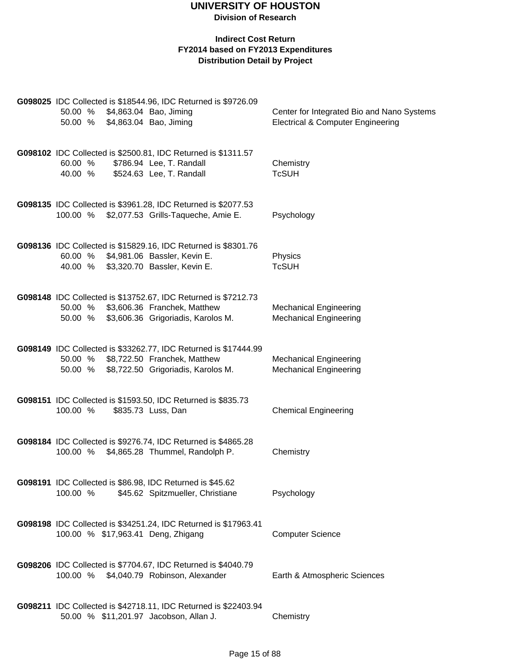| 50.00 %<br>50.00 % \$4,863.04 Bao, Jiming                             | G098025 IDC Collected is \$18544.96, IDC Returned is \$9726.09<br>\$4,863.04 Bao, Jiming                                             | Center for Integrated Bio and Nano Systems<br><b>Electrical &amp; Computer Engineering</b> |
|-----------------------------------------------------------------------|--------------------------------------------------------------------------------------------------------------------------------------|--------------------------------------------------------------------------------------------|
| 60.00 %<br>40.00 %                                                    | G098102 IDC Collected is \$2500.81, IDC Returned is \$1311.57<br>\$786.94 Lee, T. Randall<br>\$524.63 Lee, T. Randall                | Chemistry<br><b>TcSUH</b>                                                                  |
|                                                                       | G098135 IDC Collected is \$3961.28, IDC Returned is \$2077.53<br>100.00 % \$2,077.53 Grills-Taqueche, Amie E.                        | Psychology                                                                                 |
| 60.00 % \$4,981.06 Bassler, Kevin E.<br>40.00 %                       | G098136 IDC Collected is \$15829.16, IDC Returned is \$8301.76<br>\$3,320.70 Bassler, Kevin E.                                       | Physics<br><b>TcSUH</b>                                                                    |
| 50.00 %<br>50.00 %                                                    | G098148 IDC Collected is \$13752.67, IDC Returned is \$7212.73<br>\$3,606.36 Franchek, Matthew<br>\$3,606.36 Grigoriadis, Karolos M. | <b>Mechanical Engineering</b><br><b>Mechanical Engineering</b>                             |
| 50.00 % \$8,722.50 Franchek, Matthew                                  | G098149 IDC Collected is \$33262.77, IDC Returned is \$17444.99<br>50.00 % \$8,722.50 Grigoriadis, Karolos M.                        | <b>Mechanical Engineering</b><br><b>Mechanical Engineering</b>                             |
| 100.00 %                                                              | G098151 IDC Collected is \$1593.50, IDC Returned is \$835.73<br>\$835.73 Luss, Dan                                                   | <b>Chemical Engineering</b>                                                                |
|                                                                       | G098184 IDC Collected is \$9276.74, IDC Returned is \$4865.28<br>100.00 % \$4,865.28 Thummel, Randolph P.                            | Chemistry                                                                                  |
| G098191 IDC Collected is \$86.98, IDC Returned is \$45.62<br>100.00 % | \$45.62 Spitzmueller, Christiane                                                                                                     | Psychology                                                                                 |
| 100.00 % \$17,963.41 Deng, Zhigang                                    | G098198 IDC Collected is \$34251.24, IDC Returned is \$17963.41                                                                      | <b>Computer Science</b>                                                                    |
| 100.00 % \$4,040.79 Robinson, Alexander                               | G098206 IDC Collected is \$7704.67, IDC Returned is \$4040.79                                                                        | Earth & Atmospheric Sciences                                                               |
| 50.00 % \$11,201.97 Jacobson, Allan J.                                | G098211 IDC Collected is \$42718.11, IDC Returned is \$22403.94                                                                      | Chemistry                                                                                  |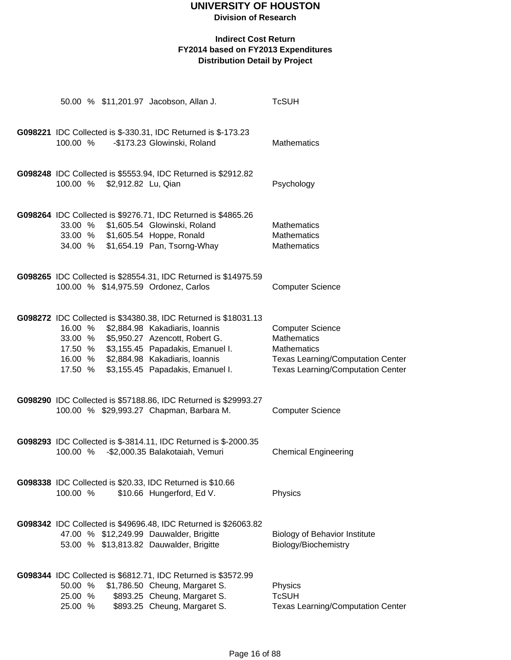### **Division of Research**

|          |                              | 50.00 % \$11,201.97 Jacobson, Allan J.                                                                     | <b>TcSUH</b>                                                   |
|----------|------------------------------|------------------------------------------------------------------------------------------------------------|----------------------------------------------------------------|
|          |                              |                                                                                                            |                                                                |
|          |                              | G098221 IDC Collected is \$-330.31, IDC Returned is \$-173.23                                              |                                                                |
| 100.00 % |                              | -\$173.23 Glowinski, Roland                                                                                | Mathematics                                                    |
|          |                              |                                                                                                            |                                                                |
|          |                              | G098248 IDC Collected is \$5553.94, IDC Returned is \$2912.82                                              |                                                                |
|          | 100.00 % \$2,912.82 Lu, Qian |                                                                                                            | Psychology                                                     |
|          |                              |                                                                                                            |                                                                |
|          |                              | G098264 IDC Collected is \$9276.71, IDC Returned is \$4865.26                                              |                                                                |
|          |                              | 33.00 % \$1,605.54 Glowinski, Roland                                                                       | <b>Mathematics</b>                                             |
|          |                              | 33.00 % \$1,605.54 Hoppe, Ronald                                                                           | Mathematics                                                    |
|          |                              | 34.00 % \$1,654.19 Pan, Tsorng-Whay                                                                        | Mathematics                                                    |
|          |                              |                                                                                                            |                                                                |
|          |                              | G098265 IDC Collected is \$28554.31, IDC Returned is \$14975.59                                            |                                                                |
|          |                              | 100.00 % \$14,975.59 Ordonez, Carlos                                                                       | <b>Computer Science</b>                                        |
|          |                              |                                                                                                            |                                                                |
|          |                              | G098272 IDC Collected is \$34380.38, IDC Returned is \$18031.13                                            |                                                                |
|          |                              | 16.00 % \$2,884.98 Kakadiaris, Ioannis                                                                     | <b>Computer Science</b>                                        |
|          |                              | 33.00 % \$5,950.27 Azencott, Robert G.                                                                     | <b>Mathematics</b>                                             |
|          |                              | 17.50 % \$3,155.45 Papadakis, Emanuel I.<br>16.00 % \$2,884.98 Kakadiaris, Ioannis                         | <b>Mathematics</b><br><b>Texas Learning/Computation Center</b> |
|          |                              | 17.50 % \$3,155.45 Papadakis, Emanuel I.                                                                   | <b>Texas Learning/Computation Center</b>                       |
|          |                              |                                                                                                            |                                                                |
|          |                              | G098290 IDC Collected is \$57188.86, IDC Returned is \$29993.27                                            |                                                                |
|          |                              | 100.00 % \$29,993.27 Chapman, Barbara M.                                                                   | <b>Computer Science</b>                                        |
|          |                              |                                                                                                            |                                                                |
|          |                              | G098293 IDC Collected is \$-3814.11, IDC Returned is \$-2000.35                                            |                                                                |
| 100.00 % |                              | -\$2,000.35 Balakotaiah, Vemuri                                                                            | <b>Chemical Engineering</b>                                    |
|          |                              |                                                                                                            |                                                                |
|          |                              |                                                                                                            |                                                                |
| 100.00 % |                              | G098338 IDC Collected is \$20.33, IDC Returned is \$10.66<br>\$10.66 Hungerford, Ed V.                     | Physics                                                        |
|          |                              |                                                                                                            |                                                                |
|          |                              |                                                                                                            |                                                                |
|          |                              | G098342 IDC Collected is \$49696.48, IDC Returned is \$26063.82<br>47.00 % \$12,249.99 Dauwalder, Brigitte | <b>Biology of Behavior Institute</b>                           |
|          |                              | 53.00 % \$13,813.82 Dauwalder, Brigitte                                                                    | Biology/Biochemistry                                           |
|          |                              |                                                                                                            |                                                                |
|          |                              | G098344 IDC Collected is \$6812.71, IDC Returned is \$3572.99                                              |                                                                |
| 50.00 %  |                              | \$1,786.50 Cheung, Margaret S.                                                                             | Physics                                                        |
| 25.00 %  |                              | \$893.25 Cheung, Margaret S.                                                                               | <b>TcSUH</b>                                                   |
| 25.00 %  |                              | \$893.25 Cheung, Margaret S.                                                                               | <b>Texas Learning/Computation Center</b>                       |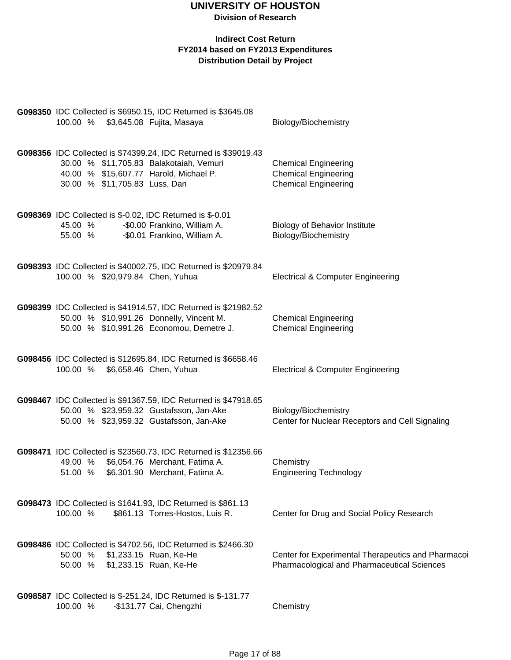|  |                    |                               | G098350 IDC Collected is \$6950.15, IDC Returned is \$3645.08<br>100.00 % \$3,645.08 Fujita, Masaya                                                     | Biology/Biochemistry                                                                              |
|--|--------------------|-------------------------------|---------------------------------------------------------------------------------------------------------------------------------------------------------|---------------------------------------------------------------------------------------------------|
|  |                    | 30.00 % \$11,705.83 Luss, Dan | G098356 IDC Collected is \$74399.24, IDC Returned is \$39019.43<br>30.00 % \$11,705.83 Balakotaiah, Vemuri<br>40.00 % \$15,607.77 Harold, Michael P.    | <b>Chemical Engineering</b><br><b>Chemical Engineering</b><br><b>Chemical Engineering</b>         |
|  | 45.00 %<br>55.00 % |                               | G098369 IDC Collected is \$-0.02, IDC Returned is \$-0.01<br>-\$0.00 Frankino, William A.<br>-\$0.01 Frankino, William A.                               | <b>Biology of Behavior Institute</b><br>Biology/Biochemistry                                      |
|  |                    |                               | G098393 IDC Collected is \$40002.75, IDC Returned is \$20979.84<br>100.00 % \$20,979.84 Chen, Yuhua                                                     | <b>Electrical &amp; Computer Engineering</b>                                                      |
|  |                    |                               | G098399 IDC Collected is \$41914.57, IDC Returned is \$21982.52<br>50.00 % \$10,991.26 Donnelly, Vincent M.<br>50.00 % \$10,991.26 Economou, Demetre J. | <b>Chemical Engineering</b><br><b>Chemical Engineering</b>                                        |
|  | 100.00 %           |                               | G098456 IDC Collected is \$12695.84, IDC Returned is \$6658.46<br>\$6,658.46 Chen, Yuhua                                                                | <b>Electrical &amp; Computer Engineering</b>                                                      |
|  |                    |                               | G098467 IDC Collected is \$91367.59, IDC Returned is \$47918.65<br>50.00 % \$23,959.32 Gustafsson, Jan-Ake<br>50.00 % \$23,959.32 Gustafsson, Jan-Ake   | Biology/Biochemistry<br>Center for Nuclear Receptors and Cell Signaling                           |
|  | 51.00 %            |                               | G098471 IDC Collected is \$23560.73, IDC Returned is \$12356.66<br>49.00 % \$6,054.76 Merchant, Fatima A.<br>\$6,301.90 Merchant, Fatima A.             | Chemistry<br><b>Engineering Technology</b>                                                        |
|  | 100.00 %           |                               | G098473 IDC Collected is \$1641.93, IDC Returned is \$861.13<br>\$861.13 Torres-Hostos, Luis R.                                                         | Center for Drug and Social Policy Research                                                        |
|  | 50.00 %<br>50.00 % |                               | G098486 IDC Collected is \$4702.56, IDC Returned is \$2466.30<br>\$1,233.15 Ruan, Ke-He<br>\$1,233.15 Ruan, Ke-He                                       | Center for Experimental Therapeutics and Pharmacoi<br>Pharmacological and Pharmaceutical Sciences |
|  | 100.00 %           |                               | G098587 IDC Collected is \$-251.24, IDC Returned is \$-131.77<br>-\$131.77 Cai, Chengzhi                                                                | Chemistry                                                                                         |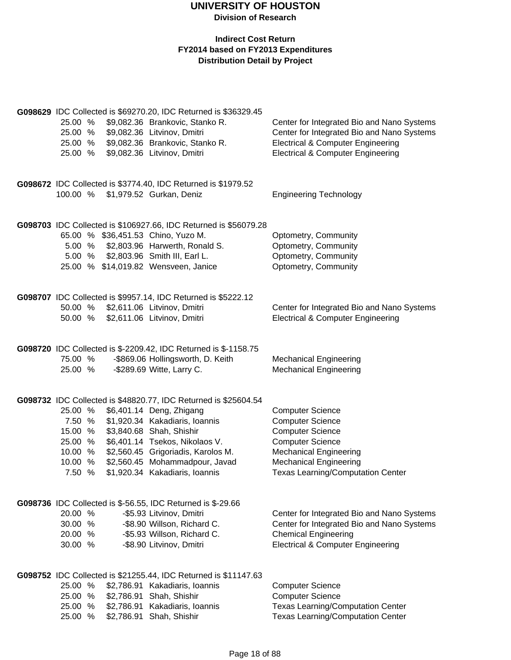| G098629 IDC Collected is \$69270.20, IDC Returned is \$36329.45 |            |                                                                    |                                              |
|-----------------------------------------------------------------|------------|--------------------------------------------------------------------|----------------------------------------------|
| 25.00 %                                                         |            | \$9,082.36 Brankovic, Stanko R.                                    | Center for Integrated Bio and Nano Systems   |
| 25.00 %                                                         |            | \$9,082.36 Litvinov, Dmitri                                        | Center for Integrated Bio and Nano Systems   |
| 25.00 %                                                         |            | \$9,082.36 Brankovic, Stanko R.                                    | <b>Electrical &amp; Computer Engineering</b> |
| 25.00 %                                                         |            | \$9,082.36 Litvinov, Dmitri                                        | <b>Electrical &amp; Computer Engineering</b> |
|                                                                 |            |                                                                    |                                              |
|                                                                 |            |                                                                    |                                              |
|                                                                 |            | G098672 IDC Collected is \$3774.40, IDC Returned is \$1979.52      |                                              |
|                                                                 |            | 100.00 % \$1,979.52 Gurkan, Deniz                                  | <b>Engineering Technology</b>                |
|                                                                 |            |                                                                    |                                              |
|                                                                 |            |                                                                    |                                              |
|                                                                 |            | G098703 IDC Collected is \$106927.66, IDC Returned is \$56079.28   |                                              |
|                                                                 |            | 65.00 % \$36,451.53 Chino, Yuzo M.                                 | Optometry, Community                         |
|                                                                 |            | 5.00 % \$2,803.96 Harwerth, Ronald S.                              | Optometry, Community                         |
|                                                                 |            | 5.00 % \$2,803.96 Smith III, Earl L.                               | Optometry, Community                         |
|                                                                 |            | 25.00 % \$14,019.82 Wensveen, Janice                               | Optometry, Community                         |
|                                                                 |            |                                                                    |                                              |
|                                                                 |            |                                                                    |                                              |
|                                                                 |            | G098707 IDC Collected is \$9957.14, IDC Returned is \$5222.12      |                                              |
| 50.00 %                                                         |            | \$2,611.06 Litvinov, Dmitri                                        | Center for Integrated Bio and Nano Systems   |
| 50.00 %                                                         |            | \$2,611.06 Litvinov, Dmitri                                        | <b>Electrical &amp; Computer Engineering</b> |
|                                                                 |            |                                                                    |                                              |
|                                                                 |            |                                                                    |                                              |
|                                                                 |            | G098720 IDC Collected is \$-2209.42, IDC Returned is \$-1158.75    |                                              |
| 75.00 %                                                         |            | -\$869.06 Hollingsworth, D. Keith                                  | <b>Mechanical Engineering</b>                |
| 25.00 %                                                         |            | -\$289.69 Witte, Larry C.                                          | <b>Mechanical Engineering</b>                |
|                                                                 |            |                                                                    |                                              |
|                                                                 |            | G098732 IDC Collected is \$48820.77, IDC Returned is \$25604.54    |                                              |
| 25.00 %                                                         |            | \$6,401.14 Deng, Zhigang                                           |                                              |
|                                                                 |            |                                                                    | <b>Computer Science</b>                      |
| 7.50 %                                                          |            | \$1,920.34 Kakadiaris, Ioannis                                     | <b>Computer Science</b>                      |
| 15.00 %                                                         |            | \$3,840.68 Shah, Shishir                                           | <b>Computer Science</b>                      |
| 25.00 %                                                         |            | \$6,401.14 Tsekos, Nikolaos V.                                     | <b>Computer Science</b>                      |
| 10.00 %                                                         |            | \$2,560.45 Grigoriadis, Karolos M.                                 | <b>Mechanical Engineering</b>                |
| 10.00 %                                                         |            | \$2,560.45 Mohammadpour, Javad                                     | <b>Mechanical Engineering</b>                |
| 7.50 %                                                          |            | \$1,920.34 Kakadiaris, Ioannis                                     | <b>Texas Learning/Computation Center</b>     |
|                                                                 |            |                                                                    |                                              |
|                                                                 |            | <b>G098736</b> IDC Collected is \$-56.55, IDC Returned is \$-29.66 |                                              |
| 20.00 %                                                         |            | -\$5.93 Litvinov, Dmitri                                           | Center for Integrated Bio and Nano Systems   |
| 30.00 %                                                         |            | -\$8.90 Willson, Richard C.                                        | Center for Integrated Bio and Nano Systems   |
| 20.00 %                                                         |            | -\$5.93 Willson, Richard C.                                        | <b>Chemical Engineering</b>                  |
| 30.00 %                                                         |            | -\$8.90 Litvinov, Dmitri                                           | <b>Electrical &amp; Computer Engineering</b> |
|                                                                 |            |                                                                    |                                              |
|                                                                 |            |                                                                    |                                              |
|                                                                 |            | G098752 IDC Collected is \$21255.44, IDC Returned is \$11147.63    |                                              |
| 25.00 %                                                         |            | \$2,786.91 Kakadiaris, Ioannis                                     | <b>Computer Science</b>                      |
| 25.00 %                                                         | \$2,786.91 | Shah, Shishir                                                      | <b>Computer Science</b>                      |
| 25.00 %                                                         | \$2,786.91 | Kakadiaris, Ioannis                                                | <b>Texas Learning/Computation Center</b>     |
| 25.00 %                                                         |            | \$2,786.91 Shah, Shishir                                           | <b>Texas Learning/Computation Center</b>     |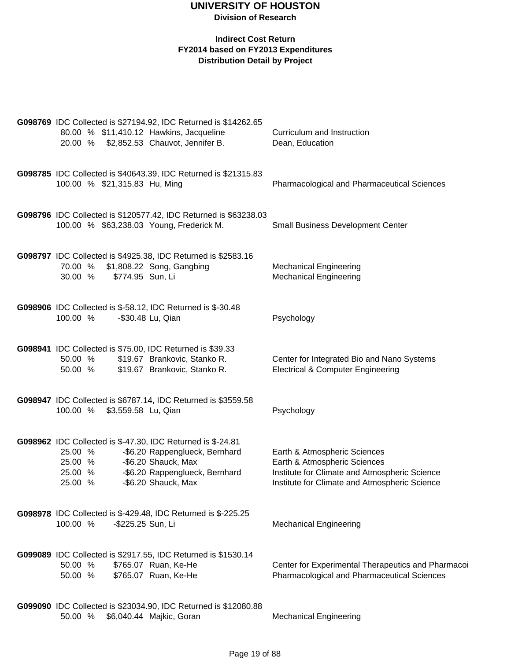| G098769 IDC Collected is \$27194.92, IDC Returned is \$14262.65<br>80.00 % \$11,410.12 Hawkins, Jacqueline<br>20.00 % \$2,852.53 Chauvot, Jennifer B.                                                                     | Curriculum and Instruction<br>Dean, Education                                                                                                                  |
|---------------------------------------------------------------------------------------------------------------------------------------------------------------------------------------------------------------------------|----------------------------------------------------------------------------------------------------------------------------------------------------------------|
| G098785 IDC Collected is \$40643.39, IDC Returned is \$21315.83<br>100.00 % \$21,315.83 Hu, Ming                                                                                                                          | <b>Pharmacological and Pharmaceutical Sciences</b>                                                                                                             |
| G098796 IDC Collected is \$120577.42, IDC Returned is \$63238.03<br>100.00 % \$63,238.03 Young, Frederick M.                                                                                                              | <b>Small Business Development Center</b>                                                                                                                       |
| G098797 IDC Collected is \$4925.38, IDC Returned is \$2583.16<br>\$1,808.22 Song, Gangbing<br>70.00 %<br>30.00 %<br>\$774.95 Sun, Li                                                                                      | <b>Mechanical Engineering</b><br><b>Mechanical Engineering</b>                                                                                                 |
| <b>G098906</b> IDC Collected is \$-58.12, IDC Returned is \$-30.48<br>100.00 %<br>-\$30.48 Lu, Qian                                                                                                                       | Psychology                                                                                                                                                     |
| G098941 IDC Collected is \$75.00, IDC Returned is \$39.33<br>50.00 %<br>\$19.67 Brankovic, Stanko R.<br>50.00 %<br>\$19.67 Brankovic, Stanko R.                                                                           | Center for Integrated Bio and Nano Systems<br><b>Electrical &amp; Computer Engineering</b>                                                                     |
| G098947 IDC Collected is \$6787.14, IDC Returned is \$3559.58<br>100.00 % \$3,559.58 Lu, Qian                                                                                                                             | Psychology                                                                                                                                                     |
| G098962 IDC Collected is \$-47.30, IDC Returned is \$-24.81<br>25.00 %<br>-\$6.20 Rappenglueck, Bernhard<br>-\$6.20 Shauck, Max<br>25.00 %<br>25.00 %<br>-\$6.20 Rappenglueck, Bernhard<br>25.00 %<br>-\$6.20 Shauck, Max | Earth & Atmospheric Sciences<br>Earth & Atmospheric Sciences<br>Institute for Climate and Atmospheric Science<br>Institute for Climate and Atmospheric Science |
| G098978 IDC Collected is \$-429.48, IDC Returned is \$-225.25<br>100.00 %<br>-\$225.25 Sun, Li                                                                                                                            | <b>Mechanical Engineering</b>                                                                                                                                  |
| G099089 IDC Collected is \$2917.55, IDC Returned is \$1530.14<br>50.00 %<br>\$765.07 Ruan, Ke-He<br>\$765.07 Ruan, Ke-He<br>50.00 %                                                                                       | Center for Experimental Therapeutics and Pharmacoi<br><b>Pharmacological and Pharmaceutical Sciences</b>                                                       |
| G099090 IDC Collected is \$23034.90, IDC Returned is \$12080.88<br>50.00 % \$6,040.44 Majkic, Goran                                                                                                                       | <b>Mechanical Engineering</b>                                                                                                                                  |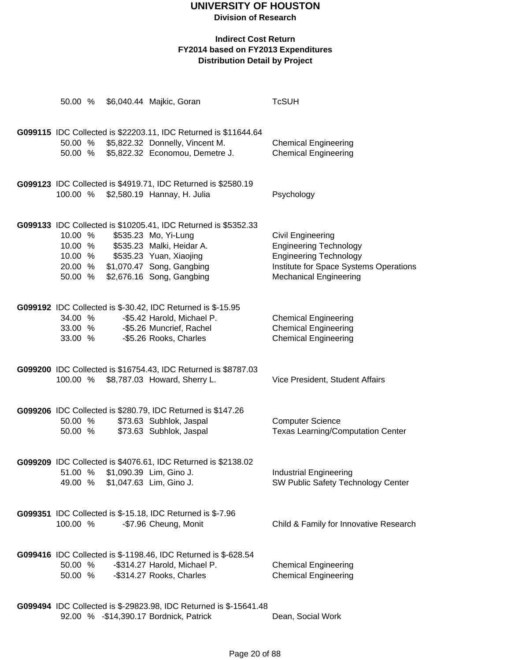**Division of Research**

#### **Indirect Cost Return FY2014 based on FY2013 Expenditures Distribution Detail by Project**

| 50.00 %                       |  | \$6,040.44 Majkic, Goran                                                                                                                                                                                                 | <b>TcSUH</b>                                                                                                                                                          |
|-------------------------------|--|--------------------------------------------------------------------------------------------------------------------------------------------------------------------------------------------------------------------------|-----------------------------------------------------------------------------------------------------------------------------------------------------------------------|
| 50.00 %                       |  | G099115 IDC Collected is \$22203.11, IDC Returned is \$11644.64<br>50.00 % \$5,822.32 Donnelly, Vincent M.<br>\$5,822.32 Economou, Demetre J.                                                                            | <b>Chemical Engineering</b><br><b>Chemical Engineering</b>                                                                                                            |
| 100.00 %                      |  | G099123 IDC Collected is \$4919.71, IDC Returned is \$2580.19<br>\$2,580.19 Hannay, H. Julia                                                                                                                             | Psychology                                                                                                                                                            |
| 10.00 %<br>10.00 %<br>50.00 % |  | G099133 IDC Collected is \$10205.41, IDC Returned is \$5352.33<br>\$535.23 Mo, Yi-Lung<br>10.00 % \$535.23 Malki, Heidar A.<br>\$535.23 Yuan, Xiaojing<br>20.00 % \$1,070.47 Song, Gangbing<br>\$2,676.16 Song, Gangbing | <b>Civil Engineering</b><br><b>Engineering Technology</b><br><b>Engineering Technology</b><br>Institute for Space Systems Operations<br><b>Mechanical Engineering</b> |
| 34.00 %<br>33.00 %<br>33.00 % |  | G099192 IDC Collected is \$-30.42, IDC Returned is \$-15.95<br>-\$5.42 Harold, Michael P.<br>-\$5.26 Muncrief, Rachel<br>-\$5.26 Rooks, Charles                                                                          | <b>Chemical Engineering</b><br><b>Chemical Engineering</b><br><b>Chemical Engineering</b>                                                                             |
| 100.00 %                      |  | G099200 IDC Collected is \$16754.43, IDC Returned is \$8787.03<br>\$8,787.03 Howard, Sherry L.                                                                                                                           | Vice President, Student Affairs                                                                                                                                       |
| 50.00 %<br>50.00 %            |  | G099206 IDC Collected is \$280.79, IDC Returned is \$147.26<br>\$73.63 Subhlok, Jaspal<br>\$73.63 Subhlok, Jaspal                                                                                                        | <b>Computer Science</b><br><b>Texas Learning/Computation Center</b>                                                                                                   |
| 51.00 %<br>49.00 %            |  | G099209 IDC Collected is \$4076.61, IDC Returned is \$2138.02<br>\$1,090.39 Lim, Gino J.<br>\$1,047.63 Lim, Gino J.                                                                                                      | <b>Industrial Engineering</b><br>SW Public Safety Technology Center                                                                                                   |
| 100.00 %                      |  | <b>G099351</b> IDC Collected is \$-15.18, IDC Returned is \$-7.96<br>-\$7.96 Cheung, Monit                                                                                                                               | Child & Family for Innovative Research                                                                                                                                |
| 50.00 %<br>50.00 %            |  | G099416 IDC Collected is \$-1198.46, IDC Returned is \$-628.54<br>-\$314.27 Harold, Michael P.<br>-\$314.27 Rooks, Charles                                                                                               | <b>Chemical Engineering</b><br><b>Chemical Engineering</b>                                                                                                            |
|                               |  | 0000000000000                                                                                                                                                                                                            |                                                                                                                                                                       |

**G099494** IDC Collected is \$-29823.98, IDC Returned is \$-15641.48 92.00 % -\$14,390.17 Bordnick, Patrick Dean, Social Work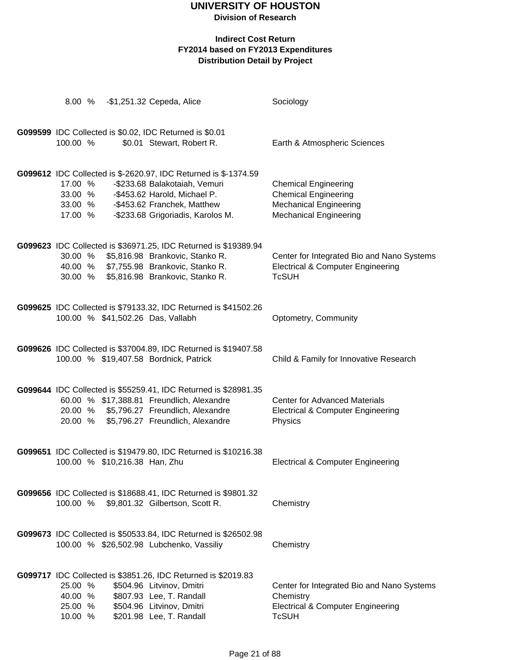**Division of Research**

| 8.00 %                                   |                               | -\$1,251.32 Cepeda, Alice                                                                                                                                                                            | Sociology                                                                                                                    |
|------------------------------------------|-------------------------------|------------------------------------------------------------------------------------------------------------------------------------------------------------------------------------------------------|------------------------------------------------------------------------------------------------------------------------------|
| 100.00 %                                 |                               | G099599 IDC Collected is \$0.02, IDC Returned is \$0.01<br>\$0.01 Stewart, Robert R.                                                                                                                 | Earth & Atmospheric Sciences                                                                                                 |
| 17.00 %<br>33.00 %<br>33.00 %<br>17.00 % |                               | G099612 IDC Collected is \$-2620.97, IDC Returned is \$-1374.59<br>-\$233.68 Balakotaiah, Vemuri<br>-\$453.62 Harold, Michael P.<br>-\$453.62 Franchek, Matthew<br>-\$233.68 Grigoriadis, Karolos M. | <b>Chemical Engineering</b><br><b>Chemical Engineering</b><br><b>Mechanical Engineering</b><br><b>Mechanical Engineering</b> |
| 30.00 %<br>30.00 %                       |                               | G099623 IDC Collected is \$36971.25, IDC Returned is \$19389.94<br>\$5,816.98 Brankovic, Stanko R.<br>40.00 % \$7,755.98 Brankovic, Stanko R.<br>\$5,816.98 Brankovic, Stanko R.                     | Center for Integrated Bio and Nano Systems<br><b>Electrical &amp; Computer Engineering</b><br><b>TcSUH</b>                   |
|                                          |                               | G099625 IDC Collected is \$79133.32, IDC Returned is \$41502.26<br>100.00 % \$41,502.26 Das, Vallabh                                                                                                 | Optometry, Community                                                                                                         |
|                                          |                               | G099626 IDC Collected is \$37004.89, IDC Returned is \$19407.58<br>100.00 % \$19,407.58 Bordnick, Patrick                                                                                            | Child & Family for Innovative Research                                                                                       |
| 20.00 %<br>20.00 %                       |                               | G099644 IDC Collected is \$55259.41, IDC Returned is \$28981.35<br>60.00 % \$17,388.81 Freundlich, Alexandre<br>\$5,796.27 Freundlich, Alexandre<br>\$5,796.27 Freundlich, Alexandre                 | <b>Center for Advanced Materials</b><br><b>Electrical &amp; Computer Engineering</b><br>Physics                              |
|                                          | 100.00 % \$10,216.38 Han, Zhu | G099651 IDC Collected is \$19479.80, IDC Returned is \$10216.38                                                                                                                                      | <b>Electrical &amp; Computer Engineering</b>                                                                                 |
|                                          |                               | G099656 IDC Collected is \$18688.41, IDC Returned is \$9801.32<br>100.00 % \$9,801.32 Gilbertson, Scott R.                                                                                           | Chemistry                                                                                                                    |
|                                          |                               | G099673 IDC Collected is \$50533.84, IDC Returned is \$26502.98<br>100.00 % \$26,502.98 Lubchenko, Vassiliy                                                                                          | Chemistry                                                                                                                    |
| 25.00 %<br>40.00 %<br>25.00 %<br>10.00 % |                               | G099717 IDC Collected is \$3851.26, IDC Returned is \$2019.83<br>\$504.96 Litvinov, Dmitri<br>\$807.93 Lee, T. Randall<br>\$504.96 Litvinov, Dmitri<br>\$201.98 Lee, T. Randall                      | Center for Integrated Bio and Nano Systems<br>Chemistry<br><b>Electrical &amp; Computer Engineering</b><br><b>TcSUH</b>      |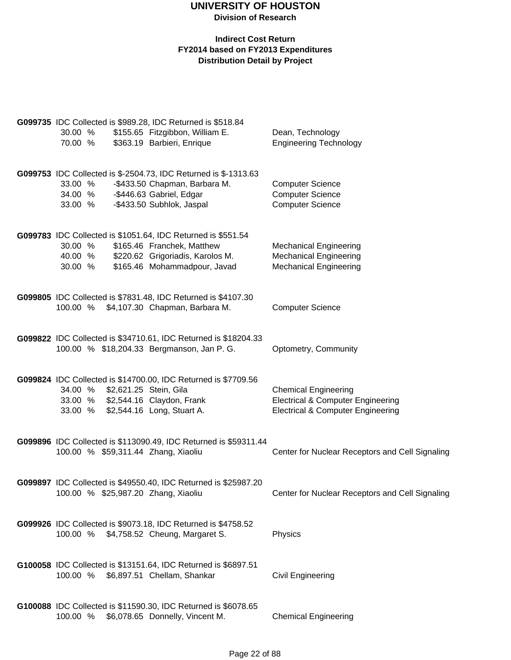|          |  | G099735 IDC Collected is \$989.28, IDC Returned is \$518.84      |                                                 |
|----------|--|------------------------------------------------------------------|-------------------------------------------------|
| 30.00 %  |  | \$155.65 Fitzgibbon, William E.                                  | Dean, Technology                                |
| 70.00 %  |  | \$363.19 Barbieri, Enrique                                       | <b>Engineering Technology</b>                   |
|          |  | G099753 IDC Collected is \$-2504.73, IDC Returned is \$-1313.63  |                                                 |
| 33.00 %  |  | -\$433.50 Chapman, Barbara M.                                    | <b>Computer Science</b>                         |
| 34.00 %  |  | -\$446.63 Gabriel, Edgar                                         | <b>Computer Science</b>                         |
| 33.00 %  |  | -\$433.50 Subhlok, Jaspal                                        | <b>Computer Science</b>                         |
|          |  | G099783 IDC Collected is \$1051.64, IDC Returned is \$551.54     |                                                 |
| 30.00 %  |  | \$165.46 Franchek, Matthew                                       | <b>Mechanical Engineering</b>                   |
| 40.00 %  |  | \$220.62 Grigoriadis, Karolos M.                                 | <b>Mechanical Engineering</b>                   |
| 30.00 %  |  | \$165.46 Mohammadpour, Javad                                     | <b>Mechanical Engineering</b>                   |
|          |  | G099805 IDC Collected is \$7831.48, IDC Returned is \$4107.30    |                                                 |
| 100.00 % |  | \$4,107.30 Chapman, Barbara M.                                   | <b>Computer Science</b>                         |
|          |  | G099822 IDC Collected is \$34710.61, IDC Returned is \$18204.33  |                                                 |
|          |  | 100.00 % \$18,204.33 Bergmanson, Jan P. G.                       | Optometry, Community                            |
|          |  |                                                                  |                                                 |
|          |  | G099824 IDC Collected is \$14700.00, IDC Returned is \$7709.56   |                                                 |
| 34.00 %  |  | \$2,621.25 Stein, Gila                                           | <b>Chemical Engineering</b>                     |
| 33.00 %  |  | \$2,544.16 Claydon, Frank                                        | <b>Electrical &amp; Computer Engineering</b>    |
| 33.00 %  |  | \$2,544.16 Long, Stuart A.                                       | <b>Electrical &amp; Computer Engineering</b>    |
|          |  |                                                                  |                                                 |
|          |  | G099896 IDC Collected is \$113090.49, IDC Returned is \$59311.44 |                                                 |
|          |  | 100.00 % \$59,311.44 Zhang, Xiaoliu                              | Center for Nuclear Receptors and Cell Signaling |
|          |  |                                                                  |                                                 |
|          |  | G099897 IDC Collected is \$49550.40, IDC Returned is \$25987.20  |                                                 |
|          |  | 100.00 % \$25,987.20 Zhang, Xiaoliu                              | Center for Nuclear Receptors and Cell Signaling |
|          |  | G099926 IDC Collected is \$9073.18, IDC Returned is \$4758.52    |                                                 |
| 100.00 % |  | \$4,758.52 Cheung, Margaret S.                                   | Physics                                         |
|          |  |                                                                  |                                                 |
|          |  | G100058 IDC Collected is \$13151.64, IDC Returned is \$6897.51   |                                                 |
| 100.00 % |  | \$6,897.51 Chellam, Shankar                                      | <b>Civil Engineering</b>                        |
|          |  |                                                                  |                                                 |
|          |  | G100088 IDC Collected is \$11590.30, IDC Returned is \$6078.65   |                                                 |
| 100.00 % |  | \$6,078.65 Donnelly, Vincent M.                                  | <b>Chemical Engineering</b>                     |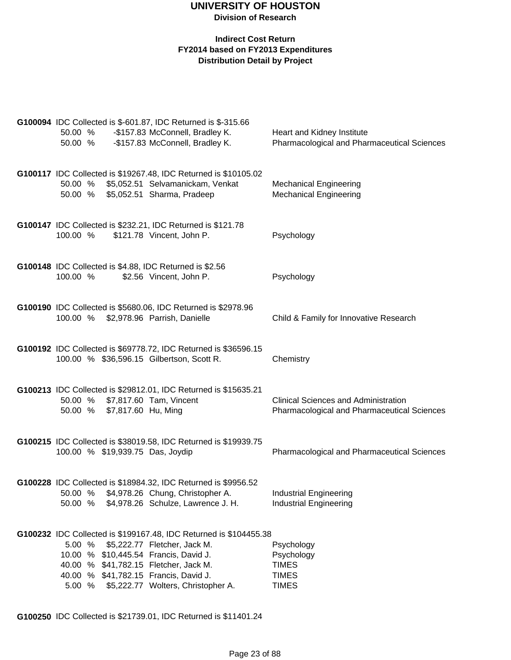#### **Indirect Cost Return FY2014 based on FY2013 Expenditures Distribution Detail by Project**

| 50.00 %<br>50.00 % |                                  | G100094 IDC Collected is \$-601.87, IDC Returned is \$-315.66<br>-\$157.83 McConnell, Bradley K.<br>-\$157.83 McConnell, Bradley K.      | Heart and Kidney Institute<br>Pharmacological and Pharmaceutical Sciences                         |
|--------------------|----------------------------------|------------------------------------------------------------------------------------------------------------------------------------------|---------------------------------------------------------------------------------------------------|
| 50.00 %<br>50.00 % |                                  | G100117 IDC Collected is \$19267.48, IDC Returned is \$10105.02<br>\$5,052.51 Selvamanickam, Venkat<br>\$5,052.51 Sharma, Pradeep        | <b>Mechanical Engineering</b><br><b>Mechanical Engineering</b>                                    |
| 100.00 %           |                                  | G100147 IDC Collected is \$232.21, IDC Returned is \$121.78<br>\$121.78 Vincent, John P.                                                 | Psychology                                                                                        |
| 100.00 %           |                                  | G100148 IDC Collected is \$4.88, IDC Returned is \$2.56<br>\$2.56 Vincent, John P.                                                       | Psychology                                                                                        |
| 100.00 %           |                                  | G100190 IDC Collected is \$5680.06, IDC Returned is \$2978.96<br>\$2,978.96 Parrish, Danielle                                            | Child & Family for Innovative Research                                                            |
|                    |                                  | G100192 IDC Collected is \$69778.72, IDC Returned is \$36596.15<br>100.00 % \$36,596.15 Gilbertson, Scott R.                             | Chemistry                                                                                         |
| 50.00 %            | \$7,817.60 Hu, Ming              | G100213 IDC Collected is \$29812.01, IDC Returned is \$15635.21<br>50.00 % \$7,817.60 Tam, Vincent                                       | <b>Clinical Sciences and Administration</b><br><b>Pharmacological and Pharmaceutical Sciences</b> |
|                    | 100.00 % \$19,939.75 Das, Joydip | G100215 IDC Collected is \$38019.58, IDC Returned is \$19939.75                                                                          | <b>Pharmacological and Pharmaceutical Sciences</b>                                                |
| 50.00 %<br>50.00 % |                                  | G100228 IDC Collected is \$18984.32, IDC Returned is \$9956.52<br>\$4,978.26 Chung, Christopher A.<br>\$4,978.26 Schulze, Lawrence J. H. | <b>Industrial Engineering</b><br><b>Industrial Engineering</b>                                    |
|                    |                                  | G100232 IDC Collected is \$199167.48, IDC Returned is \$104455.38                                                                        |                                                                                                   |
| 5.00 %             |                                  | \$5,222.77 Fletcher, Jack M.                                                                                                             | Psychology                                                                                        |
|                    |                                  | 10.00 % \$10,445.54 Francis, David J.                                                                                                    | Psychology                                                                                        |
|                    |                                  | 40.00 % \$41,782.15 Fletcher, Jack M.                                                                                                    | <b>TIMES</b>                                                                                      |
|                    |                                  | 40.00 % \$41,782.15 Francis, David J.                                                                                                    | <b>TIMES</b>                                                                                      |
| 5.00 %             |                                  | \$5,222.77 Wolters, Christopher A.                                                                                                       | <b>TIMES</b>                                                                                      |

**G100250** IDC Collected is \$21739.01, IDC Returned is \$11401.24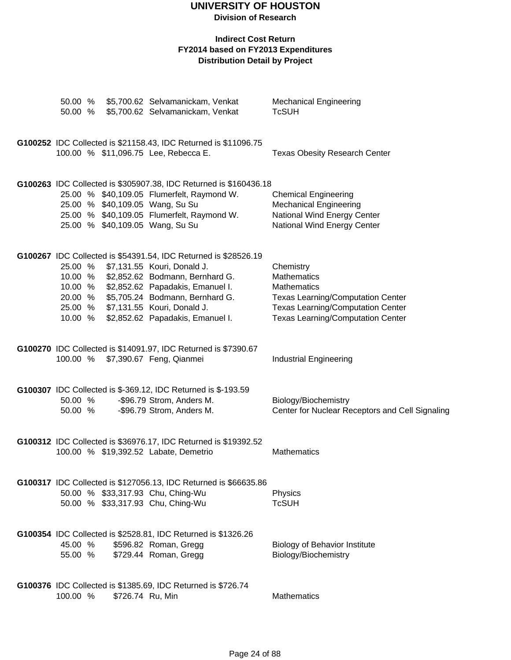**Division of Research**

|                                                     |                  | 50.00 % \$5,700.62 Selvamanickam, Venkat<br>50.00 % \$5,700.62 Selvamanickam, Venkat                                                                                                                                                                                                | <b>Mechanical Engineering</b><br><b>TcSUH</b>                                                                                                                                             |
|-----------------------------------------------------|------------------|-------------------------------------------------------------------------------------------------------------------------------------------------------------------------------------------------------------------------------------------------------------------------------------|-------------------------------------------------------------------------------------------------------------------------------------------------------------------------------------------|
|                                                     |                  | G100252 IDC Collected is \$21158.43, IDC Returned is \$11096.75<br>100.00 % \$11,096.75 Lee, Rebecca E.                                                                                                                                                                             | <b>Texas Obesity Research Center</b>                                                                                                                                                      |
|                                                     |                  | G100263 IDC Collected is \$305907.38, IDC Returned is \$160436.18<br>25.00 % \$40,109.05 Flumerfelt, Raymond W.<br>25.00 % \$40,109.05 Wang, Su Su<br>25.00 % \$40,109.05 Flumerfelt, Raymond W.<br>25.00 % \$40,109.05 Wang, Su Su                                                 | <b>Chemical Engineering</b><br><b>Mechanical Engineering</b><br>National Wind Energy Center<br>National Wind Energy Center                                                                |
| 10.00 %<br>10.00 %<br>20.00 %<br>25.00 %<br>10.00 % |                  | G100267 IDC Collected is \$54391.54, IDC Returned is \$28526.19<br>25.00 % \$7,131.55 Kouri, Donald J.<br>\$2,852.62 Bodmann, Bernhard G.<br>\$2,852.62 Papadakis, Emanuel I.<br>\$5,705.24 Bodmann, Bernhard G.<br>\$7,131.55 Kouri, Donald J.<br>\$2,852.62 Papadakis, Emanuel I. | Chemistry<br><b>Mathematics</b><br><b>Mathematics</b><br><b>Texas Learning/Computation Center</b><br><b>Texas Learning/Computation Center</b><br><b>Texas Learning/Computation Center</b> |
|                                                     |                  | G100270 IDC Collected is \$14091.97, IDC Returned is \$7390.67<br>100.00 % \$7,390.67 Feng, Qianmei                                                                                                                                                                                 | <b>Industrial Engineering</b>                                                                                                                                                             |
| 50.00 %<br>50.00 %                                  |                  | G100307 IDC Collected is \$-369.12, IDC Returned is \$-193.59<br>-\$96.79 Strom, Anders M.<br>-\$96.79 Strom, Anders M.                                                                                                                                                             | Biology/Biochemistry<br>Center for Nuclear Receptors and Cell Signaling                                                                                                                   |
|                                                     |                  | G100312 IDC Collected is \$36976.17, IDC Returned is \$19392.52<br>100.00 % \$19,392.52 Labate, Demetrio                                                                                                                                                                            | Mathematics                                                                                                                                                                               |
|                                                     |                  | G100317 IDC Collected is \$127056.13, IDC Returned is \$66635.86<br>50.00 % \$33,317.93 Chu, Ching-Wu<br>50.00 % \$33,317.93 Chu, Ching-Wu                                                                                                                                          | Physics<br><b>TcSUH</b>                                                                                                                                                                   |
| 45.00 %<br>55.00 %                                  |                  | G100354 IDC Collected is \$2528.81, IDC Returned is \$1326.26<br>\$596.82 Roman, Gregg<br>\$729.44 Roman, Gregg                                                                                                                                                                     | <b>Biology of Behavior Institute</b><br>Biology/Biochemistry                                                                                                                              |
| 100.00 %                                            | \$726.74 Ru, Min | G100376 IDC Collected is \$1385.69, IDC Returned is \$726.74                                                                                                                                                                                                                        | Mathematics                                                                                                                                                                               |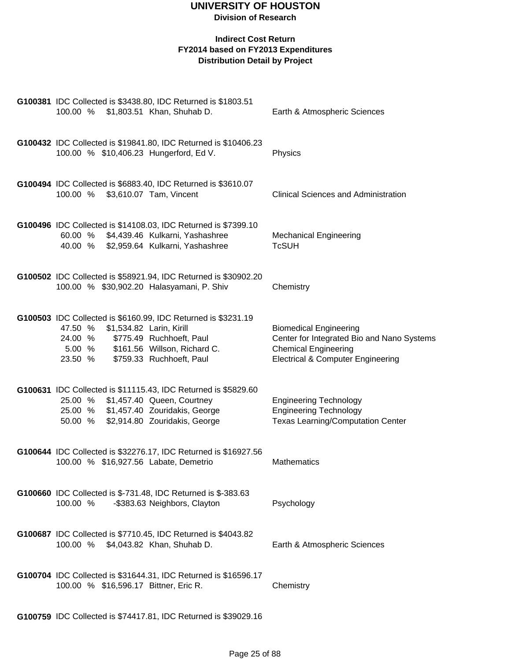| 100.00 % \$1,803.51 Khan, Shuhab D.                                             | G100381 IDC Collected is \$3438.80, IDC Returned is \$1803.51                                                                                | Earth & Atmospheric Sciences                                                                                                                               |
|---------------------------------------------------------------------------------|----------------------------------------------------------------------------------------------------------------------------------------------|------------------------------------------------------------------------------------------------------------------------------------------------------------|
| 100.00 % \$10,406.23 Hungerford, Ed V.                                          | G100432 IDC Collected is \$19841.80, IDC Returned is \$10406.23                                                                              | Physics                                                                                                                                                    |
| 100.00 % \$3,610.07 Tam, Vincent                                                | G100494 IDC Collected is \$6883.40, IDC Returned is \$3610.07                                                                                | <b>Clinical Sciences and Administration</b>                                                                                                                |
| 40.00 %                                                                         | G100496 IDC Collected is \$14108.03, IDC Returned is \$7399.10<br>60.00 % \$4,439.46 Kulkarni, Yashashree<br>\$2,959.64 Kulkarni, Yashashree | <b>Mechanical Engineering</b><br><b>TcSUH</b>                                                                                                              |
|                                                                                 | G100502 IDC Collected is \$58921.94, IDC Returned is \$30902.20<br>100.00 % \$30,902.20 Halasyamani, P. Shiv                                 | Chemistry                                                                                                                                                  |
| 47.50 %<br>24.00 % \$775.49 Ruchhoeft, Paul<br>23.50 % \$759.33 Ruchhoeft, Paul | G100503 IDC Collected is \$6160.99, IDC Returned is \$3231.19<br>\$1,534.82 Larin, Kirill<br>5.00 % \$161.56 Willson, Richard C.             | <b>Biomedical Engineering</b><br>Center for Integrated Bio and Nano Systems<br><b>Chemical Engineering</b><br><b>Electrical &amp; Computer Engineering</b> |
| 25.00 % \$1,457.40 Queen, Courtney<br>50.00 % \$2,914.80 Zouridakis, George     | G100631 IDC Collected is \$11115.43, IDC Returned is \$5829.60<br>25.00 % \$1,457.40 Zouridakis, George                                      | <b>Engineering Technology</b><br><b>Engineering Technology</b><br><b>Texas Learning/Computation Center</b>                                                 |
| 100.00 % \$16,927.56 Labate, Demetrio                                           | G100644 IDC Collected is \$32276.17, IDC Returned is \$16927.56                                                                              | <b>Mathematics</b>                                                                                                                                         |
| 100.00 %                                                                        | G100660 IDC Collected is \$-731.48, IDC Returned is \$-383.63<br>-\$383.63 Neighbors, Clayton                                                | Psychology                                                                                                                                                 |
| 100.00 % \$4,043.82 Khan, Shuhab D.                                             | G100687 IDC Collected is \$7710.45, IDC Returned is \$4043.82                                                                                | Earth & Atmospheric Sciences                                                                                                                               |
| 100.00 % \$16,596.17 Bittner, Eric R.                                           | G100704 IDC Collected is \$31644.31, IDC Returned is \$16596.17                                                                              | Chemistry                                                                                                                                                  |
|                                                                                 | G100759 IDC Collected is \$74417.81, IDC Returned is \$39029.16                                                                              |                                                                                                                                                            |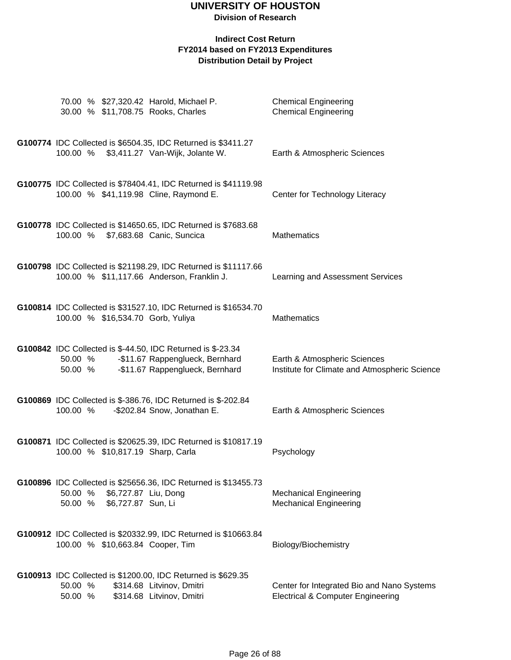#### **Division of Research**

| 30.00 % \$11,708.75 Rooks, Charles     | 70.00 % \$27,320.42 Harold, Michael P.                                                                                            | <b>Chemical Engineering</b><br><b>Chemical Engineering</b>                                 |
|----------------------------------------|-----------------------------------------------------------------------------------------------------------------------------------|--------------------------------------------------------------------------------------------|
|                                        | G100774 IDC Collected is \$6504.35, IDC Returned is \$3411.27<br>100.00 % \$3,411.27 Van-Wijk, Jolante W.                         | Earth & Atmospheric Sciences                                                               |
| 100.00 % \$41,119.98 Cline, Raymond E. | G100775 IDC Collected is \$78404.41, IDC Returned is \$41119.98                                                                   | Center for Technology Literacy                                                             |
| 100.00 % \$7,683.68 Canic, Suncica     | G100778 IDC Collected is \$14650.65, IDC Returned is \$7683.68                                                                    | <b>Mathematics</b>                                                                         |
|                                        | G100798 IDC Collected is \$21198.29, IDC Returned is \$11117.66<br>100.00 % \$11,117.66 Anderson, Franklin J.                     | Learning and Assessment Services                                                           |
| 100.00 % \$16,534.70 Gorb, Yuliya      | G100814 IDC Collected is \$31527.10, IDC Returned is \$16534.70                                                                   | <b>Mathematics</b>                                                                         |
| 50.00 %<br>50.00 %                     | G100842 IDC Collected is \$-44.50, IDC Returned is \$-23.34<br>-\$11.67 Rappenglueck, Bernhard<br>-\$11.67 Rappenglueck, Bernhard | Earth & Atmospheric Sciences<br>Institute for Climate and Atmospheric Science              |
| 100.00 %                               | G100869 IDC Collected is \$-386.76, IDC Returned is \$-202.84<br>-\$202.84 Snow, Jonathan E.                                      | Earth & Atmospheric Sciences                                                               |
| 100.00 % \$10,817.19 Sharp, Carla      | G100871 IDC Collected is \$20625.39, IDC Returned is \$10817.19                                                                   | Psychology                                                                                 |
| 50.00 %<br>50.00 % \$6,727.87 Sun, Li  | G100896 IDC Collected is \$25656.36, IDC Returned is \$13455.73<br>\$6,727.87 Liu, Dong                                           | <b>Mechanical Engineering</b><br><b>Mechanical Engineering</b>                             |
| 100.00 % \$10,663.84 Cooper, Tim       | G100912 IDC Collected is \$20332.99, IDC Returned is \$10663.84                                                                   | Biology/Biochemistry                                                                       |
| 50.00 %<br>50.00 %                     | G100913 IDC Collected is \$1200.00, IDC Returned is \$629.35<br>\$314.68 Litvinov, Dmitri<br>\$314.68 Litvinov, Dmitri            | Center for Integrated Bio and Nano Systems<br><b>Electrical &amp; Computer Engineering</b> |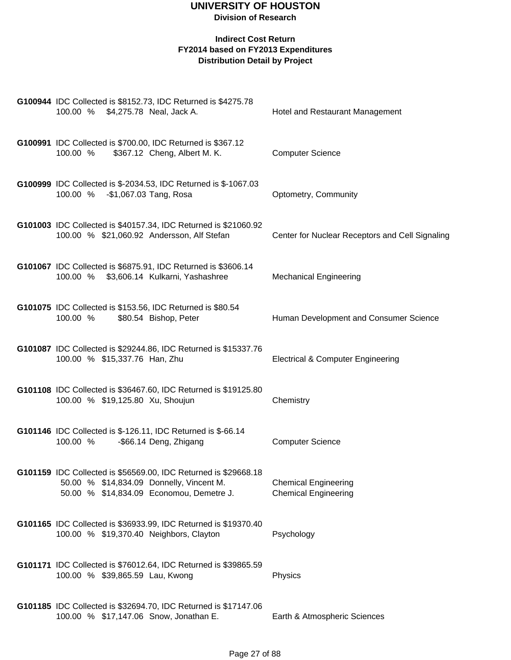| G100944 IDC Collected is \$8152.73, IDC Returned is \$4275.78<br>100.00 % \$4,275.78 Neal, Jack A.                                                      | Hotel and Restaurant Management                            |
|---------------------------------------------------------------------------------------------------------------------------------------------------------|------------------------------------------------------------|
| G100991 IDC Collected is \$700.00, IDC Returned is \$367.12<br>100.00 %<br>\$367.12 Cheng, Albert M. K.                                                 | <b>Computer Science</b>                                    |
| G100999 IDC Collected is \$-2034.53, IDC Returned is \$-1067.03<br>100.00 % - \$1,067.03 Tang, Rosa                                                     | Optometry, Community                                       |
| G101003 IDC Collected is \$40157.34, IDC Returned is \$21060.92<br>100.00 % \$21,060.92 Andersson, Alf Stefan                                           | Center for Nuclear Receptors and Cell Signaling            |
| G101067 IDC Collected is \$6875.91, IDC Returned is \$3606.14<br>100.00 % \$3,606.14 Kulkarni, Yashashree                                               | <b>Mechanical Engineering</b>                              |
| G101075 IDC Collected is \$153.56, IDC Returned is \$80.54<br>100.00 %<br>\$80.54 Bishop, Peter                                                         | Human Development and Consumer Science                     |
| G101087 IDC Collected is \$29244.86, IDC Returned is \$15337.76<br>100.00 % \$15,337.76 Han, Zhu                                                        | <b>Electrical &amp; Computer Engineering</b>               |
| G101108 IDC Collected is \$36467.60, IDC Returned is \$19125.80<br>100.00 % \$19,125.80 Xu, Shoujun                                                     | Chemistry                                                  |
| G101146 IDC Collected is \$-126.11, IDC Returned is \$-66.14<br>100.00 %<br>-\$66.14 Deng, Zhigang                                                      | <b>Computer Science</b>                                    |
| G101159 IDC Collected is \$56569.00, IDC Returned is \$29668.18<br>50.00 % \$14,834.09 Donnelly, Vincent M.<br>50.00 % \$14,834.09 Economou, Demetre J. | <b>Chemical Engineering</b><br><b>Chemical Engineering</b> |
| G101165 IDC Collected is \$36933.99, IDC Returned is \$19370.40<br>100.00 % \$19,370.40 Neighbors, Clayton                                              | Psychology                                                 |
| G101171 IDC Collected is \$76012.64, IDC Returned is \$39865.59<br>100.00 % \$39,865.59 Lau, Kwong                                                      | Physics                                                    |
| G101185 IDC Collected is \$32694.70, IDC Returned is \$17147.06<br>100.00 % \$17,147.06 Snow, Jonathan E.                                               | Earth & Atmospheric Sciences                               |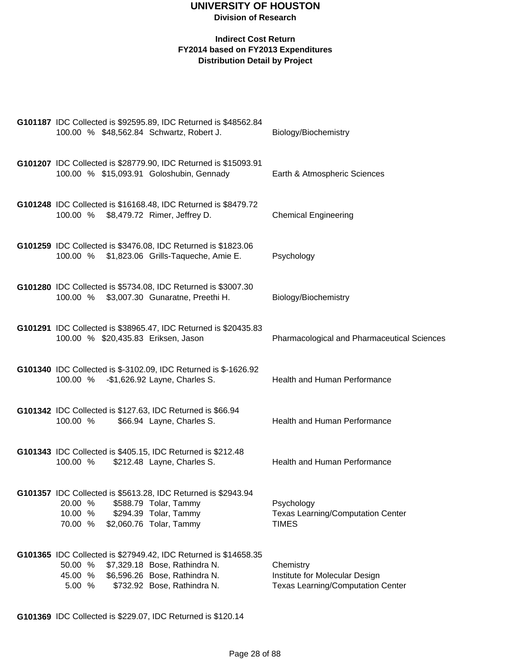#### **Indirect Cost Return FY2014 based on FY2013 Expenditures Distribution Detail by Project**

| G101187 IDC Collected is \$92595.89, IDC Returned is \$48562.84<br>100.00 % \$48,562.84 Schwartz, Robert J.                                                                                     | Biology/Biochemistry                                                                    |
|-------------------------------------------------------------------------------------------------------------------------------------------------------------------------------------------------|-----------------------------------------------------------------------------------------|
| G101207 IDC Collected is \$28779.90, IDC Returned is \$15093.91<br>100.00 % \$15,093.91 Goloshubin, Gennady                                                                                     | Earth & Atmospheric Sciences                                                            |
| G101248 IDC Collected is \$16168.48, IDC Returned is \$8479.72<br>100.00 % \$8,479.72 Rimer, Jeffrey D.                                                                                         | <b>Chemical Engineering</b>                                                             |
| G101259 IDC Collected is \$3476.08, IDC Returned is \$1823.06<br>100.00 % \$1,823.06 Grills-Taqueche, Amie E.                                                                                   | Psychology                                                                              |
| G101280 IDC Collected is \$5734.08, IDC Returned is \$3007.30<br>100.00 % \$3,007.30 Gunaratne, Preethi H.                                                                                      | Biology/Biochemistry                                                                    |
| G101291 IDC Collected is \$38965.47, IDC Returned is \$20435.83<br>100.00 % \$20,435.83 Eriksen, Jason                                                                                          | <b>Pharmacological and Pharmaceutical Sciences</b>                                      |
| G101340 IDC Collected is \$-3102.09, IDC Returned is \$-1626.92<br>100.00 % -\$1,626.92 Layne, Charles S.                                                                                       | Health and Human Performance                                                            |
| G101342 IDC Collected is \$127.63, IDC Returned is \$66.94<br>100.00 %<br>\$66.94 Layne, Charles S.                                                                                             | Health and Human Performance                                                            |
| G101343 IDC Collected is \$405.15, IDC Returned is \$212.48<br>100.00 %<br>\$212.48 Layne, Charles S.                                                                                           | Health and Human Performance                                                            |
| G101357 IDC Collected is \$5613.28, IDC Returned is \$2943.94<br>20.00 %<br>\$588.79 Tolar, Tammy<br>10.00 %<br>\$294.39 Tolar, Tammy<br>\$2,060.76 Tolar, Tammy<br>70.00 %                     | Psychology<br><b>Texas Learning/Computation Center</b><br><b>TIMES</b>                  |
| G101365 IDC Collected is \$27949.42, IDC Returned is \$14658.35<br>50.00 %<br>\$7,329.18 Bose, Rathindra N.<br>\$6,596.26 Bose, Rathindra N.<br>45.00 %<br>\$732.92 Bose, Rathindra N.<br>5.00% | Chemistry<br>Institute for Molecular Design<br><b>Texas Learning/Computation Center</b> |

**G101369** IDC Collected is \$229.07, IDC Returned is \$120.14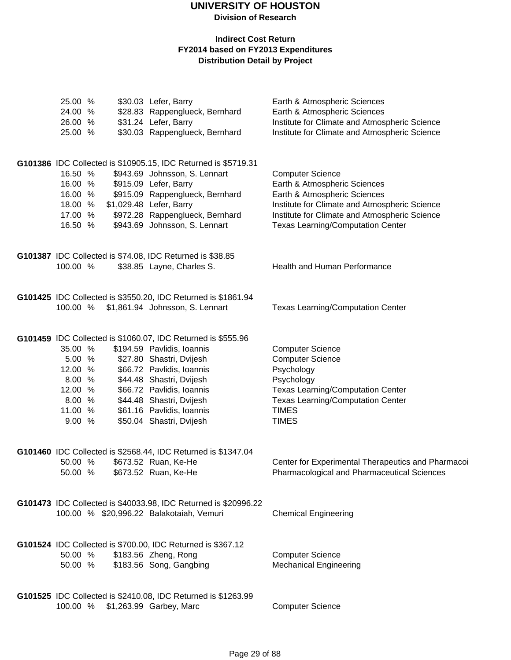| 25.00 %<br>24.00 %<br>26.00 % | \$30.03 Lefer, Barry<br>\$28.83 Rappenglueck, Bernhard<br>\$31.24 Lefer, Barry        | Earth & Atmospheric Sciences<br>Earth & Atmospheric Sciences<br>Institute for Climate and Atmospheric Science |
|-------------------------------|---------------------------------------------------------------------------------------|---------------------------------------------------------------------------------------------------------------|
| 25.00 %                       | \$30.03 Rappenglueck, Bernhard                                                        | Institute for Climate and Atmospheric Science                                                                 |
|                               | G101386 IDC Collected is \$10905.15, IDC Returned is \$5719.31                        |                                                                                                               |
| 16.50 %                       | \$943.69 Johnsson, S. Lennart                                                         | <b>Computer Science</b>                                                                                       |
| 16.00 %                       | \$915.09 Lefer, Barry                                                                 | Earth & Atmospheric Sciences                                                                                  |
| 16.00 %                       | \$915.09 Rappenglueck, Bernhard                                                       | Earth & Atmospheric Sciences                                                                                  |
| 18.00 %                       | \$1,029.48 Lefer, Barry                                                               | Institute for Climate and Atmospheric Science                                                                 |
| 17.00 %                       | \$972.28 Rappenglueck, Bernhard                                                       | Institute for Climate and Atmospheric Science                                                                 |
| 16.50 %                       | \$943.69 Johnsson, S. Lennart                                                         | <b>Texas Learning/Computation Center</b>                                                                      |
|                               |                                                                                       |                                                                                                               |
|                               | G101387 IDC Collected is \$74.08, IDC Returned is \$38.85                             |                                                                                                               |
| 100.00 %                      | \$38.85 Layne, Charles S.                                                             | Health and Human Performance                                                                                  |
|                               |                                                                                       |                                                                                                               |
|                               | G101425 IDC Collected is \$3550.20, IDC Returned is \$1861.94                         |                                                                                                               |
| 100.00 %                      | \$1,861.94 Johnsson, S. Lennart                                                       | <b>Texas Learning/Computation Center</b>                                                                      |
|                               |                                                                                       |                                                                                                               |
|                               | G101459 IDC Collected is \$1060.07, IDC Returned is \$555.96                          |                                                                                                               |
| 35.00 %                       | \$194.59 Pavlidis, Ioannis                                                            | <b>Computer Science</b>                                                                                       |
| 5.00 %                        | \$27.80 Shastri, Dvijesh                                                              | <b>Computer Science</b>                                                                                       |
| 12.00 %                       | \$66.72 Pavlidis, Ioannis                                                             | Psychology                                                                                                    |
| 8.00 %                        | \$44.48 Shastri, Dvijesh                                                              | Psychology                                                                                                    |
| 12.00 %                       | \$66.72 Pavlidis, Ioannis                                                             | <b>Texas Learning/Computation Center</b>                                                                      |
| 8.00 %                        | \$44.48 Shastri, Dvijesh                                                              | <b>Texas Learning/Computation Center</b>                                                                      |
| 11.00 %                       | \$61.16 Pavlidis, Ioannis                                                             | <b>TIMES</b>                                                                                                  |
| 9.00 %                        | \$50.04 Shastri, Dvijesh                                                              | <b>TIMES</b>                                                                                                  |
|                               |                                                                                       |                                                                                                               |
| 50.00 %                       | G101460 IDC Collected is \$2568.44, IDC Returned is \$1347.04<br>\$673.52 Ruan, Ke-He | Center for Experimental Therapeutics and Pharmacoi                                                            |
| 50.00 %                       | \$673.52 Ruan, Ke-He                                                                  | <b>Pharmacological and Pharmaceutical Sciences</b>                                                            |
|                               |                                                                                       |                                                                                                               |
|                               | G101473 IDC Collected is \$40033.98, IDC Returned is \$20996.22                       |                                                                                                               |
|                               | 100.00 % \$20,996.22 Balakotaiah, Vemuri                                              | <b>Chemical Engineering</b>                                                                                   |
|                               |                                                                                       |                                                                                                               |
|                               | G101524 IDC Collected is \$700.00, IDC Returned is \$367.12                           |                                                                                                               |
| 50.00 %                       | \$183.56 Zheng, Rong                                                                  | <b>Computer Science</b>                                                                                       |
| 50.00 %                       | \$183.56 Song, Gangbing                                                               | <b>Mechanical Engineering</b>                                                                                 |
|                               |                                                                                       |                                                                                                               |
|                               | G101525 IDC Collected is \$2410.08, IDC Returned is \$1263.99                         |                                                                                                               |
|                               | 100.00 % \$1,263.99 Garbey, Marc                                                      | <b>Computer Science</b>                                                                                       |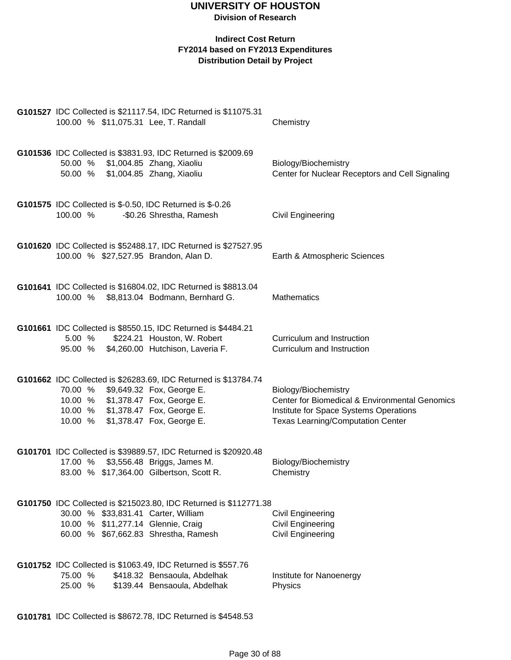#### **Indirect Cost Return FY2014 based on FY2013 Expenditures Distribution Detail by Project**

| G101527 IDC Collected is \$21117.54, IDC Returned is \$11075.31<br>100.00 % \$11,075.31 Lee, T. Randall                                               | Chemistry                                                                                                                            |
|-------------------------------------------------------------------------------------------------------------------------------------------------------|--------------------------------------------------------------------------------------------------------------------------------------|
| G101536 IDC Collected is \$3831.93, IDC Returned is \$2009.69<br>50.00 % \$1,004.85 Zhang, Xiaoliu<br>50.00 % \$1,004.85 Zhang, Xiaoliu               | Biology/Biochemistry<br>Center for Nuclear Receptors and Cell Signaling                                                              |
| G101575 IDC Collected is \$-0.50, IDC Returned is \$-0.26<br>100.00 %<br>-\$0.26 Shrestha, Ramesh                                                     | <b>Civil Engineering</b>                                                                                                             |
| G101620 IDC Collected is \$52488.17, IDC Returned is \$27527.95<br>100.00 % \$27,527.95 Brandon, Alan D.                                              | Earth & Atmospheric Sciences                                                                                                         |
| G101641 IDC Collected is \$16804.02, IDC Returned is \$8813.04<br>100.00 % \$8,813.04 Bodmann, Bernhard G.                                            | <b>Mathematics</b>                                                                                                                   |
| G101661 IDC Collected is \$8550.15, IDC Returned is \$4484.21<br>\$224.21 Houston, W. Robert<br>5.00%<br>95.00 % \$4,260.00 Hutchison, Laveria F.     | Curriculum and Instruction<br>Curriculum and Instruction                                                                             |
| G101662 IDC Collected is \$26283.69, IDC Returned is \$13784.74<br>70.00 % \$9,649.32 Fox, George E.                                                  | Biology/Biochemistry                                                                                                                 |
| 10.00 % \$1,378.47 Fox, George E.<br>10.00 % \$1,378.47 Fox, George E.<br>\$1,378.47 Fox, George E.<br>10.00 %                                        | Center for Biomedical & Environmental Genomics<br>Institute for Space Systems Operations<br><b>Texas Learning/Computation Center</b> |
| G101701 IDC Collected is \$39889.57, IDC Returned is \$20920.48<br>17.00 %<br>\$3,556.48 Briggs, James M.<br>83.00 % \$17,364.00 Gilbertson, Scott R. | Biology/Biochemistry<br>Chemistry                                                                                                    |
| G101750 IDC Collected is \$215023.80, IDC Returned is \$112771.38<br>30.00 % \$33,831.41 Carter, William                                              | <b>Civil Engineering</b>                                                                                                             |
| 10.00 % \$11,277.14 Glennie, Craig                                                                                                                    | <b>Civil Engineering</b>                                                                                                             |
| 60.00 % \$67,662.83 Shrestha, Ramesh                                                                                                                  | <b>Civil Engineering</b>                                                                                                             |
| G101752 IDC Collected is \$1063.49, IDC Returned is \$557.76<br>75.00 %<br>\$418.32 Bensaoula, Abdelhak                                               |                                                                                                                                      |
| 25.00 %<br>\$139.44 Bensaoula, Abdelhak                                                                                                               | Institute for Nanoenergy<br>Physics                                                                                                  |

**G101781** IDC Collected is \$8672.78, IDC Returned is \$4548.53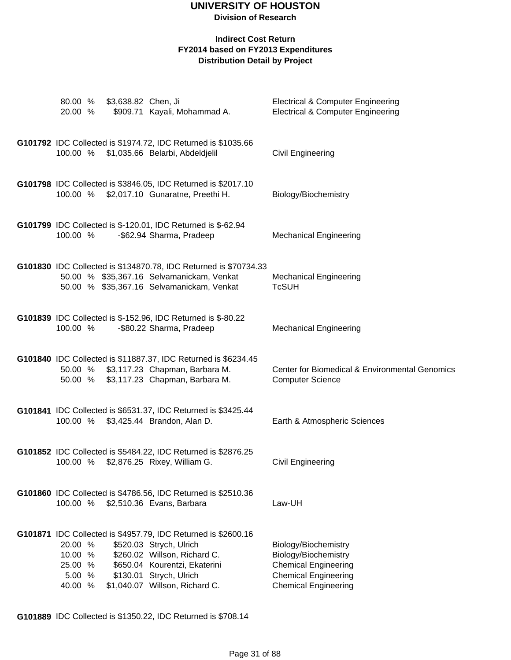#### **Indirect Cost Return FY2014 based on FY2013 Expenditures Distribution Detail by Project**

| 80.00 %<br>20.00 %                                 | \$3,638.82 Chen, Ji | \$909.71 Kayali, Mohammad A.                                                                                                                                                                                           | <b>Electrical &amp; Computer Engineering</b><br><b>Electrical &amp; Computer Engineering</b>                                              |
|----------------------------------------------------|---------------------|------------------------------------------------------------------------------------------------------------------------------------------------------------------------------------------------------------------------|-------------------------------------------------------------------------------------------------------------------------------------------|
| 100.00 %                                           |                     | G101792 IDC Collected is \$1974.72, IDC Returned is \$1035.66<br>\$1,035.66 Belarbi, Abdeldjelil                                                                                                                       | Civil Engineering                                                                                                                         |
| 100.00 %                                           |                     | G101798 IDC Collected is \$3846.05, IDC Returned is \$2017.10<br>\$2,017.10 Gunaratne, Preethi H.                                                                                                                      | Biology/Biochemistry                                                                                                                      |
| 100.00 %                                           |                     | G101799 IDC Collected is \$-120.01, IDC Returned is \$-62.94<br>-\$62.94 Sharma, Pradeep                                                                                                                               | <b>Mechanical Engineering</b>                                                                                                             |
|                                                    |                     | G101830 IDC Collected is \$134870.78, IDC Returned is \$70734.33<br>50.00 % \$35,367.16 Selvamanickam, Venkat<br>50.00 % \$35,367.16 Selvamanickam, Venkat                                                             | <b>Mechanical Engineering</b><br><b>TcSUH</b>                                                                                             |
| 100.00 %                                           |                     | G101839 IDC Collected is \$-152.96, IDC Returned is \$-80.22<br>-\$80.22 Sharma, Pradeep                                                                                                                               | <b>Mechanical Engineering</b>                                                                                                             |
| 50.00 %<br>50.00 %                                 |                     | G101840 IDC Collected is \$11887.37, IDC Returned is \$6234.45<br>\$3,117.23 Chapman, Barbara M.<br>\$3,117.23 Chapman, Barbara M.                                                                                     | Center for Biomedical & Environmental Genomics<br><b>Computer Science</b>                                                                 |
|                                                    |                     | G101841 IDC Collected is \$6531.37, IDC Returned is \$3425.44<br>100.00 % \$3,425.44 Brandon, Alan D.                                                                                                                  | Earth & Atmospheric Sciences                                                                                                              |
| 100.00 %                                           |                     | G101852 IDC Collected is \$5484.22, IDC Returned is \$2876.25<br>\$2,876.25 Rixey, William G.                                                                                                                          | Civil Engineering                                                                                                                         |
| 100.00 %                                           |                     | G101860 IDC Collected is \$4786.56, IDC Returned is \$2510.36<br>\$2,510.36 Evans, Barbara                                                                                                                             | Law-UH                                                                                                                                    |
| 20.00 %<br>10.00 %<br>25.00 %<br>5.00 %<br>40.00 % |                     | G101871 IDC Collected is \$4957.79, IDC Returned is \$2600.16<br>\$520.03 Strych, Ulrich<br>\$260.02 Willson, Richard C.<br>\$650.04 Kourentzi, Ekaterini<br>\$130.01 Strych, Ulrich<br>\$1,040.07 Willson, Richard C. | Biology/Biochemistry<br>Biology/Biochemistry<br><b>Chemical Engineering</b><br><b>Chemical Engineering</b><br><b>Chemical Engineering</b> |

**G101889** IDC Collected is \$1350.22, IDC Returned is \$708.14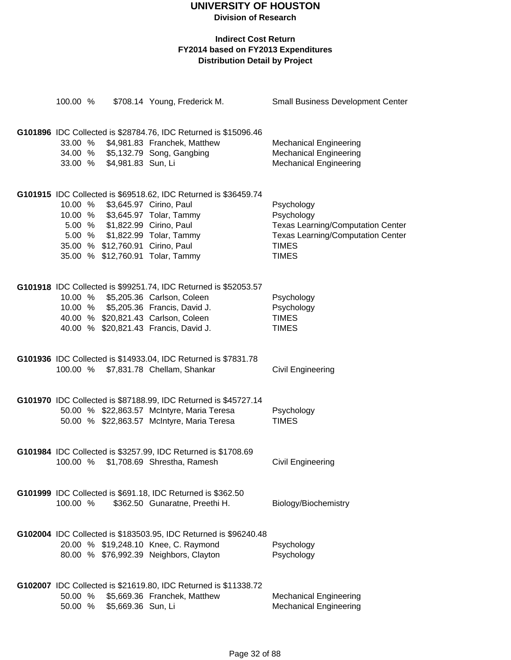**Division of Research**

| 100.00 % |                                  | \$708.14 Young, Frederick M.                                     | <b>Small Business Development Center</b> |
|----------|----------------------------------|------------------------------------------------------------------|------------------------------------------|
|          |                                  | G101896 IDC Collected is \$28784.76, IDC Returned is \$15096.46  |                                          |
|          |                                  | 33.00 % \$4,981.83 Franchek, Matthew                             | <b>Mechanical Engineering</b>            |
|          |                                  | 34.00 % \$5,132.79 Song, Gangbing                                | <b>Mechanical Engineering</b>            |
|          | 33.00 % \$4,981.83 Sun, Li       |                                                                  | <b>Mechanical Engineering</b>            |
|          |                                  |                                                                  |                                          |
|          |                                  | G101915 IDC Collected is \$69518.62, IDC Returned is \$36459.74  |                                          |
|          | 10.00 % \$3,645.97 Cirino, Paul  |                                                                  | Psychology                               |
|          |                                  | 10.00 % \$3,645.97 Tolar, Tammy                                  | Psychology                               |
|          | 5.00 % \$1,822.99 Cirino, Paul   |                                                                  | <b>Texas Learning/Computation Center</b> |
|          |                                  | 5.00 % \$1,822.99 Tolar, Tammy                                   | <b>Texas Learning/Computation Center</b> |
|          | 35.00 % \$12,760.91 Cirino, Paul |                                                                  | <b>TIMES</b>                             |
|          |                                  | 35.00 % \$12,760.91 Tolar, Tammy                                 | <b>TIMES</b>                             |
|          |                                  |                                                                  |                                          |
|          |                                  | G101918 IDC Collected is \$99251.74, IDC Returned is \$52053.57  |                                          |
|          |                                  | 10.00 % \$5,205.36 Carlson, Coleen                               | Psychology                               |
|          |                                  | 10.00 % \$5,205.36 Francis, David J.                             | Psychology                               |
|          |                                  | 40.00 % \$20,821.43 Carlson, Coleen                              | <b>TIMES</b>                             |
|          |                                  | 40.00 % \$20,821.43 Francis, David J.                            | <b>TIMES</b>                             |
|          |                                  |                                                                  |                                          |
|          |                                  | G101936 IDC Collected is \$14933.04, IDC Returned is \$7831.78   |                                          |
|          |                                  | 100.00 % \$7,831.78 Chellam, Shankar                             | Civil Engineering                        |
|          |                                  |                                                                  |                                          |
|          |                                  | G101970 IDC Collected is \$87188.99, IDC Returned is \$45727.14  |                                          |
|          |                                  | 50.00 % \$22,863.57 McIntyre, Maria Teresa                       | Psychology                               |
|          |                                  | 50.00 % \$22,863.57 McIntyre, Maria Teresa                       | <b>TIMES</b>                             |
|          |                                  |                                                                  |                                          |
|          |                                  | G101984 IDC Collected is \$3257.99, IDC Returned is \$1708.69    |                                          |
| 100.00 % |                                  | \$1,708.69 Shrestha, Ramesh                                      | Civil Engineering                        |
|          |                                  |                                                                  |                                          |
|          |                                  | G101999 IDC Collected is \$691.18, IDC Returned is \$362.50      |                                          |
| 100.00 % |                                  | \$362.50 Gunaratne, Preethi H.                                   | Biology/Biochemistry                     |
|          |                                  |                                                                  |                                          |
|          |                                  | G102004 IDC Collected is \$183503.95, IDC Returned is \$96240.48 |                                          |
|          |                                  | 20.00 % \$19,248.10 Knee, C. Raymond                             | Psychology                               |
|          |                                  | 80.00 % \$76,992.39 Neighbors, Clayton                           | Psychology                               |
|          |                                  |                                                                  |                                          |
|          |                                  | G102007 IDC Collected is \$21619.80, IDC Returned is \$11338.72  |                                          |
| 50.00 %  |                                  | \$5,669.36 Franchek, Matthew                                     | <b>Mechanical Engineering</b>            |
| 50.00 %  | \$5,669.36 Sun, Li               |                                                                  | <b>Mechanical Engineering</b>            |
|          |                                  |                                                                  |                                          |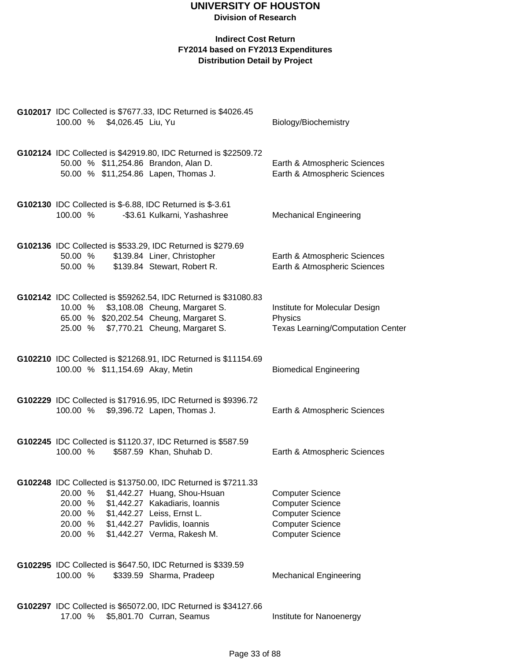|                    |                             | G102017 IDC Collected is \$7677.33, IDC Returned is \$4026.45                |                                                              |
|--------------------|-----------------------------|------------------------------------------------------------------------------|--------------------------------------------------------------|
|                    | 100.00 % \$4,026.45 Liu, Yu |                                                                              | Biology/Biochemistry                                         |
|                    |                             |                                                                              |                                                              |
|                    |                             | G102124 IDC Collected is \$42919.80, IDC Returned is \$22509.72              |                                                              |
|                    |                             | 50.00 % \$11,254.86 Brandon, Alan D.<br>50.00 % \$11,254.86 Lapen, Thomas J. | Earth & Atmospheric Sciences<br>Earth & Atmospheric Sciences |
|                    |                             |                                                                              |                                                              |
|                    |                             | G102130 IDC Collected is \$-6.88, IDC Returned is \$-3.61                    |                                                              |
| 100.00 %           |                             | -\$3.61 Kulkarni, Yashashree                                                 | <b>Mechanical Engineering</b>                                |
|                    |                             |                                                                              |                                                              |
|                    |                             | G102136 IDC Collected is \$533.29, IDC Returned is \$279.69                  |                                                              |
| 50.00 %            |                             | \$139.84 Liner, Christopher                                                  | Earth & Atmospheric Sciences                                 |
| 50.00 %            |                             | \$139.84 Stewart, Robert R.                                                  | Earth & Atmospheric Sciences                                 |
|                    |                             | G102142 IDC Collected is \$59262.54, IDC Returned is \$31080.83              |                                                              |
| 10.00 %            |                             | \$3,108.08 Cheung, Margaret S.                                               | Institute for Molecular Design                               |
|                    |                             | 65.00 % \$20,202.54 Cheung, Margaret S.                                      | Physics                                                      |
|                    |                             | 25.00 % \$7,770.21 Cheung, Margaret S.                                       | <b>Texas Learning/Computation Center</b>                     |
|                    |                             |                                                                              |                                                              |
|                    |                             | G102210 IDC Collected is \$21268.91, IDC Returned is \$11154.69              |                                                              |
|                    |                             | 100.00 % \$11,154.69 Akay, Metin                                             | <b>Biomedical Engineering</b>                                |
|                    |                             |                                                                              |                                                              |
|                    |                             | G102229 IDC Collected is \$17916.95, IDC Returned is \$9396.72               |                                                              |
|                    |                             | 100.00 % \$9,396.72 Lapen, Thomas J.                                         | Earth & Atmospheric Sciences                                 |
|                    |                             |                                                                              |                                                              |
|                    |                             | G102245 IDC Collected is \$1120.37, IDC Returned is \$587.59                 |                                                              |
| 100.00 %           |                             | \$587.59 Khan, Shuhab D.                                                     | Earth & Atmospheric Sciences                                 |
|                    |                             |                                                                              |                                                              |
|                    |                             | G102248 IDC Collected is \$13750.00, IDC Returned is \$7211.33               |                                                              |
| 20.00 %            |                             | \$1,442.27 Huang, Shou-Hsuan                                                 | <b>Computer Science</b>                                      |
| 20.00 %<br>20.00 % |                             | \$1,442.27 Kakadiaris, Ioannis                                               | <b>Computer Science</b>                                      |
| 20.00 %            |                             | \$1,442.27 Leiss, Ernst L.<br>\$1,442.27 Pavlidis, Ioannis                   | <b>Computer Science</b><br><b>Computer Science</b>           |
| 20.00 %            |                             | \$1,442.27 Verma, Rakesh M.                                                  | <b>Computer Science</b>                                      |
|                    |                             |                                                                              |                                                              |
|                    |                             | G102295 IDC Collected is \$647.50, IDC Returned is \$339.59                  |                                                              |
| 100.00 %           |                             | \$339.59 Sharma, Pradeep                                                     | <b>Mechanical Engineering</b>                                |
|                    |                             |                                                                              |                                                              |
|                    |                             | G102297 IDC Collected is \$65072.00, IDC Returned is \$34127.66              |                                                              |
|                    |                             | 17.00 % \$5,801.70 Curran, Seamus                                            | Institute for Nanoenergy                                     |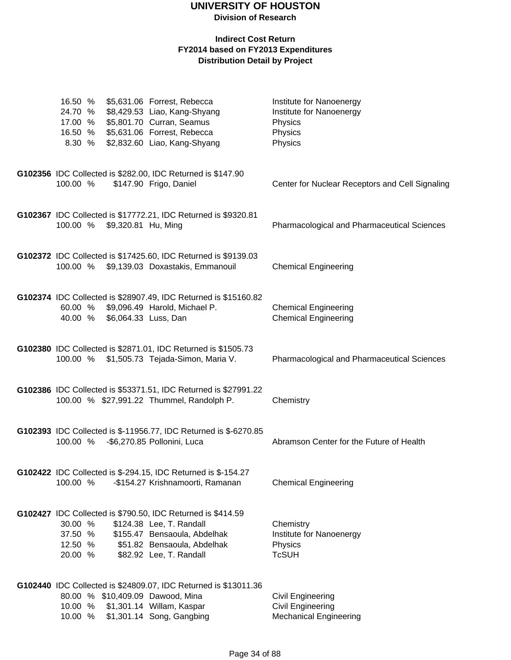**Division of Research**

#### **Indirect Cost Return FY2014 based on FY2013 Expenditures Distribution Detail by Project**

| 16.50 %<br>24.70 %<br>17.00 %<br>16.50 % |                              | \$5,631.06 Forrest, Rebecca<br>\$8,429.53 Liao, Kang-Shyang<br>\$5,801.70 Curran, Seamus<br>\$5,631.06 Forrest, Rebecca                                                           | Institute for Nanoenergy<br>Institute for Nanoenergy<br>Physics<br>Physics |
|------------------------------------------|------------------------------|-----------------------------------------------------------------------------------------------------------------------------------------------------------------------------------|----------------------------------------------------------------------------|
| 8.30 %                                   |                              | \$2,832.60 Liao, Kang-Shyang                                                                                                                                                      | Physics                                                                    |
| 100.00 %                                 |                              | G102356 IDC Collected is \$282.00, IDC Returned is \$147.90<br>\$147.90 Frigo, Daniel                                                                                             | Center for Nuclear Receptors and Cell Signaling                            |
|                                          | 100.00 % \$9,320.81 Hu, Ming | G102367 IDC Collected is \$17772.21, IDC Returned is \$9320.81                                                                                                                    | <b>Pharmacological and Pharmaceutical Sciences</b>                         |
| 100.00 %                                 |                              | G102372 IDC Collected is \$17425.60, IDC Returned is \$9139.03<br>\$9,139.03 Doxastakis, Emmanouil                                                                                | <b>Chemical Engineering</b>                                                |
| 60.00 %<br>40.00 %                       |                              | G102374 IDC Collected is \$28907.49, IDC Returned is \$15160.82<br>\$9,096.49 Harold, Michael P.<br>\$6,064.33 Luss, Dan                                                          | <b>Chemical Engineering</b><br><b>Chemical Engineering</b>                 |
|                                          |                              | G102380 IDC Collected is \$2871.01, IDC Returned is \$1505.73<br>100.00 % \$1,505.73 Tejada-Simon, Maria V.                                                                       | Pharmacological and Pharmaceutical Sciences                                |
|                                          |                              | G102386 IDC Collected is \$53371.51, IDC Returned is \$27991.22<br>100.00 % \$27,991.22 Thummel, Randolph P.                                                                      | Chemistry                                                                  |
| 100.00 %                                 |                              | G102393 IDC Collected is \$-11956.77, IDC Returned is \$-6270.85<br>-\$6,270.85 Pollonini, Luca                                                                                   | Abramson Center for the Future of Health                                   |
| 100.00 %                                 |                              | G102422 IDC Collected is \$-294.15, IDC Returned is \$-154.27<br>-\$154.27 Krishnamoorti, Ramanan                                                                                 | <b>Chemical Engineering</b>                                                |
| 30.00 %<br>37.50 %<br>12.50 %<br>20.00 % |                              | G102427 IDC Collected is \$790.50, IDC Returned is \$414.59<br>\$124.38 Lee, T. Randall<br>\$155.47 Bensaoula, Abdelhak<br>\$51.82 Bensaoula, Abdelhak<br>\$82.92 Lee, T. Randall | Chemistry<br>Institute for Nanoenergy<br>Physics<br><b>TcSUH</b>           |
|                                          |                              | G102440 IDC Collected is \$24809.07, IDC Returned is \$13011.36<br>80.00 % \$10,409.09 Dawood, Mina<br>10.00 % \$1,301.14 Willam, Kaspar                                          | <b>Civil Engineering</b><br><b>Civil Engineering</b>                       |

10.00 % \$1,301.14 Song, Gangbing Mechanical Engineering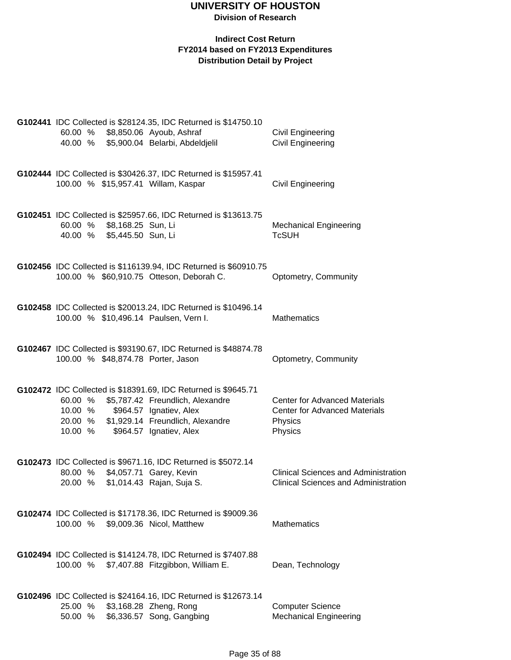|  |                    |                                          | G102441 IDC Collected is \$28124.35, IDC Returned is \$14750.10                                       |                                                                                            |
|--|--------------------|------------------------------------------|-------------------------------------------------------------------------------------------------------|--------------------------------------------------------------------------------------------|
|  | 60.00 %            |                                          | \$8,850.06 Ayoub, Ashraf                                                                              | <b>Civil Engineering</b>                                                                   |
|  | 40.00 %            |                                          | \$5,900.04 Belarbi, Abdeldjelil                                                                       | <b>Civil Engineering</b>                                                                   |
|  |                    |                                          | G102444 IDC Collected is \$30426.37, IDC Returned is \$15957.41                                       |                                                                                            |
|  |                    |                                          | 100.00 % \$15,957.41 Willam, Kaspar                                                                   | Civil Engineering                                                                          |
|  |                    |                                          | G102451 IDC Collected is \$25957.66, IDC Returned is \$13613.75                                       |                                                                                            |
|  | 60.00 %<br>40.00 % | \$8,168.25 Sun, Li<br>\$5,445.50 Sun, Li |                                                                                                       | <b>Mechanical Engineering</b><br><b>TcSUH</b>                                              |
|  |                    |                                          |                                                                                                       |                                                                                            |
|  |                    |                                          | G102456 IDC Collected is \$116139.94, IDC Returned is \$60910.75                                      |                                                                                            |
|  |                    |                                          | 100.00 % \$60,910.75 Otteson, Deborah C.                                                              | Optometry, Community                                                                       |
|  |                    |                                          | G102458 IDC Collected is \$20013.24, IDC Returned is \$10496.14                                       |                                                                                            |
|  |                    |                                          | 100.00 % \$10,496.14 Paulsen, Vern I.                                                                 | <b>Mathematics</b>                                                                         |
|  |                    |                                          |                                                                                                       |                                                                                            |
|  |                    |                                          | G102467 IDC Collected is \$93190.67, IDC Returned is \$48874.78<br>100.00 % \$48,874.78 Porter, Jason | Optometry, Community                                                                       |
|  |                    |                                          |                                                                                                       |                                                                                            |
|  | 60.00 %            |                                          | G102472 IDC Collected is \$18391.69, IDC Returned is \$9645.71<br>\$5,787.42 Freundlich, Alexandre    | <b>Center for Advanced Materials</b>                                                       |
|  |                    |                                          | 10.00 % \$964.57 Ignatiev, Alex                                                                       | <b>Center for Advanced Materials</b>                                                       |
|  | 20.00 %<br>10.00 % |                                          | \$1,929.14 Freundlich, Alexandre<br>\$964.57 Ignatiev, Alex                                           | Physics<br>Physics                                                                         |
|  |                    |                                          |                                                                                                       |                                                                                            |
|  |                    |                                          | G102473 IDC Collected is \$9671.16, IDC Returned is \$5072.14                                         |                                                                                            |
|  | 80.00 %<br>20.00 % |                                          | \$4,057.71 Garey, Kevin<br>\$1,014.43 Rajan, Suja S.                                                  | <b>Clinical Sciences and Administration</b><br><b>Clinical Sciences and Administration</b> |
|  |                    |                                          |                                                                                                       |                                                                                            |
|  |                    |                                          | G102474 IDC Collected is \$17178.36, IDC Returned is \$9009.36                                        |                                                                                            |
|  | 100.00 %           |                                          | \$9,009.36 Nicol, Matthew                                                                             | <b>Mathematics</b>                                                                         |
|  |                    |                                          | G102494 IDC Collected is \$14124.78, IDC Returned is \$7407.88                                        |                                                                                            |
|  | 100.00 %           |                                          | \$7,407.88 Fitzgibbon, William E.                                                                     | Dean, Technology                                                                           |
|  |                    |                                          |                                                                                                       |                                                                                            |
|  | 25.00 %            |                                          | G102496 IDC Collected is \$24164.16, IDC Returned is \$12673.14<br>\$3,168.28 Zheng, Rong             | <b>Computer Science</b>                                                                    |
|  | 50.00 %            |                                          | \$6,336.57 Song, Gangbing                                                                             | <b>Mechanical Engineering</b>                                                              |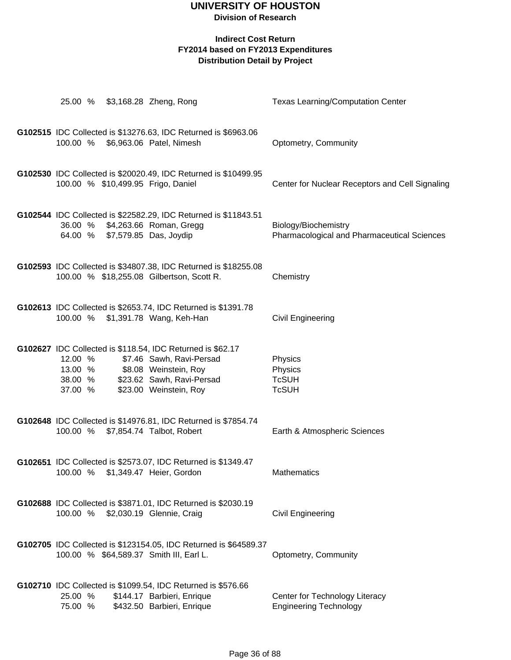### **Division of Research**

|                                            | 25.00 % \$3,168.28 Zheng, Rong                                                                                                                                         | <b>Texas Learning/Computation Center</b>                            |
|--------------------------------------------|------------------------------------------------------------------------------------------------------------------------------------------------------------------------|---------------------------------------------------------------------|
| 100.00 %                                   | G102515 IDC Collected is \$13276.63, IDC Returned is \$6963.06<br>\$6,963.06 Patel, Nimesh                                                                             | Optometry, Community                                                |
|                                            | G102530 IDC Collected is \$20020.49, IDC Returned is \$10499.95<br>100.00 % \$10,499.95 Frigo, Daniel                                                                  | Center for Nuclear Receptors and Cell Signaling                     |
| 64.00 %                                    | G102544 IDC Collected is \$22582.29, IDC Returned is \$11843.51<br>36.00 % \$4,263.66 Roman, Gregg<br>\$7,579.85 Das, Joydip                                           | Biology/Biochemistry<br>Pharmacological and Pharmaceutical Sciences |
|                                            | G102593 IDC Collected is \$34807.38, IDC Returned is \$18255.08<br>100.00 % \$18,255.08 Gilbertson, Scott R.                                                           | Chemistry                                                           |
| 100.00 %                                   | G102613 IDC Collected is \$2653.74, IDC Returned is \$1391.78<br>\$1,391.78 Wang, Keh-Han                                                                              | Civil Engineering                                                   |
| 12.00 %<br>$13.00 %$<br>38.00 %<br>37.00 % | G102627 IDC Collected is \$118.54, IDC Returned is \$62.17<br>\$7.46 Sawh, Ravi-Persad<br>\$8.08 Weinstein, Roy<br>\$23.62 Sawh, Ravi-Persad<br>\$23.00 Weinstein, Roy | Physics<br>Physics<br><b>TcSUH</b><br><b>TcSUH</b>                  |
| 100.00 %                                   | G102648 IDC Collected is \$14976.81, IDC Returned is \$7854.74<br>\$7,854.74 Talbot, Robert                                                                            | Earth & Atmospheric Sciences                                        |
| 100.00 %                                   | G102651 IDC Collected is \$2573.07, IDC Returned is \$1349.47<br>\$1,349.47 Heier, Gordon                                                                              | <b>Mathematics</b>                                                  |
| 100.00 %                                   | G102688 IDC Collected is \$3871.01, IDC Returned is \$2030.19<br>\$2,030.19 Glennie, Craig                                                                             | Civil Engineering                                                   |
|                                            | G102705 IDC Collected is \$123154.05, IDC Returned is \$64589.37<br>100.00 % \$64,589.37 Smith III, Earl L.                                                            | Optometry, Community                                                |
| 25.00 %<br>75.00 %                         | G102710 IDC Collected is \$1099.54, IDC Returned is \$576.66<br>\$144.17 Barbieri, Enrique<br>\$432.50 Barbieri, Enrique                                               | Center for Technology Literacy<br><b>Engineering Technology</b>     |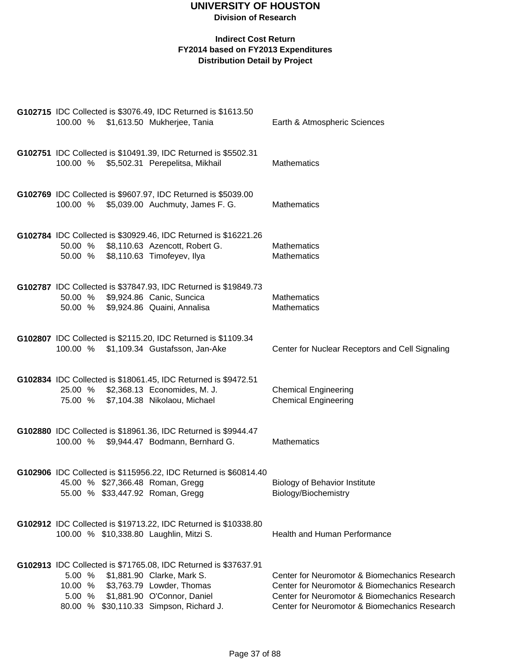|                            | G102715 IDC Collected is \$3076.49, IDC Returned is \$1613.50                                                                                                                                        |                                                                                                                                                                                                  |
|----------------------------|------------------------------------------------------------------------------------------------------------------------------------------------------------------------------------------------------|--------------------------------------------------------------------------------------------------------------------------------------------------------------------------------------------------|
|                            | 100.00 % \$1,613.50 Mukherjee, Tania                                                                                                                                                                 | Earth & Atmospheric Sciences                                                                                                                                                                     |
|                            | G102751 IDC Collected is \$10491.39, IDC Returned is \$5502.31<br>100.00 % \$5,502.31 Perepelitsa, Mikhail                                                                                           | <b>Mathematics</b>                                                                                                                                                                               |
|                            | G102769 IDC Collected is \$9607.97, IDC Returned is \$5039.00<br>100.00 % \$5,039.00 Auchmuty, James F. G.                                                                                           | <b>Mathematics</b>                                                                                                                                                                               |
|                            | G102784 IDC Collected is \$30929.46, IDC Returned is \$16221.26<br>50.00 % \$8,110.63 Azencott, Robert G.<br>50.00 % \$8,110.63 Timofeyev, Ilya                                                      | <b>Mathematics</b><br>Mathematics                                                                                                                                                                |
|                            | G102787 IDC Collected is \$37847.93, IDC Returned is \$19849.73<br>50.00 % \$9,924.86 Canic, Suncica<br>50.00 % \$9,924.86 Quaini, Annalisa                                                          | <b>Mathematics</b><br><b>Mathematics</b>                                                                                                                                                         |
|                            | G102807 IDC Collected is \$2115.20, IDC Returned is \$1109.34<br>100.00 % \$1,109.34 Gustafsson, Jan-Ake                                                                                             | Center for Nuclear Receptors and Cell Signaling                                                                                                                                                  |
|                            | G102834 IDC Collected is \$18061.45, IDC Returned is \$9472.51<br>25.00 % \$2,368.13 Economides, M. J.<br>75.00 % \$7,104.38 Nikolaou, Michael                                                       | <b>Chemical Engineering</b><br><b>Chemical Engineering</b>                                                                                                                                       |
|                            | G102880 IDC Collected is \$18961.36, IDC Returned is \$9944.47<br>100.00 % \$9,944.47 Bodmann, Bernhard G.                                                                                           | <b>Mathematics</b>                                                                                                                                                                               |
|                            | G102906 IDC Collected is \$115956.22, IDC Returned is \$60814.40<br>45.00 % \$27,366.48 Roman, Gregg<br>55.00 % \$33,447.92 Roman, Gregg                                                             | <b>Biology of Behavior Institute</b><br>Biology/Biochemistry                                                                                                                                     |
|                            | G102912 IDC Collected is \$19713.22, IDC Returned is \$10338.80<br>100.00 % \$10,338.80 Laughlin, Mitzi S.                                                                                           | <b>Health and Human Performance</b>                                                                                                                                                              |
| 5.00%<br>10.00 %<br>5.00 % | G102913 IDC Collected is \$71765.08, IDC Returned is \$37637.91<br>\$1,881.90 Clarke, Mark S.<br>\$3,763.79 Lowder, Thomas<br>\$1,881.90 O'Connor, Daniel<br>80.00 % \$30,110.33 Simpson, Richard J. | Center for Neuromotor & Biomechanics Research<br>Center for Neuromotor & Biomechanics Research<br>Center for Neuromotor & Biomechanics Research<br>Center for Neuromotor & Biomechanics Research |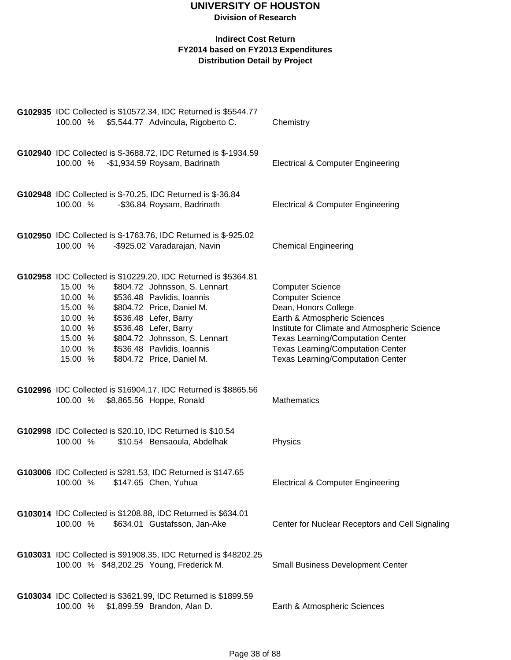| G102935 IDC Collected is \$10572.34, IDC Returned is \$5544.77<br>100.00 % \$5,544.77 Advincula, Rigoberto C.                                                                                                                                                                                                                                                                                    | Chemistry                                                                                                                                                                                                                                                                                       |
|--------------------------------------------------------------------------------------------------------------------------------------------------------------------------------------------------------------------------------------------------------------------------------------------------------------------------------------------------------------------------------------------------|-------------------------------------------------------------------------------------------------------------------------------------------------------------------------------------------------------------------------------------------------------------------------------------------------|
| G102940 IDC Collected is \$-3688.72, IDC Returned is \$-1934.59<br>100.00 %<br>-\$1,934.59 Roysam, Badrinath                                                                                                                                                                                                                                                                                     | <b>Electrical &amp; Computer Engineering</b>                                                                                                                                                                                                                                                    |
| G102948 IDC Collected is \$-70.25, IDC Returned is \$-36.84<br>100.00 %<br>-\$36.84 Roysam, Badrinath                                                                                                                                                                                                                                                                                            | <b>Electrical &amp; Computer Engineering</b>                                                                                                                                                                                                                                                    |
| G102950 IDC Collected is \$-1763.76, IDC Returned is \$-925.02<br>100.00 %<br>-\$925.02 Varadarajan, Navin                                                                                                                                                                                                                                                                                       | <b>Chemical Engineering</b>                                                                                                                                                                                                                                                                     |
| G102958 IDC Collected is \$10229.20, IDC Returned is \$5364.81<br>15.00 %<br>\$804.72 Johnsson, S. Lennart<br>\$536.48 Pavlidis, Ioannis<br>10.00 %<br>\$804.72 Price, Daniel M.<br>15.00 %<br>\$536.48 Lefer, Barry<br>10.00 %<br>\$536.48 Lefer, Barry<br>10.00 %<br>15.00 %<br>\$804.72 Johnsson, S. Lennart<br>10.00 %<br>\$536.48 Pavlidis, Ioannis<br>15.00 %<br>\$804.72 Price, Daniel M. | <b>Computer Science</b><br><b>Computer Science</b><br>Dean, Honors College<br>Earth & Atmospheric Sciences<br>Institute for Climate and Atmospheric Science<br><b>Texas Learning/Computation Center</b><br><b>Texas Learning/Computation Center</b><br><b>Texas Learning/Computation Center</b> |
| G102996 IDC Collected is \$16904.17, IDC Returned is \$8865.56<br>\$8,865.56 Hoppe, Ronald<br>100.00 %                                                                                                                                                                                                                                                                                           | Mathematics                                                                                                                                                                                                                                                                                     |
| G102998 IDC Collected is \$20.10, IDC Returned is \$10.54<br>100.00 %<br>\$10.54 Bensaoula, Abdelhak                                                                                                                                                                                                                                                                                             | Physics                                                                                                                                                                                                                                                                                         |
| G103006 IDC Collected is \$281.53, IDC Returned is \$147.65<br>100.00 % \$147.65 Chen, Yuhua                                                                                                                                                                                                                                                                                                     | <b>Electrical &amp; Computer Engineering</b>                                                                                                                                                                                                                                                    |
| G103014 IDC Collected is \$1208.88, IDC Returned is \$634.01<br>100.00 %<br>\$634.01 Gustafsson, Jan-Ake                                                                                                                                                                                                                                                                                         | Center for Nuclear Receptors and Cell Signaling                                                                                                                                                                                                                                                 |
| G103031 IDC Collected is \$91908.35, IDC Returned is \$48202.25<br>100.00 % \$48,202.25 Young, Frederick M.                                                                                                                                                                                                                                                                                      | <b>Small Business Development Center</b>                                                                                                                                                                                                                                                        |
| G103034 IDC Collected is \$3621.99, IDC Returned is \$1899.59<br>100.00 % \$1,899.59 Brandon, Alan D.                                                                                                                                                                                                                                                                                            | Earth & Atmospheric Sciences                                                                                                                                                                                                                                                                    |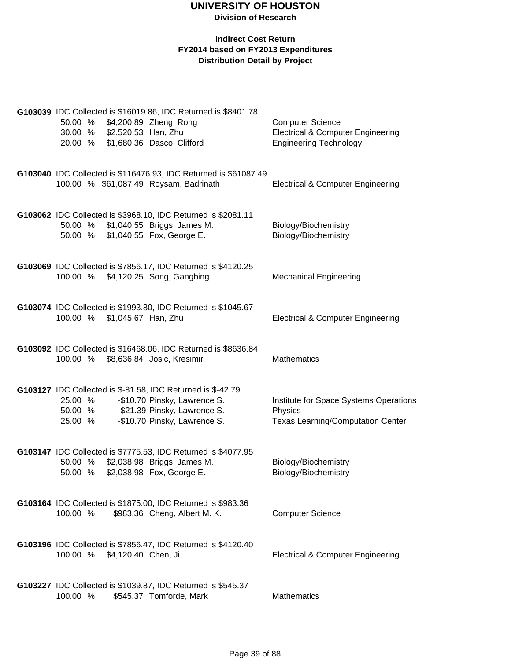|                    | 30.00 % \$2,520.53 Han, Zhu  | G103039 IDC Collected is \$16019.86, IDC Returned is \$8401.78<br>50.00 % \$4,200.89 Zheng, Rong<br>20.00 % \$1,680.36 Dasco, Clifford                               | <b>Computer Science</b><br><b>Electrical &amp; Computer Engineering</b><br><b>Engineering Technology</b> |
|--------------------|------------------------------|----------------------------------------------------------------------------------------------------------------------------------------------------------------------|----------------------------------------------------------------------------------------------------------|
|                    |                              | G103040 IDC Collected is \$116476.93, IDC Returned is \$61087.49<br>100.00 % \$61,087.49 Roysam, Badrinath                                                           | <b>Electrical &amp; Computer Engineering</b>                                                             |
| 50.00 %            |                              | G103062 IDC Collected is \$3968.10, IDC Returned is \$2081.11<br>50.00 % \$1,040.55 Briggs, James M.<br>\$1,040.55 Fox, George E.                                    | Biology/Biochemistry<br>Biology/Biochemistry                                                             |
| 100.00 %           |                              | G103069 IDC Collected is \$7856.17, IDC Returned is \$4120.25<br>\$4,120.25 Song, Gangbing                                                                           | <b>Mechanical Engineering</b>                                                                            |
|                    | 100.00 % \$1,045.67 Han, Zhu | G103074 IDC Collected is \$1993.80, IDC Returned is \$1045.67                                                                                                        | <b>Electrical &amp; Computer Engineering</b>                                                             |
|                    |                              | G103092 IDC Collected is \$16468.06, IDC Returned is \$8636.84<br>100.00 % \$8,636.84 Josic, Kresimir                                                                | <b>Mathematics</b>                                                                                       |
| 25.00 %<br>25.00 % |                              | G103127 IDC Collected is \$-81.58, IDC Returned is \$-42.79<br>-\$10.70 Pinsky, Lawrence S.<br>50.00 % - \$21.39 Pinsky, Lawrence S.<br>-\$10.70 Pinsky, Lawrence S. | Institute for Space Systems Operations<br>Physics<br><b>Texas Learning/Computation Center</b>            |
| 50.00 %<br>50.00 % |                              | G103147 IDC Collected is \$7775.53, IDC Returned is \$4077.95<br>\$2,038.98 Briggs, James M.<br>\$2,038.98 Fox, George E.                                            | Biology/Biochemistry<br>Biology/Biochemistry                                                             |
| 100.00 %           |                              | G103164 IDC Collected is \$1875.00, IDC Returned is \$983.36<br>\$983.36 Cheng, Albert M. K.                                                                         | <b>Computer Science</b>                                                                                  |
| 100.00 %           | \$4,120.40 Chen, Ji          | G103196 IDC Collected is \$7856.47, IDC Returned is \$4120.40                                                                                                        | <b>Electrical &amp; Computer Engineering</b>                                                             |
| 100.00 %           |                              | G103227 IDC Collected is \$1039.87, IDC Returned is \$545.37<br>\$545.37 Tomforde, Mark                                                                              | Mathematics                                                                                              |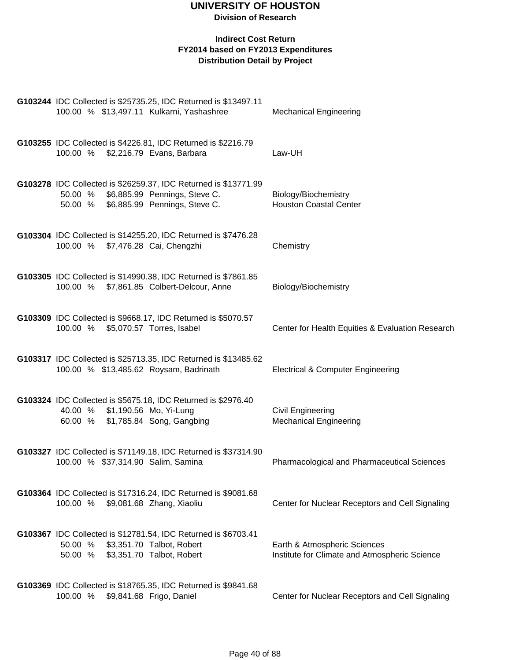| G103244 IDC Collected is \$25735.25, IDC Returned is \$13497.11<br>100.00 % \$13,497.11 Kulkarni, Yashashree                                         | <b>Mechanical Engineering</b>                                                 |
|------------------------------------------------------------------------------------------------------------------------------------------------------|-------------------------------------------------------------------------------|
| G103255 IDC Collected is \$4226.81, IDC Returned is \$2216.79<br>100.00 % \$2,216.79 Evans, Barbara                                                  | Law-UH                                                                        |
| G103278 IDC Collected is \$26259.37, IDC Returned is \$13771.99<br>\$6,885.99 Pennings, Steve C.<br>50.00 %<br>50.00 % \$6,885.99 Pennings, Steve C. | Biology/Biochemistry<br><b>Houston Coastal Center</b>                         |
| G103304 IDC Collected is \$14255.20, IDC Returned is \$7476.28<br>100.00 % \$7,476.28 Cai, Chengzhi                                                  | Chemistry                                                                     |
| G103305 IDC Collected is \$14990.38, IDC Returned is \$7861.85<br>100.00 % \$7,861.85 Colbert-Delcour, Anne                                          | Biology/Biochemistry                                                          |
| G103309 IDC Collected is \$9668.17, IDC Returned is \$5070.57<br>100.00 % \$5,070.57 Torres, Isabel                                                  | Center for Health Equities & Evaluation Research                              |
| G103317 IDC Collected is \$25713.35, IDC Returned is \$13485.62<br>100.00 % \$13,485.62 Roysam, Badrinath                                            | <b>Electrical &amp; Computer Engineering</b>                                  |
| G103324 IDC Collected is \$5675.18, IDC Returned is \$2976.40<br>40.00 % \$1,190.56 Mo, Yi-Lung<br>60.00 % \$1,785.84 Song, Gangbing                 | <b>Civil Engineering</b><br><b>Mechanical Engineering</b>                     |
| G103327 IDC Collected is \$71149.18, IDC Returned is \$37314.90<br>100.00 % \$37,314.90 Salim, Samina                                                | <b>Pharmacological and Pharmaceutical Sciences</b>                            |
| G103364 IDC Collected is \$17316.24, IDC Returned is \$9081.68<br>100.00 %<br>\$9,081.68 Zhang, Xiaoliu                                              | Center for Nuclear Receptors and Cell Signaling                               |
| G103367 IDC Collected is \$12781.54, IDC Returned is \$6703.41<br>\$3,351.70 Talbot, Robert<br>50.00 %<br>\$3,351.70 Talbot, Robert<br>50.00 %       | Earth & Atmospheric Sciences<br>Institute for Climate and Atmospheric Science |
| G103369 IDC Collected is \$18765.35, IDC Returned is \$9841.68<br>\$9,841.68 Frigo, Daniel<br>100.00 %                                               | Center for Nuclear Receptors and Cell Signaling                               |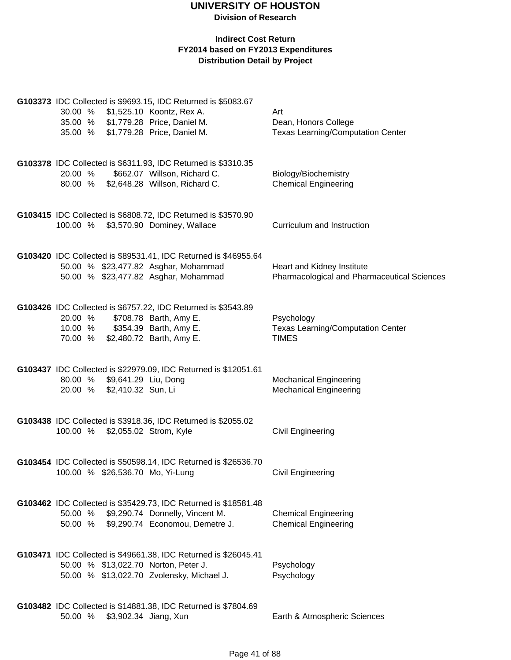| 30.00 %<br>35.00 % \$1,779.28 Price, Daniel M.<br>35.00 %                     | G103373 IDC Collected is \$9693.15, IDC Returned is \$5083.67<br>\$1,525.10 Koontz, Rex A.<br>\$1,779.28 Price, Daniel M.             | Art<br>Dean, Honors College<br>Texas Learning/Computation Center          |
|-------------------------------------------------------------------------------|---------------------------------------------------------------------------------------------------------------------------------------|---------------------------------------------------------------------------|
| 20.00 %<br>80.00 %                                                            | G103378 IDC Collected is \$6311.93, IDC Returned is \$3310.35<br>\$662.07 Willson, Richard C.<br>\$2,648.28 Willson, Richard C.       | Biology/Biochemistry<br><b>Chemical Engineering</b>                       |
| 100.00 %                                                                      | G103415 IDC Collected is \$6808.72, IDC Returned is \$3570.90<br>\$3,570.90 Dominey, Wallace                                          | Curriculum and Instruction                                                |
| 50.00 % \$23,477.82 Asghar, Mohammad<br>50.00 % \$23,477.82 Asghar, Mohammad  | G103420 IDC Collected is \$89531.41, IDC Returned is \$46955.64                                                                       | Heart and Kidney Institute<br>Pharmacological and Pharmaceutical Sciences |
| 20.00 %<br>10.00 % \$354.39 Barth, Amy E.<br>70.00 % \$2,480.72 Barth, Amy E. | G103426 IDC Collected is \$6757.22, IDC Returned is \$3543.89<br>\$708.78 Barth, Amy E.                                               | Psychology<br><b>Texas Learning/Computation Center</b><br><b>TIMES</b>    |
| 80.00 % \$9,641.29 Liu, Dong<br>\$2,410.32 Sun, Li<br>20.00 %                 | G103437 IDC Collected is \$22979.09, IDC Returned is \$12051.61                                                                       | <b>Mechanical Engineering</b><br><b>Mechanical Engineering</b>            |
| 100.00 % \$2,055.02 Strom, Kyle                                               | G103438 IDC Collected is \$3918.36, IDC Returned is \$2055.02                                                                         | Civil Engineering                                                         |
| 100.00 % \$26,536.70 Mo, Yi-Lung                                              | G103454 IDC Collected is \$50598.14, IDC Returned is \$26536.70                                                                       | Civil Engineering                                                         |
| 50.00 %<br>50.00 %                                                            | G103462 IDC Collected is \$35429.73, IDC Returned is \$18581.48<br>\$9,290.74 Donnelly, Vincent M.<br>\$9,290.74 Economou, Demetre J. | <b>Chemical Engineering</b><br><b>Chemical Engineering</b>                |
| 50.00 % \$13,022.70 Norton, Peter J.                                          | G103471 IDC Collected is \$49661.38, IDC Returned is \$26045.41<br>50.00 % \$13,022.70 Zvolensky, Michael J.                          | Psychology<br>Psychology                                                  |
| 50.00 %                                                                       | G103482 IDC Collected is \$14881.38, IDC Returned is \$7804.69<br>\$3,902.34 Jiang, Xun                                               | Earth & Atmospheric Sciences                                              |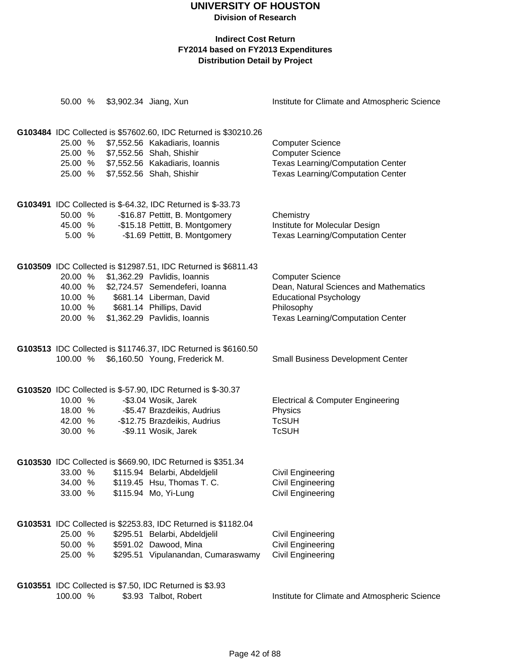| 50.00 %                                             |         | \$3,902.34 Jiang, Xun                                                                                                                                                                                                    | Institute for Climate and Atmospheric Science                                                                                                                |
|-----------------------------------------------------|---------|--------------------------------------------------------------------------------------------------------------------------------------------------------------------------------------------------------------------------|--------------------------------------------------------------------------------------------------------------------------------------------------------------|
| 25.00 %<br>25.00 %<br>25.00 %<br>25.00 %            |         | G103484 IDC Collected is \$57602.60, IDC Returned is \$30210.26<br>\$7,552.56 Kakadiaris, Ioannis<br>\$7,552.56 Shah, Shishir<br>\$7,552.56 Kakadiaris, Ioannis<br>\$7,552.56 Shah, Shishir                              | <b>Computer Science</b><br><b>Computer Science</b><br>Texas Learning/Computation Center<br><b>Texas Learning/Computation Center</b>                          |
| 50.00 %<br>45.00 %<br>5.00 %                        |         | G103491 IDC Collected is \$-64.32, IDC Returned is \$-33.73<br>-\$16.87 Pettitt, B. Montgomery<br>-\$15.18 Pettitt, B. Montgomery<br>-\$1.69 Pettitt, B. Montgomery                                                      | Chemistry<br>Institute for Molecular Design<br><b>Texas Learning/Computation Center</b>                                                                      |
| 20.00 %<br>40.00 %<br>10.00 %<br>10.00 %<br>20.00 % |         | G103509 IDC Collected is \$12987.51, IDC Returned is \$6811.43<br>\$1,362.29 Pavlidis, Ioannis<br>\$2,724.57 Semendeferi, Ioanna<br>\$681.14 Liberman, David<br>\$681.14 Phillips, David<br>\$1,362.29 Pavlidis, Ioannis | <b>Computer Science</b><br>Dean, Natural Sciences and Mathematics<br><b>Educational Psychology</b><br>Philosophy<br><b>Texas Learning/Computation Center</b> |
| 100.00 %                                            |         | G103513 IDC Collected is \$11746.37, IDC Returned is \$6160.50<br>\$6,160.50 Young, Frederick M.                                                                                                                         | <b>Small Business Development Center</b>                                                                                                                     |
| 10.00 %<br>42.00 %<br>30.00 %                       | 18.00 % | G103520 IDC Collected is \$-57.90, IDC Returned is \$-30.37<br>-\$3.04 Wosik, Jarek<br>-\$5.47 Brazdeikis, Audrius<br>-\$12.75 Brazdeikis, Audrius<br>-\$9.11 Wosik, Jarek                                               | <b>Electrical &amp; Computer Engineering</b><br>Physics<br><b>TcSUH</b><br><b>TcSUH</b>                                                                      |
| 33.00 %<br>34.00 %<br>33.00 %                       |         | G103530 IDC Collected is \$669.90, IDC Returned is \$351.34<br>\$115.94 Belarbi, Abdeldjelil<br>\$119.45 Hsu, Thomas T. C.<br>\$115.94 Mo, Yi-Lung                                                                       | Civil Engineering<br><b>Civil Engineering</b><br><b>Civil Engineering</b>                                                                                    |
| 25.00 %<br>50.00 %<br>25.00 %                       |         | G103531 IDC Collected is \$2253.83, IDC Returned is \$1182.04<br>\$295.51 Belarbi, Abdeldjelil<br>\$591.02 Dawood, Mina<br>\$295.51 Vipulanandan, Cumaraswamy                                                            | Civil Engineering<br><b>Civil Engineering</b><br><b>Civil Engineering</b>                                                                                    |
| 100.00 %                                            |         | G103551 IDC Collected is \$7.50, IDC Returned is \$3.93<br>\$3.93 Talbot, Robert                                                                                                                                         | Institute for Climate and Atmospheric Science                                                                                                                |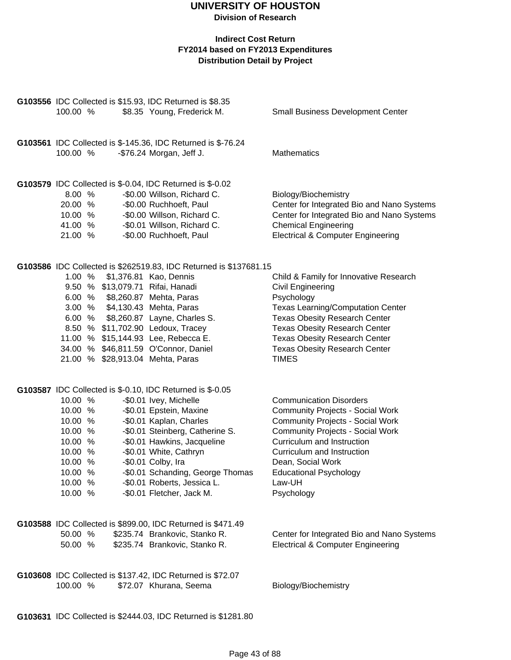#### **Indirect Cost Return FY2014 based on FY2013 Expenditures Distribution Detail by Project**

| 100.00 %                                                                                                   | G103556 IDC Collected is \$15.93, IDC Returned is \$8.35<br>\$8.35 Young, Frederick M.                                                                                                                                                                                                                                                                                                             | <b>Small Business Development Center</b>                                                                                                                                                                                                                                                                  |
|------------------------------------------------------------------------------------------------------------|----------------------------------------------------------------------------------------------------------------------------------------------------------------------------------------------------------------------------------------------------------------------------------------------------------------------------------------------------------------------------------------------------|-----------------------------------------------------------------------------------------------------------------------------------------------------------------------------------------------------------------------------------------------------------------------------------------------------------|
| 100.00 %                                                                                                   | G103561 IDC Collected is \$-145.36, IDC Returned is \$-76.24<br>-\$76.24 Morgan, Jeff J.                                                                                                                                                                                                                                                                                                           | Mathematics                                                                                                                                                                                                                                                                                               |
| 8.00 %<br>20.00 %<br>10.00 %<br>41.00 %<br>21.00 %                                                         | G103579 IDC Collected is \$-0.04, IDC Returned is \$-0.02<br>-\$0.00 Willson, Richard C.<br>-\$0.00 Ruchhoeft, Paul<br>-\$0.00 Willson, Richard C.<br>-\$0.01 Willson, Richard C.<br>-\$0.00 Ruchhoeft, Paul                                                                                                                                                                                       | Biology/Biochemistry<br>Center for Integrated Bio and Nano Systems<br>Center for Integrated Bio and Nano Systems<br><b>Chemical Engineering</b><br><b>Electrical &amp; Computer Engineering</b>                                                                                                           |
| 1.00%                                                                                                      | G103586 IDC Collected is \$262519.83, IDC Returned is \$137681.15<br>\$1,376.81 Kao, Dennis<br>9.50 % \$13,079.71 Rifai, Hanadi<br>6.00 % \$8,260.87 Mehta, Paras<br>3.00 % \$4,130.43 Mehta, Paras<br>6.00 % \$8,260.87 Layne, Charles S.<br>8.50 % \$11,702.90 Ledoux, Tracey<br>11.00 % \$15,144.93 Lee, Rebecca E.<br>34.00 % \$46,811.59 O'Connor, Daniel<br>21.00 % \$28,913.04 Mehta, Paras | Child & Family for Innovative Research<br>Civil Engineering<br>Psychology<br><b>Texas Learning/Computation Center</b><br><b>Texas Obesity Research Center</b><br><b>Texas Obesity Research Center</b><br><b>Texas Obesity Research Center</b><br><b>Texas Obesity Research Center</b><br><b>TIMES</b>     |
| 10.00 %<br>10.00 %<br>10.00 %<br>10.00 %<br>10.00 %<br>10.00 %<br>10.00 %<br>10.00 %<br>10.00 %<br>10.00 % | G103587 IDC Collected is \$-0.10, IDC Returned is \$-0.05<br>-\$0.01 Ivey, Michelle<br>-\$0.01 Epstein, Maxine<br>-\$0.01 Kaplan, Charles<br>-\$0.01 Steinberg, Catherine S.<br>-\$0.01 Hawkins, Jacqueline<br>-\$0.01 White, Cathryn<br>-\$0.01 Colby, Ira<br>-\$0.01 Schanding, George Thomas<br>-\$0.01 Roberts, Jessica L.<br>-\$0.01 Fletcher, Jack M.                                        | <b>Communication Disorders</b><br><b>Community Projects - Social Work</b><br><b>Community Projects - Social Work</b><br><b>Community Projects - Social Work</b><br>Curriculum and Instruction<br>Curriculum and Instruction<br>Dean, Social Work<br><b>Educational Psychology</b><br>Law-UH<br>Psychology |
| 50.00 %<br>50.00 %                                                                                         | G103588 IDC Collected is \$899.00, IDC Returned is \$471.49<br>\$235.74 Brankovic, Stanko R.<br>\$235.74 Brankovic, Stanko R.                                                                                                                                                                                                                                                                      | Center for Integrated Bio and Nano Systems<br><b>Electrical &amp; Computer Engineering</b>                                                                                                                                                                                                                |
| 100.00 %                                                                                                   | G103608 IDC Collected is \$137.42, IDC Returned is \$72.07<br>\$72.07 Khurana, Seema                                                                                                                                                                                                                                                                                                               | Biology/Biochemistry                                                                                                                                                                                                                                                                                      |

**G103631** IDC Collected is \$2444.03, IDC Returned is \$1281.80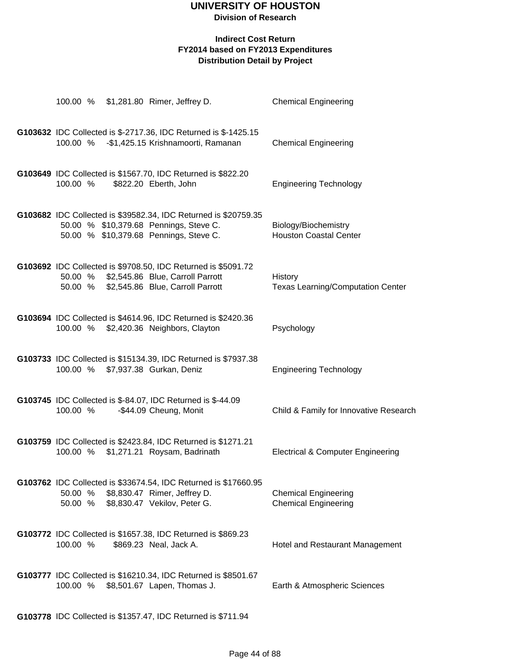#### **Indirect Cost Return FY2014 based on FY2013 Expenditures Distribution Detail by Project**

|                    | 100.00 % \$1,281.80 Rimer, Jeffrey D.                                                                                                                 | <b>Chemical Engineering</b>                                |
|--------------------|-------------------------------------------------------------------------------------------------------------------------------------------------------|------------------------------------------------------------|
|                    | G103632 IDC Collected is \$-2717.36, IDC Returned is \$-1425.15<br>100.00 % - \$1,425.15 Krishnamoorti, Ramanan                                       | <b>Chemical Engineering</b>                                |
| 100.00 %           | G103649 IDC Collected is \$1567.70, IDC Returned is \$822.20<br>\$822.20 Eberth, John                                                                 | <b>Engineering Technology</b>                              |
|                    | G103682 IDC Collected is \$39582.34, IDC Returned is \$20759.35<br>50.00 % \$10,379.68 Pennings, Steve C.<br>50.00 % \$10,379.68 Pennings, Steve C.   | Biology/Biochemistry<br><b>Houston Coastal Center</b>      |
|                    | G103692 IDC Collected is \$9708.50, IDC Returned is \$5091.72<br>50.00 % \$2,545.86 Blue, Carroll Parrott<br>50.00 % \$2,545.86 Blue, Carroll Parrott | History<br><b>Texas Learning/Computation Center</b>        |
|                    | G103694 IDC Collected is \$4614.96, IDC Returned is \$2420.36<br>100.00 % \$2,420.36 Neighbors, Clayton                                               | Psychology                                                 |
|                    | G103733 IDC Collected is \$15134.39, IDC Returned is \$7937.38<br>100.00 % \$7,937.38 Gurkan, Deniz                                                   | <b>Engineering Technology</b>                              |
| 100.00 %           | G103745 IDC Collected is \$-84.07, IDC Returned is \$-44.09<br>-\$44.09 Cheung, Monit                                                                 | Child & Family for Innovative Research                     |
| 100.00 %           | G103759 IDC Collected is \$2423.84, IDC Returned is \$1271.21<br>\$1,271.21 Roysam, Badrinath                                                         | <b>Electrical &amp; Computer Engineering</b>               |
| 50.00 %<br>50.00 % | G103762 IDC Collected is \$33674.54, IDC Returned is \$17660.95<br>\$8,830.47 Rimer, Jeffrey D.<br>\$8,830.47 Vekilov, Peter G.                       | <b>Chemical Engineering</b><br><b>Chemical Engineering</b> |
| 100.00 %           | G103772 IDC Collected is \$1657.38, IDC Returned is \$869.23<br>\$869.23 Neal, Jack A.                                                                | Hotel and Restaurant Management                            |
|                    | G103777 IDC Collected is \$16210.34, IDC Returned is \$8501.67<br>100.00 % \$8,501.67 Lapen, Thomas J.                                                | Earth & Atmospheric Sciences                               |
|                    |                                                                                                                                                       |                                                            |

**G103778** IDC Collected is \$1357.47, IDC Returned is \$711.94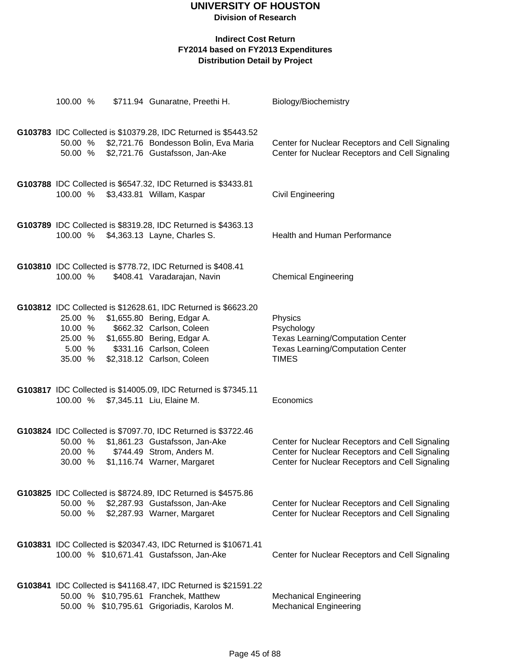| 100.00 %                                                      |  | \$711.94 Gunaratne, Preethi H.                                                                                  | Biology/Biochemistry                                           |  |  |
|---------------------------------------------------------------|--|-----------------------------------------------------------------------------------------------------------------|----------------------------------------------------------------|--|--|
|                                                               |  |                                                                                                                 |                                                                |  |  |
|                                                               |  | G103783 IDC Collected is \$10379.28, IDC Returned is \$5443.52<br>50.00 % \$2,721.76 Bondesson Bolin, Eva Maria | Center for Nuclear Receptors and Cell Signaling                |  |  |
| 50.00 %                                                       |  | \$2,721.76 Gustafsson, Jan-Ake                                                                                  | Center for Nuclear Receptors and Cell Signaling                |  |  |
|                                                               |  |                                                                                                                 |                                                                |  |  |
|                                                               |  | G103788 IDC Collected is \$6547.32, IDC Returned is \$3433.81                                                   |                                                                |  |  |
| 100.00 %                                                      |  | \$3,433.81 Willam, Kaspar                                                                                       | <b>Civil Engineering</b>                                       |  |  |
|                                                               |  |                                                                                                                 |                                                                |  |  |
|                                                               |  | G103789 IDC Collected is \$8319.28, IDC Returned is \$4363.13                                                   |                                                                |  |  |
| 100.00 %                                                      |  | \$4,363.13 Layne, Charles S.                                                                                    | Health and Human Performance                                   |  |  |
|                                                               |  |                                                                                                                 |                                                                |  |  |
| 100.00 %                                                      |  | G103810 IDC Collected is \$778.72, IDC Returned is \$408.41<br>\$408.41 Varadarajan, Navin                      | <b>Chemical Engineering</b>                                    |  |  |
|                                                               |  |                                                                                                                 |                                                                |  |  |
|                                                               |  | G103812 IDC Collected is \$12628.61, IDC Returned is \$6623.20                                                  |                                                                |  |  |
| 25.00 %                                                       |  | \$1,655.80 Bering, Edgar A.                                                                                     | Physics                                                        |  |  |
| 10.00 %                                                       |  | \$662.32 Carlson, Coleen                                                                                        | Psychology                                                     |  |  |
| 25.00 %                                                       |  | \$1,655.80 Bering, Edgar A.                                                                                     | <b>Texas Learning/Computation Center</b>                       |  |  |
| 5.00 %<br>35.00 %                                             |  | \$331.16 Carlson, Coleen<br>\$2,318.12 Carlson, Coleen                                                          | <b>Texas Learning/Computation Center</b><br><b>TIMES</b>       |  |  |
|                                                               |  |                                                                                                                 |                                                                |  |  |
|                                                               |  | G103817 IDC Collected is \$14005.09, IDC Returned is \$7345.11                                                  |                                                                |  |  |
|                                                               |  | 100.00 % \$7,345.11 Liu, Elaine M.                                                                              | Economics                                                      |  |  |
|                                                               |  |                                                                                                                 |                                                                |  |  |
| G103824 IDC Collected is \$7097.70, IDC Returned is \$3722.46 |  |                                                                                                                 |                                                                |  |  |
| 50.00 %                                                       |  | \$1,861.23 Gustafsson, Jan-Ake                                                                                  | Center for Nuclear Receptors and Cell Signaling                |  |  |
| 20.00 %                                                       |  | \$744.49 Strom, Anders M.                                                                                       | Center for Nuclear Receptors and Cell Signaling                |  |  |
| 30.00 %                                                       |  | \$1,116.74 Warner, Margaret                                                                                     | Center for Nuclear Receptors and Cell Signaling                |  |  |
|                                                               |  |                                                                                                                 |                                                                |  |  |
| 50.00 %                                                       |  | G103825 IDC Collected is \$8724.89, IDC Returned is \$4575.86<br>\$2,287.93 Gustafsson, Jan-Ake                 | Center for Nuclear Receptors and Cell Signaling                |  |  |
| 50.00 %                                                       |  | \$2,287.93 Warner, Margaret                                                                                     | Center for Nuclear Receptors and Cell Signaling                |  |  |
|                                                               |  |                                                                                                                 |                                                                |  |  |
|                                                               |  | G103831 IDC Collected is \$20347.43, IDC Returned is \$10671.41                                                 |                                                                |  |  |
|                                                               |  | 100.00 % \$10,671.41 Gustafsson, Jan-Ake                                                                        | Center for Nuclear Receptors and Cell Signaling                |  |  |
|                                                               |  |                                                                                                                 |                                                                |  |  |
|                                                               |  | G103841 IDC Collected is \$41168.47, IDC Returned is \$21591.22                                                 |                                                                |  |  |
|                                                               |  | 50.00 % \$10,795.61 Franchek, Matthew<br>50.00 % \$10,795.61 Grigoriadis, Karolos M.                            | <b>Mechanical Engineering</b><br><b>Mechanical Engineering</b> |  |  |
|                                                               |  |                                                                                                                 |                                                                |  |  |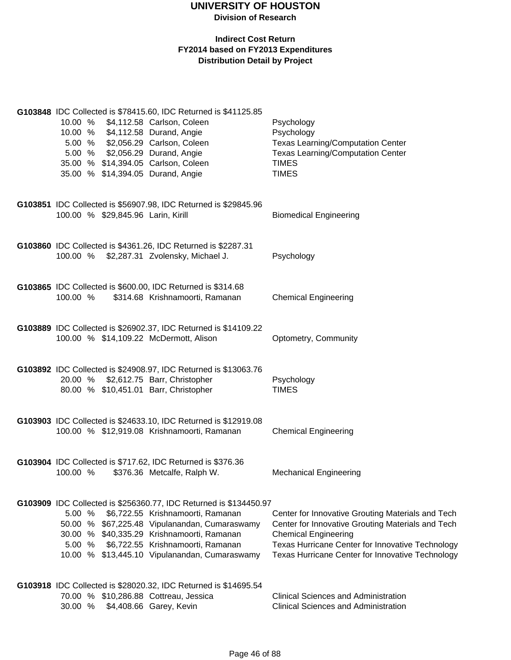| 10.00 % \$4,112.58 Carlson, Coleen<br>10.00 % \$4,112.58 Durand, Angie<br>5.00 % \$2,056.29 Carlson, Coleen<br>5.00 % \$2,056.29 Durand, Angie<br>35.00 % \$14,394.05 Carlson, Coleen<br>35.00 % \$14,394.05 Durand, Angie | G103848 IDC Collected is \$78415.60, IDC Returned is \$41125.85                                                                                                                                                                                                                                                                                          | Psychology<br>Psychology<br><b>Texas Learning/Computation Center</b><br><b>Texas Learning/Computation Center</b><br><b>TIMES</b><br><b>TIMES</b>                                                                                              |
|----------------------------------------------------------------------------------------------------------------------------------------------------------------------------------------------------------------------------|----------------------------------------------------------------------------------------------------------------------------------------------------------------------------------------------------------------------------------------------------------------------------------------------------------------------------------------------------------|-----------------------------------------------------------------------------------------------------------------------------------------------------------------------------------------------------------------------------------------------|
| 100.00 % \$29,845.96 Larin, Kirill                                                                                                                                                                                         | G103851 IDC Collected is \$56907.98, IDC Returned is \$29845.96                                                                                                                                                                                                                                                                                          | <b>Biomedical Engineering</b>                                                                                                                                                                                                                 |
| 100.00 % \$2,287.31 Zvolensky, Michael J.                                                                                                                                                                                  | G103860 IDC Collected is \$4361.26, IDC Returned is \$2287.31                                                                                                                                                                                                                                                                                            | Psychology                                                                                                                                                                                                                                    |
| 100.00 %                                                                                                                                                                                                                   | G103865 IDC Collected is \$600.00, IDC Returned is \$314.68<br>\$314.68 Krishnamoorti, Ramanan                                                                                                                                                                                                                                                           | <b>Chemical Engineering</b>                                                                                                                                                                                                                   |
| 100.00 % \$14,109.22 McDermott, Alison                                                                                                                                                                                     | G103889 IDC Collected is \$26902.37, IDC Returned is \$14109.22                                                                                                                                                                                                                                                                                          | Optometry, Community                                                                                                                                                                                                                          |
| 20.00 % \$2,612.75 Barr, Christopher<br>80.00 % \$10,451.01 Barr, Christopher                                                                                                                                              | G103892 IDC Collected is \$24908.97, IDC Returned is \$13063.76                                                                                                                                                                                                                                                                                          | Psychology<br><b>TIMES</b>                                                                                                                                                                                                                    |
|                                                                                                                                                                                                                            | G103903 IDC Collected is \$24633.10, IDC Returned is \$12919.08<br>100.00 % \$12,919.08 Krishnamoorti, Ramanan                                                                                                                                                                                                                                           | <b>Chemical Engineering</b>                                                                                                                                                                                                                   |
| 100.00 %                                                                                                                                                                                                                   | G103904 IDC Collected is \$717.62, IDC Returned is \$376.36<br>\$376.36 Metcalfe, Ralph W.                                                                                                                                                                                                                                                               | <b>Mechanical Engineering</b>                                                                                                                                                                                                                 |
| 5.00%<br>50.00<br>5.00 %                                                                                                                                                                                                   | G103909 IDC Collected is \$256360.77, IDC Returned is \$134450.97<br>\$6,722.55 Krishnamoorti, Ramanan<br>% \$67,225.48 Vipulanandan, Cumaraswamy<br>30.00 % \$40,335.29 Krishnamoorti, Ramanan<br>\$6,722.55 Krishnamoorti, Ramanan<br>10.00 % \$13,445.10 Vipulanandan, Cumaraswamy<br>G103918 IDC Collected is \$28020.32, IDC Returned is \$14695.54 | Center for Innovative Grouting Materials and Tech<br>Center for Innovative Grouting Materials and Tech<br><b>Chemical Engineering</b><br>Texas Hurricane Center for Innovative Technology<br>Texas Hurricane Center for Innovative Technology |
| 70.00 % \$10,286.88 Cottreau, Jessica<br>30.00 %                                                                                                                                                                           | \$4,408.66 Garey, Kevin                                                                                                                                                                                                                                                                                                                                  | <b>Clinical Sciences and Administration</b><br><b>Clinical Sciences and Administration</b>                                                                                                                                                    |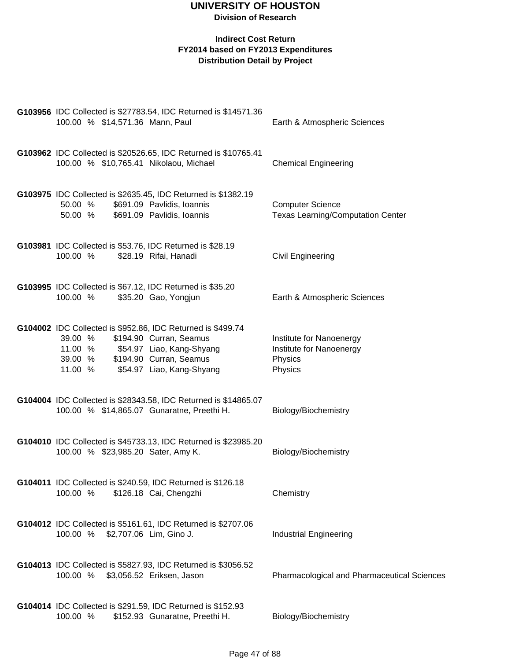| G103956 IDC Collected is \$27783.54, IDC Returned is \$14571.36<br>100.00 % \$14,571.36 Mann, Paul                                                                                                                   | Earth & Atmospheric Sciences                                               |
|----------------------------------------------------------------------------------------------------------------------------------------------------------------------------------------------------------------------|----------------------------------------------------------------------------|
| G103962 IDC Collected is \$20526.65, IDC Returned is \$10765.41<br>100.00 % \$10,765.41 Nikolaou, Michael                                                                                                            | <b>Chemical Engineering</b>                                                |
| G103975 IDC Collected is \$2635.45, IDC Returned is \$1382.19<br>50.00 %<br>\$691.09 Pavlidis, Ioannis<br>50.00 %<br>\$691.09 Pavlidis, Ioannis                                                                      | <b>Computer Science</b><br><b>Texas Learning/Computation Center</b>        |
| G103981 IDC Collected is \$53.76, IDC Returned is \$28.19<br>100.00 %<br>\$28.19 Rifai, Hanadi                                                                                                                       | <b>Civil Engineering</b>                                                   |
| G103995 IDC Collected is \$67.12, IDC Returned is \$35.20<br>100.00 %<br>\$35.20 Gao, Yongjun                                                                                                                        | Earth & Atmospheric Sciences                                               |
| G104002 IDC Collected is \$952.86, IDC Returned is \$499.74<br>\$194.90 Curran, Seamus<br>39.00 %<br>11.00 % \$54.97 Liao, Kang-Shyang<br>39.00 %<br>\$194.90 Curran, Seamus<br>11.00 %<br>\$54.97 Liao, Kang-Shyang | Institute for Nanoenergy<br>Institute for Nanoenergy<br>Physics<br>Physics |
| G104004 IDC Collected is \$28343.58, IDC Returned is \$14865.07<br>100.00 % \$14,865.07 Gunaratne, Preethi H.                                                                                                        | Biology/Biochemistry                                                       |
| G104010 IDC Collected is \$45733.13, IDC Returned is \$23985.20<br>100.00 % \$23,985.20 Sater, Amy K.                                                                                                                | Biology/Biochemistry                                                       |
| G104011 IDC Collected is \$240.59, IDC Returned is \$126.18<br>100.00 %<br>\$126.18 Cai, Chengzhi                                                                                                                    | Chemistry                                                                  |
| G104012 IDC Collected is \$5161.61, IDC Returned is \$2707.06<br>100.00 %<br>\$2,707.06 Lim, Gino J.                                                                                                                 | <b>Industrial Engineering</b>                                              |
| G104013 IDC Collected is \$5827.93, IDC Returned is \$3056.52<br>100.00 %<br>\$3,056.52 Eriksen, Jason                                                                                                               | Pharmacological and Pharmaceutical Sciences                                |
| G104014 IDC Collected is \$291.59, IDC Returned is \$152.93<br>100.00 %<br>\$152.93 Gunaratne, Preethi H.                                                                                                            | Biology/Biochemistry                                                       |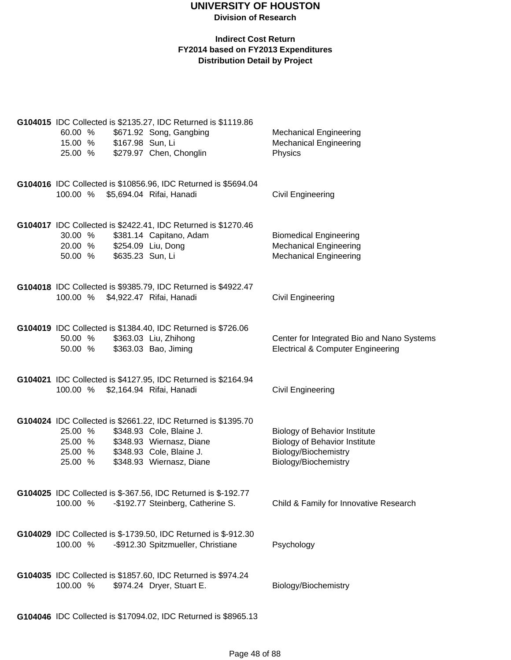|                            |                  | G104015 IDC Collected is \$2135.27, IDC Returned is \$1119.86  |                                                                                            |
|----------------------------|------------------|----------------------------------------------------------------|--------------------------------------------------------------------------------------------|
| 60.00 %                    |                  | \$671.92 Song, Gangbing                                        | <b>Mechanical Engineering</b>                                                              |
| 15.00 % \$167.98 Sun, Li   |                  |                                                                | <b>Mechanical Engineering</b>                                                              |
|                            |                  | 25.00 % \$279.97 Chen, Chonglin                                | Physics                                                                                    |
|                            |                  |                                                                |                                                                                            |
|                            |                  | G104016 IDC Collected is \$10856.96, IDC Returned is \$5694.04 |                                                                                            |
|                            |                  | 100.00 % \$5,694.04 Rifai, Hanadi                              | Civil Engineering                                                                          |
|                            |                  | G104017 IDC Collected is \$2422.41, IDC Returned is \$1270.46  |                                                                                            |
| 30.00 %                    |                  | \$381.14 Capitano, Adam                                        | <b>Biomedical Engineering</b>                                                              |
| 20.00 % \$254.09 Liu, Dong |                  |                                                                | <b>Mechanical Engineering</b>                                                              |
| 50.00 %                    | \$635.23 Sun, Li |                                                                | <b>Mechanical Engineering</b>                                                              |
|                            |                  |                                                                |                                                                                            |
|                            |                  | G104018 IDC Collected is \$9385.79, IDC Returned is \$4922.47  |                                                                                            |
| 100.00 %                   |                  | \$4,922.47 Rifai, Hanadi                                       | <b>Civil Engineering</b>                                                                   |
|                            |                  |                                                                |                                                                                            |
|                            |                  | G104019 IDC Collected is \$1384.40, IDC Returned is \$726.06   |                                                                                            |
| 50.00 %<br>50.00 %         |                  | \$363.03 Liu, Zhihong<br>\$363.03 Bao, Jiming                  | Center for Integrated Bio and Nano Systems<br><b>Electrical &amp; Computer Engineering</b> |
|                            |                  |                                                                |                                                                                            |
|                            |                  | G104021 IDC Collected is \$4127.95, IDC Returned is \$2164.94  |                                                                                            |
|                            |                  | 100.00 % \$2,164.94 Rifai, Hanadi                              | Civil Engineering                                                                          |
|                            |                  |                                                                |                                                                                            |
|                            |                  | G104024 IDC Collected is \$2661.22, IDC Returned is \$1395.70  |                                                                                            |
| 25.00 %                    |                  | \$348.93 Cole, Blaine J.                                       | <b>Biology of Behavior Institute</b>                                                       |
| 25.00 %                    |                  | \$348.93 Wiernasz, Diane                                       | <b>Biology of Behavior Institute</b>                                                       |
| 25.00 %                    |                  | \$348.93 Cole, Blaine J.                                       | Biology/Biochemistry                                                                       |
| 25.00 %                    |                  | \$348.93 Wiernasz, Diane                                       | Biology/Biochemistry                                                                       |
|                            |                  |                                                                |                                                                                            |
|                            |                  | G104025 IDC Collected is \$-367.56, IDC Returned is \$-192.77  |                                                                                            |
| 100.00 %                   |                  | -\$192.77 Steinberg, Catherine S.                              | Child & Family for Innovative Research                                                     |
|                            |                  |                                                                |                                                                                            |
|                            |                  | G104029 IDC Collected is \$-1739.50, IDC Returned is \$-912.30 |                                                                                            |
| 100.00 %                   |                  | -\$912.30 Spitzmueller, Christiane                             | Psychology                                                                                 |
|                            |                  |                                                                |                                                                                            |
|                            |                  | G104035 IDC Collected is \$1857.60, IDC Returned is \$974.24   |                                                                                            |
| 100.00 %                   |                  | \$974.24 Dryer, Stuart E.                                      | Biology/Biochemistry                                                                       |
|                            |                  |                                                                |                                                                                            |
|                            |                  | G104046 IDC Collected is \$17094.02, IDC Returned is \$8965.13 |                                                                                            |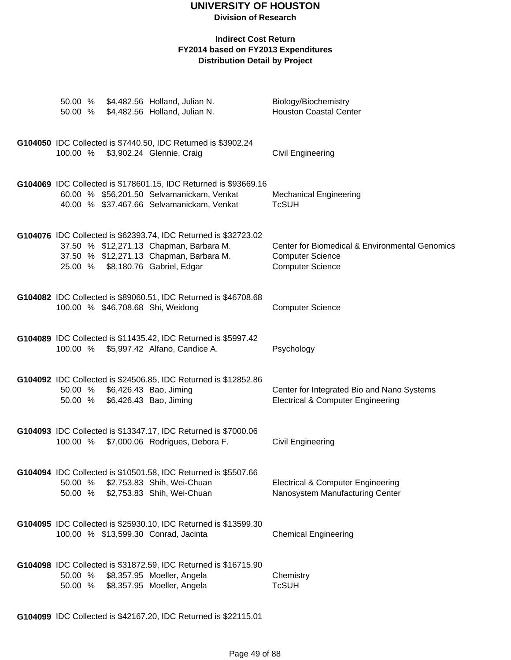# **UNIVERSITY OF HOUSTON**

**Division of Research**

#### **Indirect Cost Return FY2014 based on FY2013 Expenditures Distribution Detail by Project**

|                    |                                                                  | 50.00 % \$4,482.56 Holland, Julian N.<br>50.00 % \$4,482.56 Holland, Julian N.                                                                                                             | Biology/Biochemistry<br><b>Houston Coastal Center</b>                                                |
|--------------------|------------------------------------------------------------------|--------------------------------------------------------------------------------------------------------------------------------------------------------------------------------------------|------------------------------------------------------------------------------------------------------|
|                    |                                                                  | G104050 IDC Collected is \$7440.50, IDC Returned is \$3902.24<br>100.00 % \$3,902.24 Glennie, Craig                                                                                        | <b>Civil Engineering</b>                                                                             |
|                    |                                                                  | G104069 IDC Collected is \$178601.15, IDC Returned is \$93669.16<br>60.00 % \$56,201.50 Selvamanickam, Venkat<br>40.00 % \$37,467.66 Selvamanickam, Venkat                                 | <b>Mechanical Engineering</b><br><b>TcSUH</b>                                                        |
|                    |                                                                  | G104076 IDC Collected is \$62393.74, IDC Returned is \$32723.02<br>37.50 % \$12,271.13 Chapman, Barbara M.<br>37.50 % \$12,271.13 Chapman, Barbara M.<br>25.00 % \$8,180.76 Gabriel, Edgar | Center for Biomedical & Environmental Genomics<br><b>Computer Science</b><br><b>Computer Science</b> |
|                    | 100.00 % \$46,708.68 Shi, Weidong                                | G104082 IDC Collected is \$89060.51, IDC Returned is \$46708.68                                                                                                                            | <b>Computer Science</b>                                                                              |
|                    |                                                                  | G104089 IDC Collected is \$11435.42, IDC Returned is \$5997.42<br>100.00 % \$5,997.42 Alfano, Candice A.                                                                                   | Psychology                                                                                           |
|                    | 50.00 % \$6,426.43 Bao, Jiming<br>50.00 % \$6,426.43 Bao, Jiming | G104092 IDC Collected is \$24506.85, IDC Returned is \$12852.86                                                                                                                            | Center for Integrated Bio and Nano Systems<br><b>Electrical &amp; Computer Engineering</b>           |
|                    |                                                                  | G104093 IDC Collected is \$13347.17, IDC Returned is \$7000.06<br>100.00 % \$7,000.06 Rodrigues, Debora F.                                                                                 | <b>Civil Engineering</b>                                                                             |
| 50.00 %<br>50.00 % |                                                                  | G104094 IDC Collected is \$10501.58, IDC Returned is \$5507.66<br>\$2,753.83 Shih, Wei-Chuan<br>\$2,753.83 Shih, Wei-Chuan                                                                 | <b>Electrical &amp; Computer Engineering</b><br>Nanosystem Manufacturing Center                      |
|                    |                                                                  | G104095 IDC Collected is \$25930.10, IDC Returned is \$13599.30<br>100.00 % \$13,599.30 Conrad, Jacinta                                                                                    | <b>Chemical Engineering</b>                                                                          |
| 50.00 %<br>50.00 % |                                                                  | G104098 IDC Collected is \$31872.59, IDC Returned is \$16715.90<br>\$8,357.95 Moeller, Angela<br>\$8,357.95 Moeller, Angela                                                                | Chemistry<br><b>TcSUH</b>                                                                            |

**G104099** IDC Collected is \$42167.20, IDC Returned is \$22115.01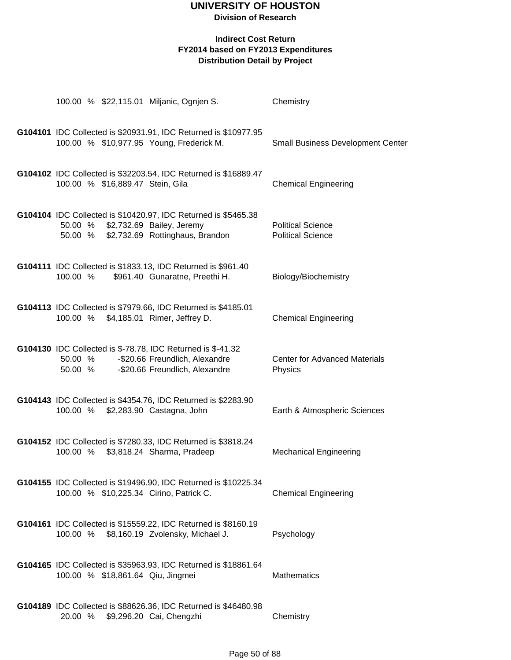| 100.00 % \$22,115.01 Miljanic, Ognjen S.     |                                                                                                                                 | Chemistry                                            |
|----------------------------------------------|---------------------------------------------------------------------------------------------------------------------------------|------------------------------------------------------|
| 100.00 % \$10,977.95 Young, Frederick M.     | G104101 IDC Collected is \$20931.91, IDC Returned is \$10977.95                                                                 | <b>Small Business Development Center</b>             |
| 100.00 % \$16,889.47 Stein, Gila             | G104102 IDC Collected is \$32203.54, IDC Returned is \$16889.47                                                                 | <b>Chemical Engineering</b>                          |
| 50.00 % \$2,732.69 Bailey, Jeremy<br>50.00 % | G104104 IDC Collected is \$10420.97, IDC Returned is \$5465.38<br>\$2,732.69 Rottinghaus, Brandon                               | <b>Political Science</b><br><b>Political Science</b> |
| 100.00 %                                     | G104111 IDC Collected is \$1833.13, IDC Returned is \$961.40<br>\$961.40 Gunaratne, Preethi H.                                  | Biology/Biochemistry                                 |
| 100.00 %                                     | G104113 IDC Collected is \$7979.66, IDC Returned is \$4185.01<br>\$4,185.01 Rimer, Jeffrey D.                                   | <b>Chemical Engineering</b>                          |
| 50.00 %<br>50.00 %                           | G104130 IDC Collected is \$-78.78, IDC Returned is \$-41.32<br>-\$20.66 Freundlich, Alexandre<br>-\$20.66 Freundlich, Alexandre | <b>Center for Advanced Materials</b><br>Physics      |
| 100.00 % \$2,283.90 Castagna, John           | G104143 IDC Collected is \$4354.76, IDC Returned is \$2283.90                                                                   | Earth & Atmospheric Sciences                         |
| 100.00 %                                     | G104152 IDC Collected is \$7280.33, IDC Returned is \$3818.24<br>\$3,818.24 Sharma, Pradeep                                     | <b>Mechanical Engineering</b>                        |
| 100.00 % \$10,225.34 Cirino, Patrick C.      | G104155 IDC Collected is \$19496.90, IDC Returned is \$10225.34                                                                 | <b>Chemical Engineering</b>                          |
| 100.00 %                                     | G104161 IDC Collected is \$15559.22, IDC Returned is \$8160.19<br>\$8,160.19 Zvolensky, Michael J.                              | Psychology                                           |
| 100.00 % \$18,861.64 Qiu, Jingmei            | G104165 IDC Collected is \$35963.93, IDC Returned is \$18861.64                                                                 | <b>Mathematics</b>                                   |
| 20.00 % \$9,296.20 Cai, Chengzhi             | G104189 IDC Collected is \$88626.36, IDC Returned is \$46480.98                                                                 | Chemistry                                            |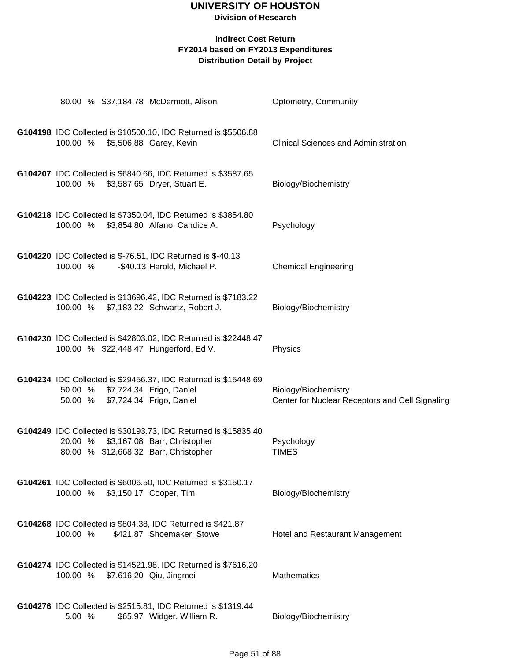|          | 80.00 % \$37,184.78 McDermott, Alison                                                                                                            | Optometry, Community                                                    |
|----------|--------------------------------------------------------------------------------------------------------------------------------------------------|-------------------------------------------------------------------------|
|          | G104198 IDC Collected is \$10500.10, IDC Returned is \$5506.88<br>100.00 % \$5,506.88 Garey, Kevin                                               | <b>Clinical Sciences and Administration</b>                             |
|          | G104207 IDC Collected is \$6840.66, IDC Returned is \$3587.65<br>100.00 % \$3,587.65 Dryer, Stuart E.                                            | Biology/Biochemistry                                                    |
|          | G104218 IDC Collected is \$7350.04, IDC Returned is \$3854.80<br>100.00 % \$3,854.80 Alfano, Candice A.                                          | Psychology                                                              |
| 100.00 % | G104220 IDC Collected is \$-76.51, IDC Returned is \$-40.13<br>-\$40.13 Harold, Michael P.                                                       | <b>Chemical Engineering</b>                                             |
|          | G104223 IDC Collected is \$13696.42, IDC Returned is \$7183.22<br>100.00 % \$7,183.22 Schwartz, Robert J.                                        | Biology/Biochemistry                                                    |
|          | G104230 IDC Collected is \$42803.02, IDC Returned is \$22448.47<br>100.00 % \$22,448.47 Hungerford, Ed V.                                        | Physics                                                                 |
|          | G104234 IDC Collected is \$29456.37, IDC Returned is \$15448.69<br>50.00 % \$7,724.34 Frigo, Daniel<br>50.00 % \$7,724.34 Frigo, Daniel          | Biology/Biochemistry<br>Center for Nuclear Receptors and Cell Signaling |
|          | G104249 IDC Collected is \$30193.73, IDC Returned is \$15835.40<br>20.00 % \$3,167.08 Barr, Christopher<br>80.00 % \$12,668.32 Barr, Christopher | Psychology<br><b>TIMES</b>                                              |
|          | G104261 IDC Collected is \$6006.50, IDC Returned is \$3150.17<br>100.00 % \$3,150.17 Cooper, Tim                                                 | Biology/Biochemistry                                                    |
| 100.00 % | G104268 IDC Collected is \$804.38, IDC Returned is \$421.87<br>\$421.87 Shoemaker, Stowe                                                         | Hotel and Restaurant Management                                         |
| 100.00 % | G104274 IDC Collected is \$14521.98, IDC Returned is \$7616.20<br>\$7,616.20 Qiu, Jingmei                                                        | <b>Mathematics</b>                                                      |
| 5.00 %   | G104276 IDC Collected is \$2515.81, IDC Returned is \$1319.44<br>\$65.97 Widger, William R.                                                      | Biology/Biochemistry                                                    |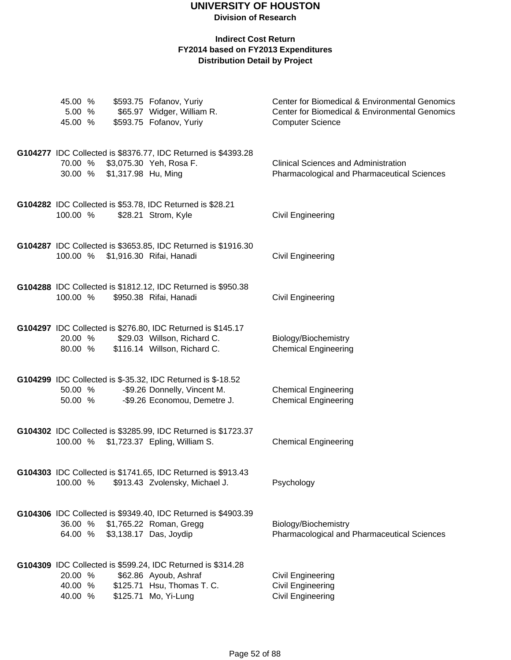| 45.00 %<br>5.00 %<br>45.00 %               | \$593.75 Fofanov, Yuriy<br>\$65.97 Widger, William R.<br>\$593.75 Fofanov, Yuriy                                                           | Center for Biomedical & Environmental Genomics<br>Center for Biomedical & Environmental Genomics<br><b>Computer Science</b> |
|--------------------------------------------|--------------------------------------------------------------------------------------------------------------------------------------------|-----------------------------------------------------------------------------------------------------------------------------|
| 70.00 % \$3,075.30 Yeh, Rosa F.<br>30.00 % | G104277 IDC Collected is \$8376.77, IDC Returned is \$4393.28<br>\$1,317.98 Hu, Ming                                                       | <b>Clinical Sciences and Administration</b><br>Pharmacological and Pharmaceutical Sciences                                  |
| 100.00 %                                   | G104282 IDC Collected is \$53.78, IDC Returned is \$28.21<br>\$28.21 Strom, Kyle                                                           | Civil Engineering                                                                                                           |
| 100.00 % \$1,916.30 Rifai, Hanadi          | G104287 IDC Collected is \$3653.85, IDC Returned is \$1916.30                                                                              | <b>Civil Engineering</b>                                                                                                    |
| 100.00 %                                   | G104288 IDC Collected is \$1812.12, IDC Returned is \$950.38<br>\$950.38 Rifai, Hanadi                                                     | <b>Civil Engineering</b>                                                                                                    |
| 20.00 %<br>80.00 %                         | G104297 IDC Collected is \$276.80, IDC Returned is \$145.17<br>\$29.03 Willson, Richard C.<br>\$116.14 Willson, Richard C.                 | Biology/Biochemistry<br><b>Chemical Engineering</b>                                                                         |
| 50.00 %<br>50.00 %                         | G104299 IDC Collected is \$-35.32, IDC Returned is \$-18.52<br>-\$9.26 Donnelly, Vincent M.<br>-\$9.26 Economou, Demetre J.                | <b>Chemical Engineering</b><br><b>Chemical Engineering</b>                                                                  |
| 100.00 %                                   | G104302 IDC Collected is \$3285.99, IDC Returned is \$1723.37<br>\$1,723.37 Epling, William S.                                             | <b>Chemical Engineering</b>                                                                                                 |
| 100.00 %                                   | G104303 IDC Collected is \$1741.65, IDC Returned is \$913.43<br>\$913.43 Zvolensky, Michael J.                                             | Psychology                                                                                                                  |
| 36.00 %<br>64.00 %                         | G104306 IDC Collected is \$9349.40, IDC Returned is \$4903.39<br>\$1,765.22 Roman, Gregg<br>\$3,138.17 Das, Joydip                         | Biology/Biochemistry<br>Pharmacological and Pharmaceutical Sciences                                                         |
| 20.00 %<br>40.00 %<br>40.00 %              | G104309 IDC Collected is \$599.24, IDC Returned is \$314.28<br>\$62.86 Ayoub, Ashraf<br>\$125.71 Hsu, Thomas T. C.<br>\$125.71 Mo, Yi-Lung | <b>Civil Engineering</b><br><b>Civil Engineering</b><br><b>Civil Engineering</b>                                            |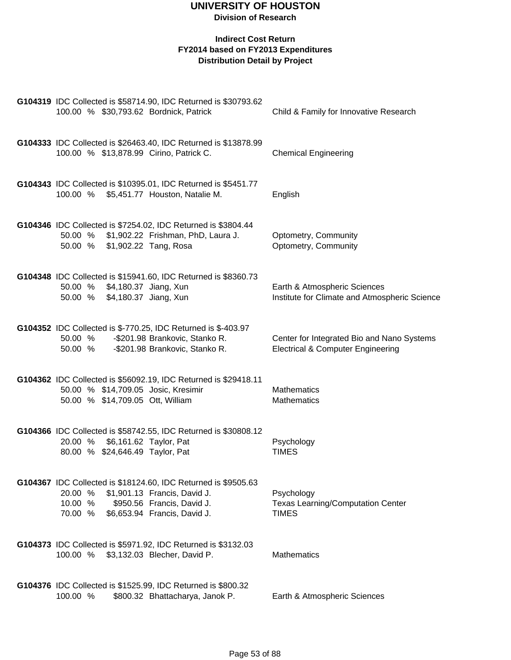| G104319 IDC Collected is \$58714.90, IDC Returned is \$30793.62<br>100.00 % \$30,793.62 Bordnick, Patrick                                                                                     | Child & Family for Innovative Research                                                     |
|-----------------------------------------------------------------------------------------------------------------------------------------------------------------------------------------------|--------------------------------------------------------------------------------------------|
| G104333 IDC Collected is \$26463.40, IDC Returned is \$13878.99<br>100.00 % \$13,878.99 Cirino, Patrick C.                                                                                    | <b>Chemical Engineering</b>                                                                |
| G104343 IDC Collected is \$10395.01, IDC Returned is \$5451.77<br>100.00 % \$5,451.77 Houston, Natalie M.                                                                                     | English                                                                                    |
| G104346 IDC Collected is \$7254.02, IDC Returned is \$3804.44<br>50.00 % \$1,902.22 Frishman, PhD, Laura J.<br>\$1,902.22 Tang, Rosa<br>50.00 %                                               | Optometry, Community<br>Optometry, Community                                               |
| G104348 IDC Collected is \$15941.60, IDC Returned is \$8360.73<br>\$4,180.37 Jiang, Xun<br>50.00 %<br>\$4,180.37 Jiang, Xun<br>50.00 %                                                        | Earth & Atmospheric Sciences<br>Institute for Climate and Atmospheric Science              |
| G104352 IDC Collected is \$-770.25, IDC Returned is \$-403.97<br>50.00 % - \$201.98 Brankovic, Stanko R.<br>50.00 % - \$201.98 Brankovic, Stanko R.                                           | Center for Integrated Bio and Nano Systems<br><b>Electrical &amp; Computer Engineering</b> |
| G104362 IDC Collected is \$56092.19, IDC Returned is \$29418.11<br>50.00 % \$14,709.05 Josic, Kresimir<br>50.00 % \$14,709.05 Ott, William                                                    | <b>Mathematics</b><br><b>Mathematics</b>                                                   |
| G104366 IDC Collected is \$58742.55, IDC Returned is \$30808.12<br>\$6,161.62 Taylor, Pat<br>20.00 %<br>80.00 % \$24,646.49 Taylor, Pat                                                       | Psychology<br><b>TIMES</b>                                                                 |
| G104367 IDC Collected is \$18124.60, IDC Returned is \$9505.63<br>\$1,901.13 Francis, David J.<br>20.00 %<br>10.00 %<br>\$950.56 Francis, David J.<br>\$6,653.94 Francis, David J.<br>70.00 % | Psychology<br><b>Texas Learning/Computation Center</b><br><b>TIMES</b>                     |
| G104373 IDC Collected is \$5971.92, IDC Returned is \$3132.03<br>100.00 % \$3,132.03 Blecher, David P.                                                                                        | <b>Mathematics</b>                                                                         |
| G104376 IDC Collected is \$1525.99, IDC Returned is \$800.32<br>100.00 %<br>\$800.32 Bhattacharya, Janok P.                                                                                   | Earth & Atmospheric Sciences                                                               |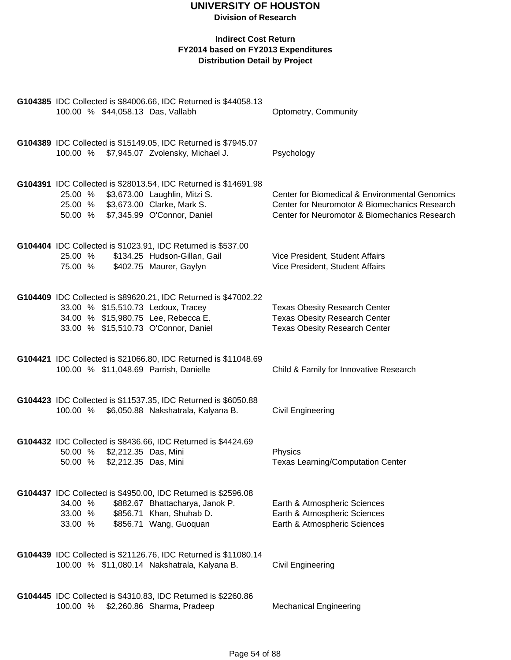| G104385 IDC Collected is \$84006.66, IDC Returned is \$44058.13<br>100.00 % \$44,058.13 Das, Vallabh                                                                                    | Optometry, Community                                                                                                                             |
|-----------------------------------------------------------------------------------------------------------------------------------------------------------------------------------------|--------------------------------------------------------------------------------------------------------------------------------------------------|
| G104389 IDC Collected is \$15149.05, IDC Returned is \$7945.07<br>100.00 % \$7,945.07 Zvolensky, Michael J.                                                                             | Psychology                                                                                                                                       |
| G104391 IDC Collected is \$28013.54, IDC Returned is \$14691.98<br>25.00 % \$3,673.00 Laughlin, Mitzi S.<br>25.00 % \$3,673.00 Clarke, Mark S.<br>50.00 % \$7,345.99 O'Connor, Daniel   | Center for Biomedical & Environmental Genomics<br>Center for Neuromotor & Biomechanics Research<br>Center for Neuromotor & Biomechanics Research |
| G104404 IDC Collected is \$1023.91, IDC Returned is \$537.00<br>\$134.25 Hudson-Gillan, Gail<br>25.00 %<br>75.00 % \$402.75 Maurer, Gaylyn                                              | Vice President, Student Affairs<br>Vice President, Student Affairs                                                                               |
| G104409 IDC Collected is \$89620.21, IDC Returned is \$47002.22<br>33.00 % \$15,510.73 Ledoux, Tracey<br>34.00 % \$15,980.75 Lee, Rebecca E.<br>33.00 % \$15,510.73 O'Connor, Daniel    | <b>Texas Obesity Research Center</b><br><b>Texas Obesity Research Center</b><br><b>Texas Obesity Research Center</b>                             |
| G104421 IDC Collected is \$21066.80, IDC Returned is \$11048.69<br>100.00 % \$11,048.69 Parrish, Danielle                                                                               | Child & Family for Innovative Research                                                                                                           |
| G104423 IDC Collected is \$11537.35, IDC Returned is \$6050.88<br>100.00 % \$6,050.88 Nakshatrala, Kalyana B.                                                                           | <b>Civil Engineering</b>                                                                                                                         |
| G104432 IDC Collected is \$8436.66, IDC Returned is \$4424.69<br>\$2,212.35 Das, Mini<br>50.00 %<br>\$2,212.35 Das, Mini<br>50.00 %                                                     | Physics<br><b>Texas Learning/Computation Center</b>                                                                                              |
| G104437 IDC Collected is \$4950.00, IDC Returned is \$2596.08<br>34.00 %<br>\$882.67 Bhattacharya, Janok P.<br>\$856.71 Khan, Shuhab D.<br>33.00 %<br>\$856.71 Wang, Guoquan<br>33.00 % | Earth & Atmospheric Sciences<br>Earth & Atmospheric Sciences<br>Earth & Atmospheric Sciences                                                     |
| G104439 IDC Collected is \$21126.76, IDC Returned is \$11080.14<br>100.00 % \$11,080.14 Nakshatrala, Kalyana B.                                                                         | <b>Civil Engineering</b>                                                                                                                         |
| G104445 IDC Collected is \$4310.83, IDC Returned is \$2260.86<br>100.00 %<br>\$2,260.86 Sharma, Pradeep                                                                                 | <b>Mechanical Engineering</b>                                                                                                                    |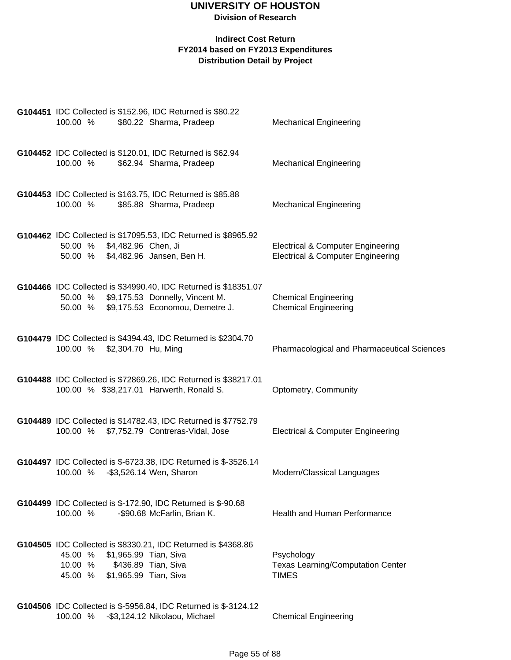| 100.00 %                      | G104451 IDC Collected is \$152.96, IDC Returned is \$80.22<br>\$80.22 Sharma, Pradeep                                                         | <b>Mechanical Engineering</b>                                                                |
|-------------------------------|-----------------------------------------------------------------------------------------------------------------------------------------------|----------------------------------------------------------------------------------------------|
| 100.00 %                      | G104452 IDC Collected is \$120.01, IDC Returned is \$62.94<br>\$62.94 Sharma, Pradeep                                                         | <b>Mechanical Engineering</b>                                                                |
| 100.00 %                      | G104453 IDC Collected is \$163.75, IDC Returned is \$85.88<br>\$85.88 Sharma, Pradeep                                                         | <b>Mechanical Engineering</b>                                                                |
| 50.00 %                       | G104462 IDC Collected is \$17095.53, IDC Returned is \$8965.92<br>\$4,482.96 Chen, Ji<br>50.00 % \$4,482.96 Jansen, Ben H.                    | <b>Electrical &amp; Computer Engineering</b><br><b>Electrical &amp; Computer Engineering</b> |
| 50.00 %                       | G104466 IDC Collected is \$34990.40, IDC Returned is \$18351.07<br>\$9,175.53 Donnelly, Vincent M.<br>50.00 % \$9,175.53 Economou, Demetre J. | <b>Chemical Engineering</b><br><b>Chemical Engineering</b>                                   |
| 100.00 % \$2,304.70 Hu, Ming  | G104479 IDC Collected is \$4394.43, IDC Returned is \$2304.70                                                                                 | Pharmacological and Pharmaceutical Sciences                                                  |
|                               | G104488 IDC Collected is \$72869.26, IDC Returned is \$38217.01<br>100.00 % \$38,217.01 Harwerth, Ronald S.                                   | Optometry, Community                                                                         |
|                               | G104489 IDC Collected is \$14782.43, IDC Returned is \$7752.79<br>100.00 % \$7,752.79 Contreras-Vidal, Jose                                   | <b>Electrical &amp; Computer Engineering</b>                                                 |
| 100.00 %                      | G104497 IDC Collected is \$-6723.38, IDC Returned is \$-3526.14<br>-\$3,526.14 Wen, Sharon                                                    | Modern/Classical Languages                                                                   |
| 100.00 %                      | G104499 IDC Collected is \$-172.90, IDC Returned is \$-90.68<br>-\$90.68 McFarlin, Brian K.                                                   | <b>Health and Human Performance</b>                                                          |
| 45.00 %<br>10.00 %<br>45.00 % | G104505 IDC Collected is \$8330.21, IDC Returned is \$4368.86<br>\$1,965.99 Tian, Siva<br>\$436.89 Tian, Siva<br>\$1,965.99 Tian, Siva        | Psychology<br><b>Texas Learning/Computation Center</b><br><b>TIMES</b>                       |
| 100.00 %                      | G104506 IDC Collected is \$-5956.84, IDC Returned is \$-3124.12<br>-\$3,124.12 Nikolaou, Michael                                              | <b>Chemical Engineering</b>                                                                  |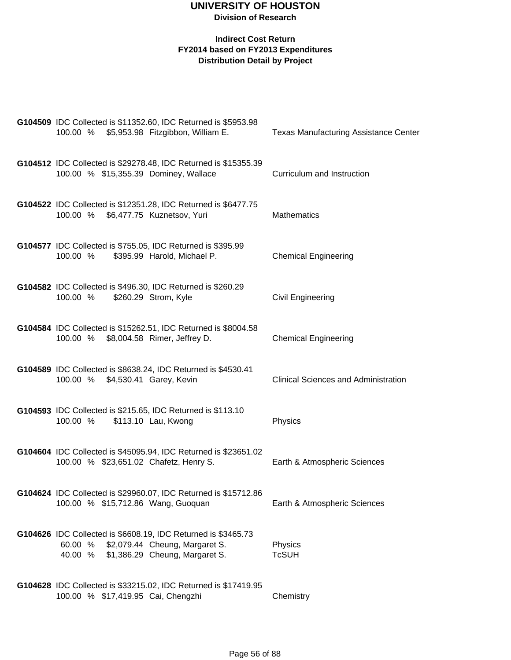| G104509 IDC Collected is \$11352.60, IDC Returned is \$5953.98<br>100.00 % \$5,953.98 Fitzgibbon, William E.                                            | <b>Texas Manufacturing Assistance Center</b> |
|---------------------------------------------------------------------------------------------------------------------------------------------------------|----------------------------------------------|
| G104512 IDC Collected is \$29278.48, IDC Returned is \$15355.39<br>100.00 % \$15,355.39 Dominey, Wallace                                                | Curriculum and Instruction                   |
| G104522 IDC Collected is \$12351.28, IDC Returned is \$6477.75<br>100.00 % \$6,477.75 Kuznetsov, Yuri                                                   | <b>Mathematics</b>                           |
| G104577 IDC Collected is \$755.05, IDC Returned is \$395.99<br>100.00 %<br>\$395.99 Harold, Michael P.                                                  | <b>Chemical Engineering</b>                  |
| G104582 IDC Collected is \$496.30, IDC Returned is \$260.29<br>\$260.29 Strom, Kyle<br>100.00 %                                                         | Civil Engineering                            |
| G104584 IDC Collected is \$15262.51, IDC Returned is \$8004.58<br>100.00 % \$8,004.58 Rimer, Jeffrey D.                                                 | <b>Chemical Engineering</b>                  |
| G104589 IDC Collected is \$8638.24, IDC Returned is \$4530.41<br>100.00 % \$4,530.41 Garey, Kevin                                                       | <b>Clinical Sciences and Administration</b>  |
| G104593 IDC Collected is \$215.65, IDC Returned is \$113.10<br>100.00 %<br>\$113.10 Lau, Kwong                                                          | Physics                                      |
| G104604 IDC Collected is \$45095.94, IDC Returned is \$23651.02<br>100.00 % \$23,651.02 Chafetz, Henry S.                                               | Earth & Atmospheric Sciences                 |
| G104624 IDC Collected is \$29960.07, IDC Returned is \$15712.86<br>100.00 % \$15,712.86 Wang, Guoquan                                                   | Earth & Atmospheric Sciences                 |
| G104626 IDC Collected is \$6608.19, IDC Returned is \$3465.73<br>\$2,079.44 Cheung, Margaret S.<br>60.00 %<br>40.00 %<br>\$1,386.29 Cheung, Margaret S. | Physics<br><b>TcSUH</b>                      |
| G104628 IDC Collected is \$33215.02, IDC Returned is \$17419.95<br>100.00 % \$17,419.95 Cai, Chengzhi                                                   | Chemistry                                    |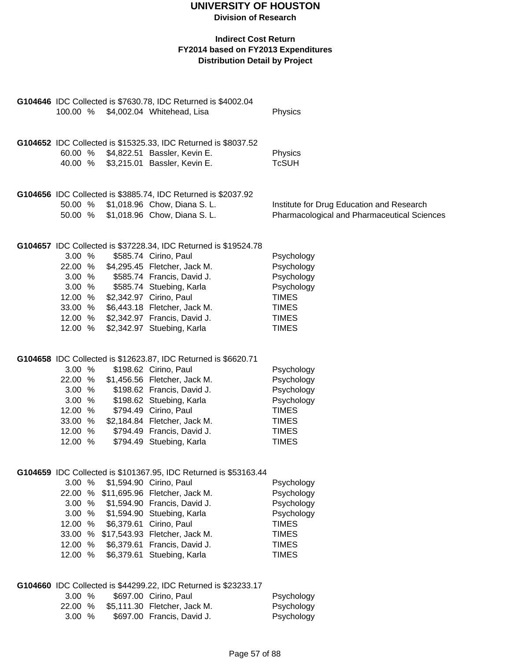|          |   | G104646 IDC Collected is \$7630.78, IDC Returned is \$4002.04    |                                             |
|----------|---|------------------------------------------------------------------|---------------------------------------------|
| 100.00 % |   | \$4,002.04 Whitehead, Lisa                                       | Physics                                     |
|          |   |                                                                  |                                             |
|          |   |                                                                  |                                             |
|          |   | G104652 IDC Collected is \$15325.33, IDC Returned is \$8037.52   |                                             |
| 60.00 %  |   | \$4,822.51 Bassler, Kevin E.                                     | Physics                                     |
| 40.00 %  |   | \$3,215.01 Bassler, Kevin E.                                     | <b>TcSUH</b>                                |
|          |   |                                                                  |                                             |
|          |   |                                                                  |                                             |
|          |   | G104656 IDC Collected is \$3885.74, IDC Returned is \$2037.92    |                                             |
|          |   | 50.00 % \$1,018.96 Chow, Diana S. L.                             | Institute for Drug Education and Research   |
| 50.00 %  |   | \$1,018.96 Chow, Diana S. L.                                     | Pharmacological and Pharmaceutical Sciences |
|          |   |                                                                  |                                             |
|          |   |                                                                  |                                             |
|          |   | G104657 IDC Collected is \$37228.34, IDC Returned is \$19524.78  |                                             |
| 3.00%    |   | \$585.74 Cirino, Paul                                            | Psychology                                  |
| 22.00 %  |   | \$4,295.45 Fletcher, Jack M.                                     | Psychology                                  |
| 3.00%    |   | \$585.74 Francis, David J.                                       | Psychology                                  |
| 3.00%    |   | \$585.74 Stuebing, Karla                                         | Psychology                                  |
| 12.00 %  |   | \$2,342.97 Cirino, Paul                                          | <b>TIMES</b>                                |
| 33.00 %  |   | \$6,443.18 Fletcher, Jack M.                                     | <b>TIMES</b>                                |
| 12.00 %  |   | \$2,342.97 Francis, David J.                                     | <b>TIMES</b>                                |
| 12.00 %  |   | \$2,342.97 Stuebing, Karla                                       | <b>TIMES</b>                                |
|          |   |                                                                  |                                             |
|          |   |                                                                  |                                             |
|          |   | G104658 IDC Collected is \$12623.87, IDC Returned is \$6620.71   |                                             |
| 3.00 %   |   | \$198.62 Cirino, Paul                                            | Psychology                                  |
| 22.00 %  |   | \$1,456.56 Fletcher, Jack M.                                     | Psychology                                  |
| 3.00%    |   | \$198.62 Francis, David J.                                       | Psychology                                  |
| 3.00%    |   | \$198.62 Stuebing, Karla                                         | Psychology                                  |
| 12.00 %  |   | \$794.49 Cirino, Paul                                            | <b>TIMES</b>                                |
| 33.00 %  |   | \$2,184.84 Fletcher, Jack M.                                     | <b>TIMES</b>                                |
| 12.00 %  |   | \$794.49 Francis, David J.                                       | <b>TIMES</b>                                |
| 12.00 %  |   | \$794.49 Stuebing, Karla                                         | <b>TIMES</b>                                |
|          |   |                                                                  |                                             |
|          |   |                                                                  |                                             |
|          |   | G104659 IDC Collected is \$101367.95, IDC Returned is \$53163.44 |                                             |
| 3.00 %   |   | \$1,594.90 Cirino, Paul                                          | Psychology                                  |
| 22.00 %  |   | \$11,695.96 Fletcher, Jack M.                                    | Psychology                                  |
| 3.00 %   |   | \$1,594.90 Francis, David J.                                     | Psychology                                  |
| 3.00 %   |   | \$1,594.90 Stuebing, Karla                                       | Psychology                                  |
| 12.00 %  |   | \$6,379.61 Cirino, Paul                                          | <b>TIMES</b>                                |
| 33.00 %  |   | \$17,543.93 Fletcher, Jack M.                                    | <b>TIMES</b>                                |
|          |   |                                                                  |                                             |
| 12.00 %  |   | \$6,379.61 Francis, David J.                                     | <b>TIMES</b>                                |
| 12.00 %  |   | \$6,379.61 Stuebing, Karla                                       | <b>TIMES</b>                                |
|          |   |                                                                  |                                             |
|          |   |                                                                  |                                             |
|          |   | G104660 IDC Collected is \$44299.22, IDC Returned is \$23233.17  |                                             |
| 3.00 %   |   | \$697.00 Cirino, Paul                                            | Psychology                                  |
| 22.00    | % | \$5,111.30 Fletcher, Jack M.                                     | Psychology                                  |
| 3.00 %   |   | \$697.00 Francis, David J.                                       | Psychology                                  |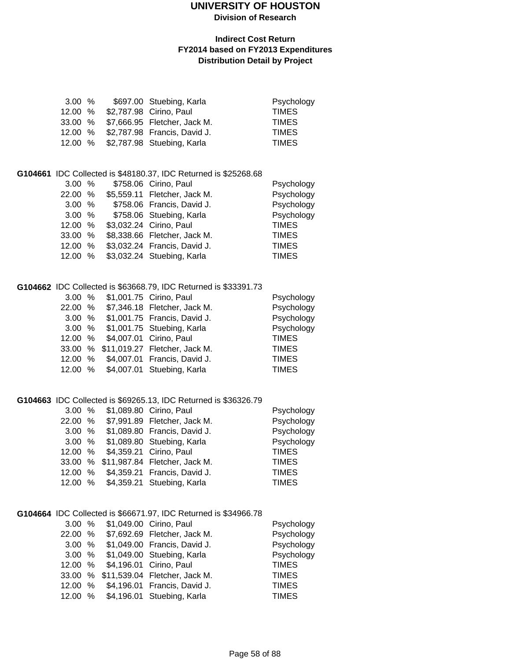### **UNIVERSITY OF HOUSTON**

**Division of Research**

#### **Indirect Cost Return FY2014 based on FY2013 Expenditures Distribution Detail by Project**

|  |        | Psychology                                                                                                                                                                        |
|--|--------|-----------------------------------------------------------------------------------------------------------------------------------------------------------------------------------|
|  |        | <b>TIMES</b>                                                                                                                                                                      |
|  |        | <b>TIMES</b>                                                                                                                                                                      |
|  |        | <b>TIMES</b>                                                                                                                                                                      |
|  |        | <b>TIMES</b>                                                                                                                                                                      |
|  | 3.00 % | \$697.00 Stuebing, Karla<br>12.00 % \$2,787.98 Cirino, Paul<br>33.00 % \$7,666.95 Fletcher, Jack M.<br>12.00 % \$2,787.98 Francis, David J.<br>12.00 % \$2,787.98 Stuebing, Karla |

#### **G104661** IDC Collected is \$48180.37, IDC Returned is \$25268.68

| 3.00%   |  | \$758.06 Cirino, Paul        | Psychology   |
|---------|--|------------------------------|--------------|
| 22.00 % |  | \$5,559.11 Fletcher, Jack M. | Psychology   |
| 3.00%   |  | \$758.06 Francis, David J.   | Psychology   |
| 3.00 %  |  | \$758.06 Stuebing, Karla     | Psychology   |
| 12.00 % |  | \$3,032.24 Cirino, Paul      | <b>TIMES</b> |
| 33.00 % |  | \$8,338.66 Fletcher, Jack M. | <b>TIMES</b> |
| 12.00 % |  | \$3,032.24 Francis, David J. | <b>TIMES</b> |
| 12.00 % |  | \$3,032.24 Stuebing, Karla   | <b>TIMES</b> |

#### **G104662** IDC Collected is \$63668.79, IDC Returned is \$33391.73

|         | 3.00 % \$1,001.75 Cirino, Paul  |                                       | Psychology   |
|---------|---------------------------------|---------------------------------------|--------------|
| 22.00 % |                                 | \$7,346.18 Fletcher, Jack M.          | Psychology   |
| 3.00 %  |                                 | \$1,001.75 Francis, David J.          | Psychology   |
|         |                                 | 3.00 % \$1,001.75 Stuebing, Karla     | Psychology   |
|         | 12.00 % \$4,007.01 Cirino, Paul |                                       | <b>TIMES</b> |
|         |                                 | 33.00 % \$11,019.27 Fletcher, Jack M. | <b>TIMES</b> |
|         |                                 | 12.00 % \$4,007.01 Francis, David J.  | <b>TIMES</b> |
|         |                                 | 12.00 % \$4,007.01 Stuebing, Karla    | <b>TIMES</b> |

#### **G104663** IDC Collected is \$69265.13, IDC Returned is \$36326.79

| 3.00 %  |  | \$1,089.80 Cirino, Paul               | Psychology   |
|---------|--|---------------------------------------|--------------|
| 22.00 % |  | \$7,991.89 Fletcher, Jack M.          | Psychology   |
| 3.00 %  |  | \$1,089.80 Francis, David J.          | Psychology   |
| 3.00 %  |  | \$1,089.80 Stuebing, Karla            | Psychology   |
| 12.00 % |  | \$4,359.21 Cirino, Paul               | <b>TIMES</b> |
|         |  | 33.00 % \$11,987.84 Fletcher, Jack M. | <b>TIMES</b> |
|         |  | 12.00 % \$4,359.21 Francis, David J.  | <b>TIMES</b> |
| 12.00 % |  | \$4,359.21 Stuebing, Karla            | <b>TIMES</b> |

#### **G104664** IDC Collected is \$66671.97, IDC Returned is \$34966.78

|         | 3.00 % \$1,049.00 Cirino, Paul |                                       | Psychology   |
|---------|--------------------------------|---------------------------------------|--------------|
| 22.00 % |                                | \$7,692.69 Fletcher, Jack M.          | Psychology   |
| 3.00%   |                                | \$1,049.00 Francis, David J.          | Psychology   |
|         |                                | 3.00 % \$1,049.00 Stuebing, Karla     | Psychology   |
| 12.00 % |                                | \$4,196.01 Cirino, Paul               | <b>TIMES</b> |
|         |                                | 33.00 % \$11,539.04 Fletcher, Jack M. | <b>TIMES</b> |
|         |                                | 12.00 % \$4,196.01 Francis, David J.  | <b>TIMES</b> |
|         |                                | 12.00 % \$4,196.01 Stuebing, Karla    | <b>TIMES</b> |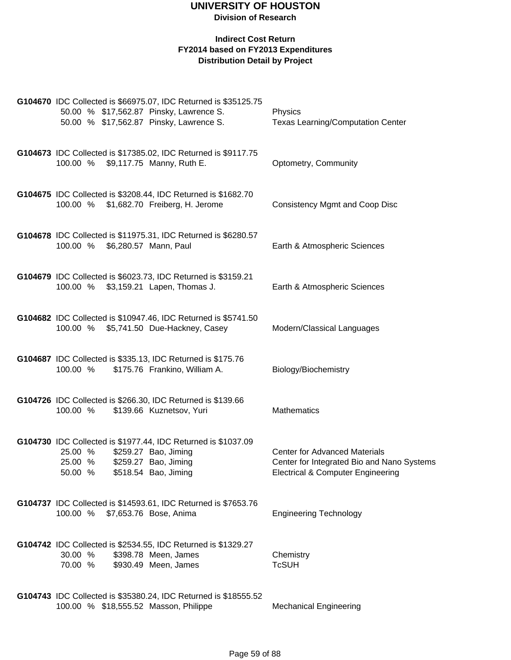| G104670 IDC Collected is \$66975.07, IDC Returned is \$35125.75<br>50.00 % \$17,562.87 Pinsky, Lawrence S.<br>50.00 % \$17,562.87 Pinsky, Lawrence S.                  | Physics<br><b>Texas Learning/Computation Center</b>                                                                                |
|------------------------------------------------------------------------------------------------------------------------------------------------------------------------|------------------------------------------------------------------------------------------------------------------------------------|
| G104673 IDC Collected is \$17385.02, IDC Returned is \$9117.75<br>100.00 % \$9,117.75 Manny, Ruth E.                                                                   | Optometry, Community                                                                                                               |
| G104675 IDC Collected is \$3208.44, IDC Returned is \$1682.70<br>100.00 % \$1,682.70 Freiberg, H. Jerome                                                               | <b>Consistency Mgmt and Coop Disc</b>                                                                                              |
| G104678 IDC Collected is \$11975.31, IDC Returned is \$6280.57<br>100.00 %<br>\$6,280.57 Mann, Paul                                                                    | Earth & Atmospheric Sciences                                                                                                       |
| G104679 IDC Collected is \$6023.73, IDC Returned is \$3159.21<br>100.00 % \$3,159.21 Lapen, Thomas J.                                                                  | Earth & Atmospheric Sciences                                                                                                       |
| G104682 IDC Collected is \$10947.46, IDC Returned is \$5741.50<br>100.00 % \$5,741.50 Due-Hackney, Casey                                                               | Modern/Classical Languages                                                                                                         |
| G104687 IDC Collected is \$335.13, IDC Returned is \$175.76<br>100.00 %<br>\$175.76 Frankino, William A.                                                               | Biology/Biochemistry                                                                                                               |
| G104726 IDC Collected is \$266.30, IDC Returned is \$139.66<br>100.00 %<br>\$139.66 Kuznetsov, Yuri                                                                    | Mathematics                                                                                                                        |
| G104730 IDC Collected is \$1977.44, IDC Returned is \$1037.09<br>25.00 %<br>\$259.27 Bao, Jiming<br>\$259.27 Bao, Jiming<br>25.00 %<br>50.00 %<br>\$518.54 Bao, Jiming | <b>Center for Advanced Materials</b><br>Center for Integrated Bio and Nano Systems<br><b>Electrical &amp; Computer Engineering</b> |
| G104737 IDC Collected is \$14593.61, IDC Returned is \$7653.76<br>100.00 %<br>\$7,653.76 Bose, Anima                                                                   | <b>Engineering Technology</b>                                                                                                      |
| G104742 IDC Collected is \$2534.55, IDC Returned is \$1329.27<br>30.00 %<br>\$398.78 Meen, James<br>70.00 %<br>\$930.49 Meen, James                                    | Chemistry<br><b>TcSUH</b>                                                                                                          |
| G104743 IDC Collected is \$35380.24, IDC Returned is \$18555.52<br>100.00 % \$18,555.52 Masson, Philippe                                                               | <b>Mechanical Engineering</b>                                                                                                      |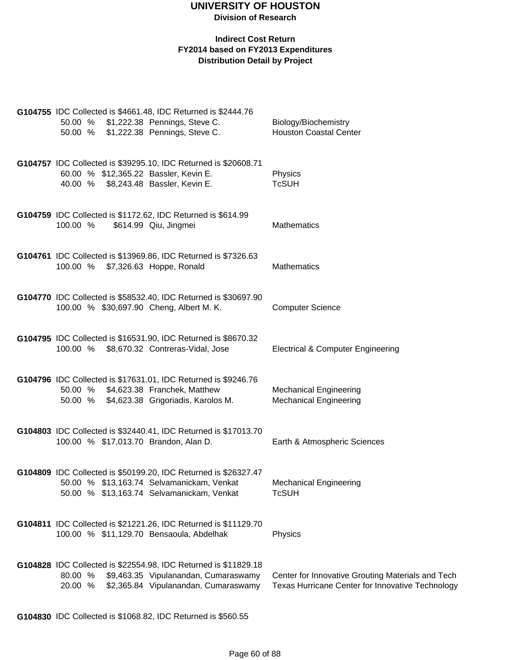#### **Indirect Cost Return FY2014 based on FY2013 Expenditures Distribution Detail by Project**

|          | G104755 IDC Collected is \$4661.48, IDC Returned is \$2444.76                                            |                                                   |
|----------|----------------------------------------------------------------------------------------------------------|---------------------------------------------------|
|          | 50.00 % \$1,222.38 Pennings, Steve C.                                                                    | Biology/Biochemistry                              |
|          | 50.00 % \$1,222.38 Pennings, Steve C.                                                                    | <b>Houston Coastal Center</b>                     |
|          |                                                                                                          |                                                   |
|          |                                                                                                          |                                                   |
|          | G104757 IDC Collected is \$39295.10, IDC Returned is \$20608.71                                          |                                                   |
|          | 60.00 % \$12,365.22 Bassler, Kevin E.<br>40.00 % \$8,243.48 Bassler, Kevin E.                            | Physics<br><b>TcSUH</b>                           |
|          |                                                                                                          |                                                   |
|          |                                                                                                          |                                                   |
|          | G104759 IDC Collected is \$1172.62, IDC Returned is \$614.99                                             |                                                   |
| 100.00 % | \$614.99 Qiu, Jingmei                                                                                    | <b>Mathematics</b>                                |
|          |                                                                                                          |                                                   |
|          |                                                                                                          |                                                   |
|          | G104761 IDC Collected is \$13969.86, IDC Returned is \$7326.63                                           |                                                   |
|          | 100.00 % \$7,326.63 Hoppe, Ronald                                                                        | <b>Mathematics</b>                                |
|          |                                                                                                          |                                                   |
|          |                                                                                                          |                                                   |
|          | G104770 IDC Collected is \$58532.40, IDC Returned is \$30697.90                                          |                                                   |
|          | 100.00 % \$30,697.90 Cheng, Albert M. K.                                                                 | <b>Computer Science</b>                           |
|          |                                                                                                          |                                                   |
|          | G104795 IDC Collected is \$16531.90, IDC Returned is \$8670.32                                           |                                                   |
|          | 100.00 % \$8,670.32 Contreras-Vidal, Jose                                                                | <b>Electrical &amp; Computer Engineering</b>      |
|          |                                                                                                          |                                                   |
|          |                                                                                                          |                                                   |
|          | G104796 IDC Collected is \$17631.01, IDC Returned is \$9246.76                                           |                                                   |
|          | 50.00 % \$4,623.38 Franchek, Matthew                                                                     | <b>Mechanical Engineering</b>                     |
|          | 50.00 % \$4,623.38 Grigoriadis, Karolos M.                                                               | <b>Mechanical Engineering</b>                     |
|          |                                                                                                          |                                                   |
|          |                                                                                                          |                                                   |
|          | G104803 IDC Collected is \$32440.41, IDC Returned is \$17013.70<br>100.00 % \$17,013.70 Brandon, Alan D. | Earth & Atmospheric Sciences                      |
|          |                                                                                                          |                                                   |
|          |                                                                                                          |                                                   |
|          | G104809 IDC Collected is \$50199.20, IDC Returned is \$26327.47                                          |                                                   |
|          | 50.00 % \$13,163.74 Selvamanickam, Venkat                                                                | <b>Mechanical Engineering</b>                     |
|          | 50.00 % \$13,163.74 Selvamanickam, Venkat                                                                | <b>TcSUH</b>                                      |
|          |                                                                                                          |                                                   |
|          |                                                                                                          |                                                   |
|          | G104811 IDC Collected is \$21221.26, IDC Returned is \$11129.70                                          |                                                   |
|          | 100.00 % \$11,129.70 Bensaoula, Abdelhak                                                                 | Physics                                           |
|          |                                                                                                          |                                                   |
|          |                                                                                                          |                                                   |
| 80.00 %  | G104828 IDC Collected is \$22554.98, IDC Returned is \$11829.18<br>\$9,463.35 Vipulanandan, Cumaraswamy  | Center for Innovative Grouting Materials and Tech |
| 20.00 %  | \$2,365.84 Vipulanandan, Cumaraswamy                                                                     | Texas Hurricane Center for Innovative Technology  |
|          |                                                                                                          |                                                   |
|          |                                                                                                          |                                                   |

**G104830** IDC Collected is \$1068.82, IDC Returned is \$560.55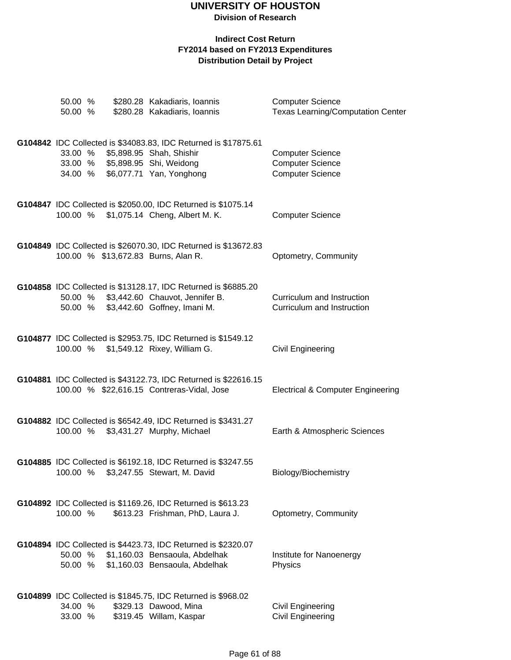## **UNIVERSITY OF HOUSTON**

**Division of Research**

| 50.00 %<br>50.00 % |  | \$280.28 Kakadiaris, Ioannis<br>\$280.28 Kakadiaris, Ioannis                                                                                               | <b>Computer Science</b><br><b>Texas Learning/Computation Center</b>           |
|--------------------|--|------------------------------------------------------------------------------------------------------------------------------------------------------------|-------------------------------------------------------------------------------|
| 33.00 %<br>34.00 % |  | G104842 IDC Collected is \$34083.83, IDC Returned is \$17875.61<br>\$5,898.95 Shah, Shishir<br>33.00 % \$5,898.95 Shi, Weidong<br>\$6,077.71 Yan, Yonghong | <b>Computer Science</b><br><b>Computer Science</b><br><b>Computer Science</b> |
| 100.00 %           |  | G104847 IDC Collected is \$2050.00, IDC Returned is \$1075.14<br>\$1,075.14 Cheng, Albert M. K.                                                            | <b>Computer Science</b>                                                       |
|                    |  | G104849 IDC Collected is \$26070.30, IDC Returned is \$13672.83<br>100.00 % \$13,672.83 Burns, Alan R.                                                     | Optometry, Community                                                          |
| 50.00 %<br>50.00 % |  | G104858 IDC Collected is \$13128.17, IDC Returned is \$6885.20<br>\$3,442.60 Chauvot, Jennifer B.<br>\$3,442.60 Goffney, Imani M.                          | Curriculum and Instruction<br>Curriculum and Instruction                      |
|                    |  | G104877 IDC Collected is \$2953.75, IDC Returned is \$1549.12<br>100.00 % \$1,549.12 Rixey, William G.                                                     | Civil Engineering                                                             |
|                    |  | G104881 IDC Collected is \$43122.73, IDC Returned is \$22616.15<br>100.00 % \$22,616.15 Contreras-Vidal, Jose                                              | <b>Electrical &amp; Computer Engineering</b>                                  |
| 100.00 %           |  | G104882 IDC Collected is \$6542.49, IDC Returned is \$3431.27<br>\$3,431.27 Murphy, Michael                                                                | Earth & Atmospheric Sciences                                                  |
| 100.00 %           |  | G104885 IDC Collected is \$6192.18, IDC Returned is \$3247.55<br>\$3,247.55 Stewart, M. David                                                              | Biology/Biochemistry                                                          |
| 100.00 %           |  | G104892 IDC Collected is \$1169.26, IDC Returned is \$613.23<br>\$613.23 Frishman, PhD, Laura J.                                                           | Optometry, Community                                                          |
| 50.00 %<br>50.00 % |  | G104894 IDC Collected is \$4423.73, IDC Returned is \$2320.07<br>\$1,160.03 Bensaoula, Abdelhak<br>\$1,160.03 Bensaoula, Abdelhak                          | Institute for Nanoenergy<br>Physics                                           |
| 34.00 %<br>33.00 % |  | G104899 IDC Collected is \$1845.75, IDC Returned is \$968.02<br>\$329.13 Dawood, Mina<br>\$319.45 Willam, Kaspar                                           | Civil Engineering<br><b>Civil Engineering</b>                                 |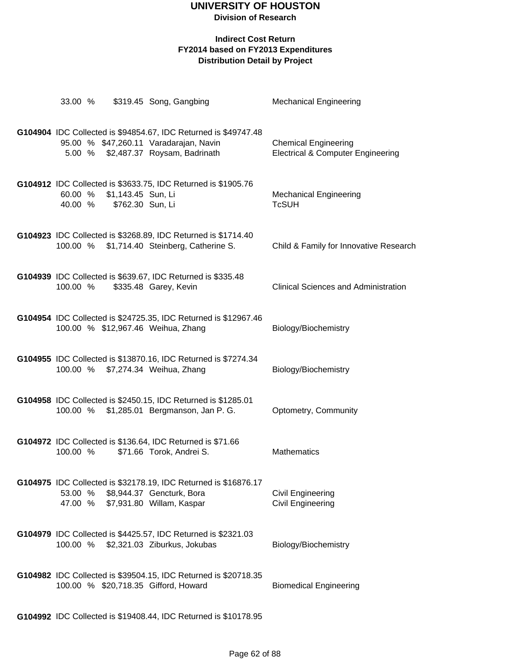# **UNIVERSITY OF HOUSTON**

**Division of Research**

#### **Indirect Cost Return FY2014 based on FY2013 Expenditures Distribution Detail by Project**

| 33.00 %  |                                                | \$319.45 Song, Gangbing                                                                                                                          | <b>Mechanical Engineering</b>                                               |
|----------|------------------------------------------------|--------------------------------------------------------------------------------------------------------------------------------------------------|-----------------------------------------------------------------------------|
|          |                                                | G104904 IDC Collected is \$94854.67, IDC Returned is \$49747.48<br>95.00 % \$47,260.11 Varadarajan, Navin<br>5.00 % \$2,487.37 Roysam, Badrinath | <b>Chemical Engineering</b><br><b>Electrical &amp; Computer Engineering</b> |
| 60.00 %  | \$1,143.45 Sun, Li<br>40.00 % \$762.30 Sun, Li | G104912 IDC Collected is \$3633.75, IDC Returned is \$1905.76                                                                                    | <b>Mechanical Engineering</b><br><b>TcSUH</b>                               |
|          |                                                | G104923 IDC Collected is \$3268.89, IDC Returned is \$1714.40<br>100.00 % \$1,714.40 Steinberg, Catherine S.                                     | Child & Family for Innovative Research                                      |
|          |                                                | G104939 IDC Collected is \$639.67, IDC Returned is \$335.48<br>100.00 % \$335.48 Garey, Kevin                                                    | <b>Clinical Sciences and Administration</b>                                 |
|          |                                                | G104954 IDC Collected is \$24725.35, IDC Returned is \$12967.46<br>100.00 % \$12,967.46 Weihua, Zhang                                            | Biology/Biochemistry                                                        |
|          |                                                | G104955 IDC Collected is \$13870.16, IDC Returned is \$7274.34<br>100.00 % \$7,274.34 Weihua, Zhang                                              | Biology/Biochemistry                                                        |
|          |                                                | G104958 IDC Collected is \$2450.15, IDC Returned is \$1285.01<br>100.00 % \$1,285.01 Bergmanson, Jan P. G.                                       | Optometry, Community                                                        |
| 100.00 % |                                                | G104972 IDC Collected is \$136.64, IDC Returned is \$71.66<br>\$71.66 Torok, Andrei S.                                                           | <b>Mathematics</b>                                                          |
|          |                                                | G104975 IDC Collected is \$32178.19, IDC Returned is \$16876.17<br>53.00 % \$8,944.37 Gencturk, Bora<br>47.00 % \$7,931.80 Willam, Kaspar        | <b>Civil Engineering</b><br><b>Civil Engineering</b>                        |
|          |                                                | G104979 IDC Collected is \$4425.57, IDC Returned is \$2321.03<br>100.00 % \$2,321.03 Ziburkus, Jokubas                                           | Biology/Biochemistry                                                        |
|          |                                                | G104982 IDC Collected is \$39504.15, IDC Returned is \$20718.35<br>100.00 % \$20,718.35 Gifford, Howard                                          | <b>Biomedical Engineering</b>                                               |

**G104992** IDC Collected is \$19408.44, IDC Returned is \$10178.95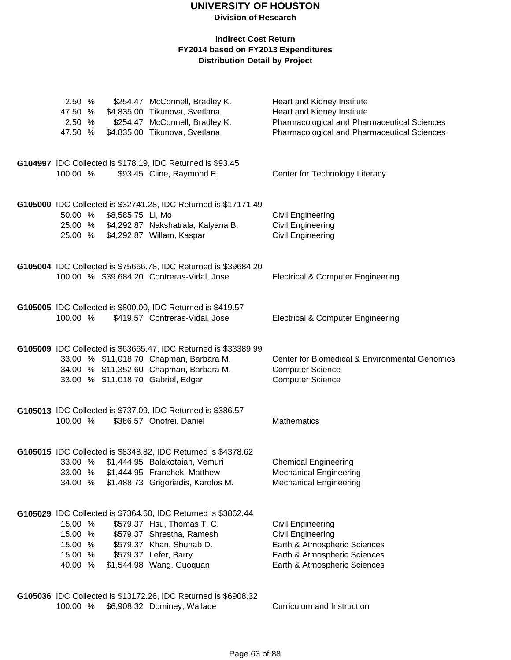#### **Indirect Cost Return FY2014 based on FY2013 Expenditures Distribution Detail by Project**

| 2.50 %<br>47.50 %<br>2.50 %<br>47.50 %              |                   | \$254.47 McConnell, Bradley K.<br>\$4,835.00 Tikunova, Svetlana<br>\$254.47 McConnell, Bradley K.<br>\$4,835.00 Tikunova, Svetlana                                                                        | Heart and Kidney Institute<br>Heart and Kidney Institute<br>Pharmacological and Pharmaceutical Sciences<br>Pharmacological and Pharmaceutical Sciences |
|-----------------------------------------------------|-------------------|-----------------------------------------------------------------------------------------------------------------------------------------------------------------------------------------------------------|--------------------------------------------------------------------------------------------------------------------------------------------------------|
| 100.00 %                                            |                   | G104997 IDC Collected is \$178.19, IDC Returned is \$93.45<br>\$93.45 Cline, Raymond E.                                                                                                                   | Center for Technology Literacy                                                                                                                         |
| 50.00 %                                             | \$8,585.75 Li, Mo | G105000 IDC Collected is \$32741.28, IDC Returned is \$17171.49<br>25.00 % \$4,292.87 Nakshatrala, Kalyana B.<br>25.00 % \$4,292.87 Willam, Kaspar                                                        | <b>Civil Engineering</b><br><b>Civil Engineering</b><br><b>Civil Engineering</b>                                                                       |
|                                                     |                   | G105004 IDC Collected is \$75666.78, IDC Returned is \$39684.20<br>100.00 % \$39,684.20 Contreras-Vidal, Jose                                                                                             | <b>Electrical &amp; Computer Engineering</b>                                                                                                           |
| 100.00 %                                            |                   | G105005 IDC Collected is \$800.00, IDC Returned is \$419.57<br>\$419.57 Contreras-Vidal, Jose                                                                                                             | <b>Electrical &amp; Computer Engineering</b>                                                                                                           |
|                                                     |                   | G105009 IDC Collected is \$63665.47, IDC Returned is \$33389.99<br>33.00 % \$11,018.70 Chapman, Barbara M.<br>34.00 % \$11,352.60 Chapman, Barbara M.<br>33.00 % \$11,018.70 Gabriel, Edgar               | Center for Biomedical & Environmental Genomics<br><b>Computer Science</b><br><b>Computer Science</b>                                                   |
| 100.00 %                                            |                   | G105013 IDC Collected is \$737.09, IDC Returned is \$386.57<br>\$386.57 Onofrei, Daniel                                                                                                                   | <b>Mathematics</b>                                                                                                                                     |
| 33.00 %<br>33.00 %<br>34.00 %                       |                   | G105015 IDC Collected is \$8348.82, IDC Returned is \$4378.62<br>\$1,444.95 Balakotaiah, Vemuri<br>\$1,444.95 Franchek, Matthew<br>\$1,488.73 Grigoriadis, Karolos M.                                     | <b>Chemical Engineering</b><br><b>Mechanical Engineering</b><br><b>Mechanical Engineering</b>                                                          |
| 15.00 %<br>15.00 %<br>15.00 %<br>15.00 %<br>40.00 % |                   | G105029 IDC Collected is \$7364.60, IDC Returned is \$3862.44<br>\$579.37 Hsu, Thomas T. C.<br>\$579.37 Shrestha, Ramesh<br>\$579.37 Khan, Shuhab D.<br>\$579.37 Lefer, Barry<br>\$1,544.98 Wang, Guoquan | <b>Civil Engineering</b><br><b>Civil Engineering</b><br>Earth & Atmospheric Sciences<br>Earth & Atmospheric Sciences<br>Earth & Atmospheric Sciences   |
|                                                     |                   | G105036 IDC Collected is \$13172.26, IDC Returned is \$6908.32                                                                                                                                            |                                                                                                                                                        |

100.00 % \$6,908.32 Dominey, Wallace Curriculum and Instruction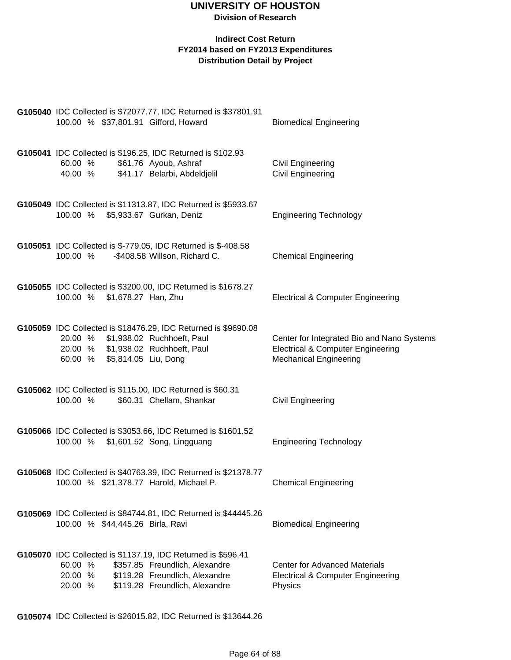#### **Indirect Cost Return FY2014 based on FY2013 Expenditures Distribution Detail by Project**

| 100.00 % \$37,801.91 Gifford, Howard                                                                     | G105040 IDC Collected is \$72077.77, IDC Returned is \$37801.91                                                                                                    | <b>Biomedical Engineering</b>                                                                                               |
|----------------------------------------------------------------------------------------------------------|--------------------------------------------------------------------------------------------------------------------------------------------------------------------|-----------------------------------------------------------------------------------------------------------------------------|
| 60.00 % \$61.76 Ayoub, Ashraf<br>40.00 %                                                                 | G105041 IDC Collected is \$196.25, IDC Returned is \$102.93<br>\$41.17 Belarbi, Abdeldjelil                                                                        | Civil Engineering<br><b>Civil Engineering</b>                                                                               |
| 100.00 % \$5,933.67 Gurkan, Deniz                                                                        | G105049 IDC Collected is \$11313.87, IDC Returned is \$5933.67                                                                                                     | <b>Engineering Technology</b>                                                                                               |
| 100.00 %                                                                                                 | G105051 IDC Collected is \$-779.05, IDC Returned is \$-408.58<br>-\$408.58 Willson, Richard C.                                                                     | <b>Chemical Engineering</b>                                                                                                 |
| 100.00 % \$1,678.27 Han, Zhu                                                                             | G105055 IDC Collected is \$3200.00, IDC Returned is \$1678.27                                                                                                      | <b>Electrical &amp; Computer Engineering</b>                                                                                |
| 20.00 % \$1,938.02 Ruchhoeft, Paul<br>20.00 % \$1,938.02 Ruchhoeft, Paul<br>60.00 % \$5,814.05 Liu, Dong | G105059 IDC Collected is \$18476.29, IDC Returned is \$9690.08                                                                                                     | Center for Integrated Bio and Nano Systems<br><b>Electrical &amp; Computer Engineering</b><br><b>Mechanical Engineering</b> |
| 100.00 %                                                                                                 | G105062 IDC Collected is \$115.00, IDC Returned is \$60.31<br>\$60.31 Chellam, Shankar                                                                             | Civil Engineering                                                                                                           |
| 100.00 % \$1,601.52 Song, Lingguang                                                                      | G105066 IDC Collected is \$3053.66, IDC Returned is \$1601.52                                                                                                      | <b>Engineering Technology</b>                                                                                               |
| 100.00 % \$21,378.77 Harold, Michael P.                                                                  | G105068 IDC Collected is \$40763.39, IDC Returned is \$21378.77                                                                                                    | <b>Chemical Engineering</b>                                                                                                 |
| 100.00 % \$44,445.26 Birla, Ravi                                                                         | G105069 IDC Collected is \$84744.81, IDC Returned is \$44445.26                                                                                                    | <b>Biomedical Engineering</b>                                                                                               |
| 60.00 %<br>20.00 %<br>20.00 %                                                                            | G105070 IDC Collected is \$1137.19, IDC Returned is \$596.41<br>\$357.85 Freundlich, Alexandre<br>\$119.28 Freundlich, Alexandre<br>\$119.28 Freundlich, Alexandre | <b>Center for Advanced Materials</b><br><b>Electrical &amp; Computer Engineering</b><br>Physics                             |

**G105074** IDC Collected is \$26015.82, IDC Returned is \$13644.26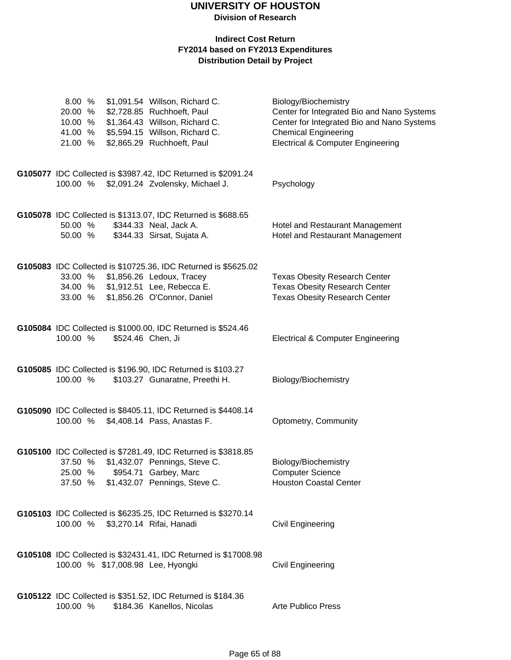| 8.00 %<br>20.00 %<br>10.00 %<br>41.00 %<br>21.00 % | \$1,091.54 Willson, Richard C.<br>\$2,728.85 Ruchhoeft, Paul<br>\$1,364.43 Willson, Richard C.<br>\$5,594.15 Willson, Richard C.<br>\$2,865.29 Ruchhoeft, Paul | Biology/Biochemistry<br>Center for Integrated Bio and Nano Systems<br>Center for Integrated Bio and Nano Systems<br><b>Chemical Engineering</b><br><b>Electrical &amp; Computer Engineering</b> |
|----------------------------------------------------|----------------------------------------------------------------------------------------------------------------------------------------------------------------|-------------------------------------------------------------------------------------------------------------------------------------------------------------------------------------------------|
| 100.00 %                                           | G105077 IDC Collected is \$3987.42, IDC Returned is \$2091.24<br>\$2,091.24 Zvolensky, Michael J.                                                              | Psychology                                                                                                                                                                                      |
| 50.00 %<br>50.00 %                                 | G105078 IDC Collected is \$1313.07, IDC Returned is \$688.65<br>\$344.33 Neal, Jack A.<br>\$344.33 Sirsat, Sujata A.                                           | Hotel and Restaurant Management<br>Hotel and Restaurant Management                                                                                                                              |
| 33.00 %<br>34.00 %<br>33.00 %                      | G105083 IDC Collected is \$10725.36, IDC Returned is \$5625.02<br>\$1,856.26 Ledoux, Tracey<br>\$1,912.51 Lee, Rebecca E.<br>\$1,856.26 O'Connor, Daniel       | <b>Texas Obesity Research Center</b><br><b>Texas Obesity Research Center</b><br>Texas Obesity Research Center                                                                                   |
| 100.00 %                                           | G105084 IDC Collected is \$1000.00, IDC Returned is \$524.46<br>\$524.46 Chen, Ji                                                                              | <b>Electrical &amp; Computer Engineering</b>                                                                                                                                                    |
| 100.00 %                                           | G105085 IDC Collected is \$196.90, IDC Returned is \$103.27<br>\$103.27 Gunaratne, Preethi H.                                                                  | Biology/Biochemistry                                                                                                                                                                            |
| 100.00 %                                           | G105090 IDC Collected is \$8405.11, IDC Returned is \$4408.14<br>\$4,408.14 Pass, Anastas F.                                                                   | Optometry, Community                                                                                                                                                                            |
| 37.50 %<br>25.00 %<br>37.50 %                      | G105100 IDC Collected is \$7281.49, IDC Returned is \$3818.85<br>\$1,432.07 Pennings, Steve C.<br>\$954.71 Garbey, Marc<br>\$1,432.07 Pennings, Steve C.       | Biology/Biochemistry<br><b>Computer Science</b><br><b>Houston Coastal Center</b>                                                                                                                |
| 100.00 %                                           | G105103 IDC Collected is \$6235.25, IDC Returned is \$3270.14<br>\$3,270.14 Rifai, Hanadi                                                                      | <b>Civil Engineering</b>                                                                                                                                                                        |
|                                                    | G105108 IDC Collected is \$32431.41, IDC Returned is \$17008.98<br>100.00 % \$17,008.98 Lee, Hyongki                                                           | <b>Civil Engineering</b>                                                                                                                                                                        |
| 100.00 %                                           | G105122 IDC Collected is \$351.52, IDC Returned is \$184.36<br>\$184.36 Kanellos, Nicolas                                                                      | <b>Arte Publico Press</b>                                                                                                                                                                       |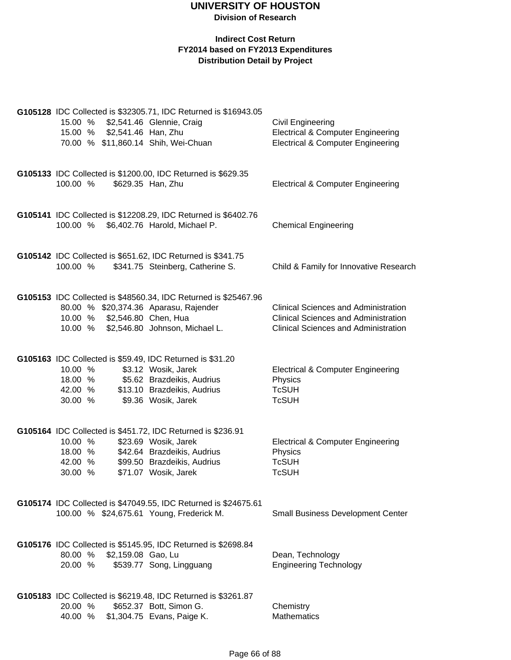|                                          | 15.00 % \$2,541.46 Han, Zhu  | G105128 IDC Collected is \$32305.71, IDC Returned is \$16943.05<br>15.00 % \$2,541.46 Glennie, Craig<br>70.00 % \$11,860.14 Shih, Wei-Chuan                               | Civil Engineering<br><b>Electrical &amp; Computer Engineering</b><br><b>Electrical &amp; Computer Engineering</b>                         |
|------------------------------------------|------------------------------|---------------------------------------------------------------------------------------------------------------------------------------------------------------------------|-------------------------------------------------------------------------------------------------------------------------------------------|
| 100.00 %                                 |                              | G105133 IDC Collected is \$1200.00, IDC Returned is \$629.35<br>\$629.35 Han, Zhu                                                                                         | <b>Electrical &amp; Computer Engineering</b>                                                                                              |
|                                          |                              | G105141 IDC Collected is \$12208.29, IDC Returned is \$6402.76<br>100.00 % \$6,402.76 Harold, Michael P.                                                                  | <b>Chemical Engineering</b>                                                                                                               |
|                                          |                              | G105142 IDC Collected is \$651.62, IDC Returned is \$341.75<br>100.00 % \$341.75 Steinberg, Catherine S.                                                                  | Child & Family for Innovative Research                                                                                                    |
|                                          | 10.00 % \$2,546.80 Chen, Hua | G105153 IDC Collected is \$48560.34, IDC Returned is \$25467.96<br>80.00 % \$20,374.36 Aparasu, Rajender<br>10.00 % \$2,546.80 Johnson, Michael L.                        | <b>Clinical Sciences and Administration</b><br><b>Clinical Sciences and Administration</b><br><b>Clinical Sciences and Administration</b> |
| 10.00 %<br>18.00 %<br>42.00 %<br>30.00 % |                              | G105163 IDC Collected is \$59.49, IDC Returned is \$31.20<br>\$3.12 Wosik, Jarek<br>\$5.62 Brazdeikis, Audrius<br>\$13.10 Brazdeikis, Audrius<br>\$9.36 Wosik, Jarek      | <b>Electrical &amp; Computer Engineering</b><br>Physics<br><b>TcSUH</b><br><b>TcSUH</b>                                                   |
| 10.00 %<br>18.00 %<br>42.00 %<br>30.00 % |                              | G105164 IDC Collected is \$451.72, IDC Returned is \$236.91<br>\$23.69 Wosik, Jarek<br>\$42.64 Brazdeikis, Audrius<br>\$99.50 Brazdeikis, Audrius<br>\$71.07 Wosik, Jarek | <b>Electrical &amp; Computer Engineering</b><br>Physics<br><b>TcSUH</b><br><b>TcSUH</b>                                                   |
|                                          |                              | G105174 IDC Collected is \$47049.55, IDC Returned is \$24675.61<br>100.00 % \$24,675.61 Young, Frederick M.                                                               | <b>Small Business Development Center</b>                                                                                                  |
| 20.00 %                                  | 80.00 % \$2,159.08 Gao, Lu   | G105176 IDC Collected is \$5145.95, IDC Returned is \$2698.84<br>\$539.77 Song, Lingguang                                                                                 | Dean, Technology<br><b>Engineering Technology</b>                                                                                         |
| 20.00 %                                  |                              | G105183 IDC Collected is \$6219.48, IDC Returned is \$3261.87<br>\$652.37 Bott, Simon G.<br>40.00 % \$1,304.75 Evans, Paige K.                                            | Chemistry<br>Mathematics                                                                                                                  |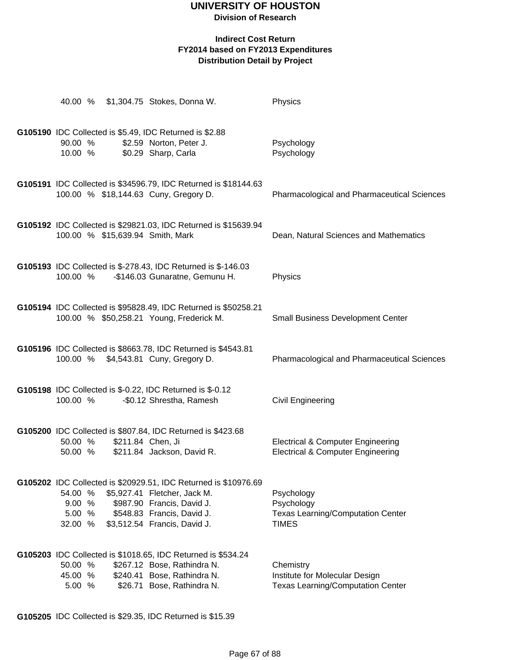# **UNIVERSITY OF HOUSTON**

**Division of Research**

### **Indirect Cost Return FY2014 based on FY2013 Expenditures Distribution Detail by Project**

| 40.00 %                                                                                           | \$1,304.75 Stokes, Donna W.                                                                                                                                                                 | Physics                                                                                      |
|---------------------------------------------------------------------------------------------------|---------------------------------------------------------------------------------------------------------------------------------------------------------------------------------------------|----------------------------------------------------------------------------------------------|
| G105190 IDC Collected is \$5.49, IDC Returned is \$2.88<br>90.00 %<br>10.00 % \$0.29 Sharp, Carla | \$2.59 Norton, Peter J.                                                                                                                                                                     | Psychology<br>Psychology                                                                     |
| 100.00 % \$18,144.63 Cuny, Gregory D.                                                             | G105191 IDC Collected is \$34596.79, IDC Returned is \$18144.63                                                                                                                             | Pharmacological and Pharmaceutical Sciences                                                  |
| 100.00 % \$15,639.94 Smith, Mark                                                                  | G105192 IDC Collected is \$29821.03, IDC Returned is \$15639.94                                                                                                                             | Dean, Natural Sciences and Mathematics                                                       |
| 100.00 %                                                                                          | G105193 IDC Collected is \$-278.43, IDC Returned is \$-146.03<br>-\$146.03 Gunaratne, Gemunu H.                                                                                             | Physics                                                                                      |
| 100.00 % \$50,258.21 Young, Frederick M.                                                          | G105194 IDC Collected is \$95828.49, IDC Returned is \$50258.21                                                                                                                             | <b>Small Business Development Center</b>                                                     |
| 100.00 % \$4,543.81 Cuny, Gregory D.                                                              | G105196 IDC Collected is \$8663.78, IDC Returned is \$4543.81                                                                                                                               | Pharmacological and Pharmaceutical Sciences                                                  |
| G105198 IDC Collected is \$-0.22, IDC Returned is \$-0.12<br>100.00 %                             | -\$0.12 Shrestha, Ramesh                                                                                                                                                                    | Civil Engineering                                                                            |
| 50.00 %<br>50.00 %                                                                                | G105200 IDC Collected is \$807.84, IDC Returned is \$423.68<br>\$211.84 Chen, Ji<br>\$211.84 Jackson, David R.                                                                              | <b>Electrical &amp; Computer Engineering</b><br><b>Electrical &amp; Computer Engineering</b> |
| 54.00 %<br>9.00%<br>5.00 %<br>32.00 %                                                             | G105202 IDC Collected is \$20929.51, IDC Returned is \$10976.69<br>\$5,927.41 Fletcher, Jack M.<br>\$987.90 Francis, David J.<br>\$548.83 Francis, David J.<br>\$3,512.54 Francis, David J. | Psychology<br>Psychology<br><b>Texas Learning/Computation Center</b><br><b>TIMES</b>         |
| 50.00 %<br>45.00 %<br>5.00%                                                                       | G105203 IDC Collected is \$1018.65, IDC Returned is \$534.24<br>\$267.12 Bose, Rathindra N.<br>\$240.41 Bose, Rathindra N.<br>\$26.71 Bose, Rathindra N.                                    | Chemistry<br>Institute for Molecular Design<br><b>Texas Learning/Computation Center</b>      |

**G105205** IDC Collected is \$29.35, IDC Returned is \$15.39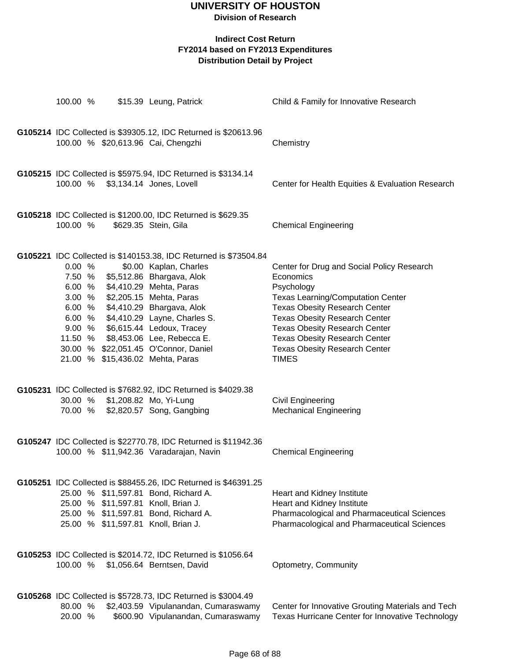## **UNIVERSITY OF HOUSTON**

**Division of Research**

| 100.00 %           | \$15.39 Leung, Patrick                                                                                                                                                                                                                                                                                                                                                                                                              | Child & Family for Innovative Research                                                                                                                                                                                                                                                                                                    |
|--------------------|-------------------------------------------------------------------------------------------------------------------------------------------------------------------------------------------------------------------------------------------------------------------------------------------------------------------------------------------------------------------------------------------------------------------------------------|-------------------------------------------------------------------------------------------------------------------------------------------------------------------------------------------------------------------------------------------------------------------------------------------------------------------------------------------|
|                    | G105214 IDC Collected is \$39305.12, IDC Returned is \$20613.96<br>100.00 % \$20,613.96 Cai, Chengzhi                                                                                                                                                                                                                                                                                                                               | Chemistry                                                                                                                                                                                                                                                                                                                                 |
|                    | G105215 IDC Collected is \$5975.94, IDC Returned is \$3134.14<br>100.00 % \$3,134.14 Jones, Lovell                                                                                                                                                                                                                                                                                                                                  | Center for Health Equities & Evaluation Research                                                                                                                                                                                                                                                                                          |
| 100.00 %           | G105218 IDC Collected is \$1200.00, IDC Returned is \$629.35<br>\$629.35 Stein, Gila                                                                                                                                                                                                                                                                                                                                                | <b>Chemical Engineering</b>                                                                                                                                                                                                                                                                                                               |
| 0.00 %             | G105221 IDC Collected is \$140153.38, IDC Returned is \$73504.84<br>\$0.00 Kaplan, Charles<br>7.50 % \$5,512.86 Bhargava, Alok<br>6.00 % \$4,410.29 Mehta, Paras<br>3.00 % \$2,205.15 Mehta, Paras<br>6.00 % \$4,410.29 Bhargava, Alok<br>6.00 % \$4,410.29 Layne, Charles S.<br>9.00 % \$6,615.44 Ledoux, Tracey<br>11.50 % \$8,453.06 Lee, Rebecca E.<br>30.00 % \$22,051.45 O'Connor, Daniel<br>21.00 % \$15,436.02 Mehta, Paras | Center for Drug and Social Policy Research<br>Economics<br>Psychology<br><b>Texas Learning/Computation Center</b><br><b>Texas Obesity Research Center</b><br><b>Texas Obesity Research Center</b><br><b>Texas Obesity Research Center</b><br><b>Texas Obesity Research Center</b><br><b>Texas Obesity Research Center</b><br><b>TIMES</b> |
|                    | G105231 IDC Collected is \$7682.92, IDC Returned is \$4029.38<br>30.00 % \$1,208.82 Mo, Yi-Lung<br>70.00 % \$2,820.57 Song, Gangbing                                                                                                                                                                                                                                                                                                | <b>Civil Engineering</b><br><b>Mechanical Engineering</b>                                                                                                                                                                                                                                                                                 |
|                    | G105247 IDC Collected is \$22770.78, IDC Returned is \$11942.36<br>100.00 % \$11,942.36 Varadarajan, Navin                                                                                                                                                                                                                                                                                                                          | <b>Chemical Engineering</b>                                                                                                                                                                                                                                                                                                               |
|                    | G105251 IDC Collected is \$88455.26, IDC Returned is \$46391.25<br>25.00 % \$11,597.81 Bond, Richard A.<br>25.00 % \$11,597.81 Knoll, Brian J.<br>25.00 % \$11,597.81 Bond, Richard A.<br>25.00 % \$11,597.81 Knoll, Brian J.                                                                                                                                                                                                       | Heart and Kidney Institute<br>Heart and Kidney Institute<br>Pharmacological and Pharmaceutical Sciences<br>Pharmacological and Pharmaceutical Sciences                                                                                                                                                                                    |
| 100.00 %           | G105253 IDC Collected is \$2014.72, IDC Returned is \$1056.64<br>\$1,056.64 Berntsen, David                                                                                                                                                                                                                                                                                                                                         | Optometry, Community                                                                                                                                                                                                                                                                                                                      |
| 80.00 %<br>20.00 % | G105268 IDC Collected is \$5728.73, IDC Returned is \$3004.49<br>\$2,403.59 Vipulanandan, Cumaraswamy<br>\$600.90 Vipulanandan, Cumaraswamy                                                                                                                                                                                                                                                                                         | Center for Innovative Grouting Materials and Tech<br>Texas Hurricane Center for Innovative Technology                                                                                                                                                                                                                                     |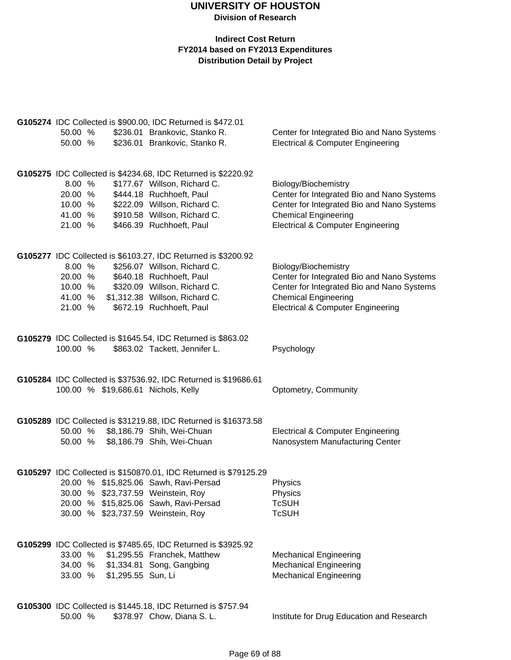| G105274 IDC Collected is \$900.00, IDC Returned is \$472.01 |  |                    |                                                                  |                                              |  |  |
|-------------------------------------------------------------|--|--------------------|------------------------------------------------------------------|----------------------------------------------|--|--|
| 50.00 %                                                     |  |                    | \$236.01 Brankovic, Stanko R.                                    | Center for Integrated Bio and Nano Systems   |  |  |
| 50.00 %                                                     |  |                    | \$236.01 Brankovic, Stanko R.                                    | <b>Electrical &amp; Computer Engineering</b> |  |  |
|                                                             |  |                    |                                                                  |                                              |  |  |
|                                                             |  |                    |                                                                  |                                              |  |  |
|                                                             |  |                    | G105275 IDC Collected is \$4234.68, IDC Returned is \$2220.92    |                                              |  |  |
| 8.00 %                                                      |  |                    | \$177.67 Willson, Richard C.                                     | Biology/Biochemistry                         |  |  |
| 20.00 %                                                     |  |                    | \$444.18 Ruchhoeft, Paul                                         | Center for Integrated Bio and Nano Systems   |  |  |
| 10.00 %                                                     |  |                    | \$222.09 Willson, Richard C.                                     | Center for Integrated Bio and Nano Systems   |  |  |
| 41.00 %                                                     |  |                    | \$910.58 Willson, Richard C.                                     | <b>Chemical Engineering</b>                  |  |  |
| 21.00 %                                                     |  |                    | \$466.39 Ruchhoeft, Paul                                         | <b>Electrical &amp; Computer Engineering</b> |  |  |
|                                                             |  |                    |                                                                  |                                              |  |  |
|                                                             |  |                    |                                                                  |                                              |  |  |
|                                                             |  |                    | G105277 IDC Collected is \$6103.27, IDC Returned is \$3200.92    |                                              |  |  |
| 8.00 %                                                      |  |                    | \$256.07 Willson, Richard C.                                     | Biology/Biochemistry                         |  |  |
| 20.00 %                                                     |  |                    | \$640.18 Ruchhoeft, Paul                                         | Center for Integrated Bio and Nano Systems   |  |  |
| 10.00 %                                                     |  |                    | \$320.09 Willson, Richard C.                                     | Center for Integrated Bio and Nano Systems   |  |  |
| 41.00 %                                                     |  |                    | \$1,312.38 Willson, Richard C.                                   | <b>Chemical Engineering</b>                  |  |  |
| 21.00 %                                                     |  |                    | \$672.19 Ruchhoeft, Paul                                         | <b>Electrical &amp; Computer Engineering</b> |  |  |
|                                                             |  |                    |                                                                  |                                              |  |  |
|                                                             |  |                    | G105279 IDC Collected is \$1645.54, IDC Returned is \$863.02     |                                              |  |  |
| 100.00 %                                                    |  |                    | \$863.02 Tackett, Jennifer L.                                    | Psychology                                   |  |  |
|                                                             |  |                    |                                                                  |                                              |  |  |
|                                                             |  |                    |                                                                  |                                              |  |  |
|                                                             |  |                    | G105284 IDC Collected is \$37536.92, IDC Returned is \$19686.61  |                                              |  |  |
|                                                             |  |                    | 100.00 % \$19,686.61 Nichols, Kelly                              | Optometry, Community                         |  |  |
|                                                             |  |                    |                                                                  |                                              |  |  |
|                                                             |  |                    | G105289 IDC Collected is \$31219.88, IDC Returned is \$16373.58  |                                              |  |  |
| 50.00 %                                                     |  |                    | \$8,186.79 Shih, Wei-Chuan                                       | <b>Electrical &amp; Computer Engineering</b> |  |  |
| 50.00 %                                                     |  |                    | \$8,186.79 Shih, Wei-Chuan                                       | Nanosystem Manufacturing Center              |  |  |
|                                                             |  |                    |                                                                  |                                              |  |  |
|                                                             |  |                    |                                                                  |                                              |  |  |
|                                                             |  |                    | G105297 IDC Collected is \$150870.01, IDC Returned is \$79125.29 |                                              |  |  |
|                                                             |  |                    | 20.00 % \$15,825.06 Sawh, Ravi-Persad                            | Physics                                      |  |  |
|                                                             |  |                    | 30.00 % \$23,737.59 Weinstein, Roy                               | Physics                                      |  |  |
|                                                             |  |                    | 20.00 % \$15,825.06 Sawh, Ravi-Persad                            | <b>TcSUH</b>                                 |  |  |
|                                                             |  |                    | 30.00 % \$23,737.59 Weinstein, Roy                               | <b>TcSUH</b>                                 |  |  |
|                                                             |  |                    |                                                                  |                                              |  |  |
|                                                             |  |                    | G105299 IDC Collected is \$7485.65, IDC Returned is \$3925.92    |                                              |  |  |
| 33.00 %                                                     |  |                    | \$1,295.55 Franchek, Matthew                                     |                                              |  |  |
|                                                             |  |                    | 34.00 % \$1,334.81 Song, Gangbing                                | <b>Mechanical Engineering</b>                |  |  |
|                                                             |  |                    |                                                                  | <b>Mechanical Engineering</b>                |  |  |
| 33.00 %                                                     |  | \$1,295.55 Sun, Li |                                                                  | <b>Mechanical Engineering</b>                |  |  |
|                                                             |  |                    |                                                                  |                                              |  |  |
|                                                             |  |                    | G105300 IDC Collected is \$1445.18, IDC Returned is \$757.94     |                                              |  |  |
| 50.00 %                                                     |  |                    | \$378.97 Chow, Diana S. L.                                       | Institute for Drug Education and Research    |  |  |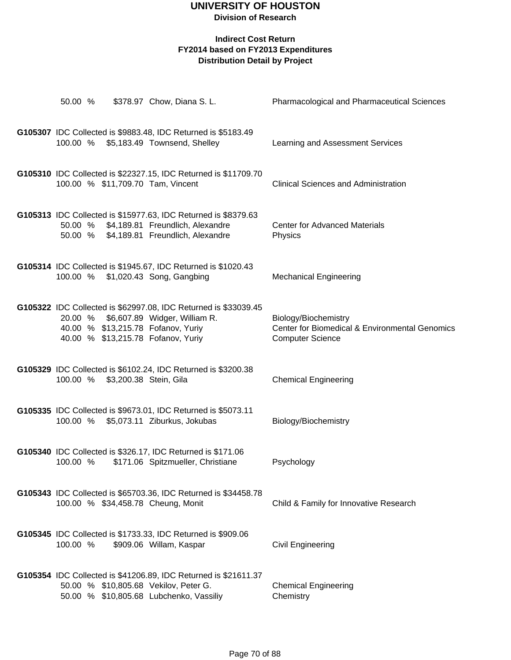| 50.00 %  |                                 | \$378.97 Chow, Diana S. L.                                                                                                                                                           | Pharmacological and Pharmaceutical Sciences                                                       |
|----------|---------------------------------|--------------------------------------------------------------------------------------------------------------------------------------------------------------------------------------|---------------------------------------------------------------------------------------------------|
|          |                                 | G105307 IDC Collected is \$9883.48, IDC Returned is \$5183.49<br>100.00 % \$5,183.49 Townsend, Shelley                                                                               | Learning and Assessment Services                                                                  |
|          |                                 | G105310 IDC Collected is \$22327.15, IDC Returned is \$11709.70<br>100.00 % \$11,709.70 Tam, Vincent                                                                                 | <b>Clinical Sciences and Administration</b>                                                       |
|          |                                 | G105313 IDC Collected is \$15977.63, IDC Returned is \$8379.63<br>50.00 % \$4,189.81 Freundlich, Alexandre<br>50.00 % \$4,189.81 Freundlich, Alexandre                               | <b>Center for Advanced Materials</b><br>Physics                                                   |
|          |                                 | G105314 IDC Collected is \$1945.67, IDC Returned is \$1020.43<br>100.00 % \$1,020.43 Song, Gangbing                                                                                  | <b>Mechanical Engineering</b>                                                                     |
|          |                                 | G105322 IDC Collected is \$62997.08, IDC Returned is \$33039.45<br>20.00 % \$6,607.89 Widger, William R.<br>40.00 % \$13,215.78 Fofanov, Yuriy<br>40.00 % \$13,215.78 Fofanov, Yuriy | Biology/Biochemistry<br>Center for Biomedical & Environmental Genomics<br><b>Computer Science</b> |
|          | 100.00 % \$3,200.38 Stein, Gila | G105329 IDC Collected is \$6102.24, IDC Returned is \$3200.38                                                                                                                        | <b>Chemical Engineering</b>                                                                       |
|          |                                 | G105335 IDC Collected is \$9673.01, IDC Returned is \$5073.11<br>100.00 % \$5,073.11 Ziburkus, Jokubas                                                                               | Biology/Biochemistry                                                                              |
| 100.00 % |                                 | G105340 IDC Collected is \$326.17, IDC Returned is \$171.06<br>\$171.06 Spitzmueller, Christiane                                                                                     | Psychology                                                                                        |
|          |                                 | G105343 IDC Collected is \$65703.36, IDC Returned is \$34458.78<br>100.00 % \$34,458.78 Cheung, Monit                                                                                | Child & Family for Innovative Research                                                            |
| 100.00 % |                                 | G105345 IDC Collected is \$1733.33, IDC Returned is \$909.06<br>\$909.06 Willam, Kaspar                                                                                              | <b>Civil Engineering</b>                                                                          |
|          |                                 | G105354 IDC Collected is \$41206.89, IDC Returned is \$21611.37<br>50.00 % \$10,805.68 Vekilov, Peter G.<br>50.00 % \$10,805.68 Lubchenko, Vassiliy                                  | <b>Chemical Engineering</b><br>Chemistry                                                          |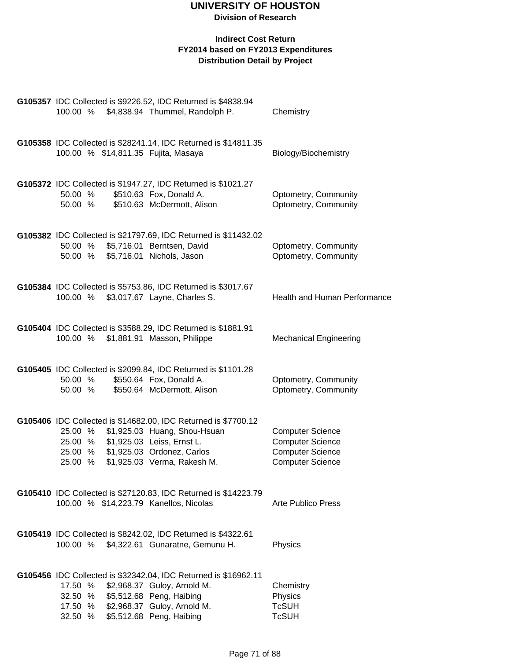| G105357 IDC Collected is \$9226.52, IDC Returned is \$4838.94<br>100.00 %                                                                                                                                                         | \$4,838.94 Thummel, Randolph P. | Chemistry                                                                                                |
|-----------------------------------------------------------------------------------------------------------------------------------------------------------------------------------------------------------------------------------|---------------------------------|----------------------------------------------------------------------------------------------------------|
| G105358 IDC Collected is \$28241.14, IDC Returned is \$14811.35<br>100.00 % \$14,811.35 Fujita, Masaya                                                                                                                            |                                 | Biology/Biochemistry                                                                                     |
| G105372 IDC Collected is \$1947.27, IDC Returned is \$1021.27<br>50.00 %<br>\$510.63 Fox, Donald A.<br>50.00 %                                                                                                                    | \$510.63 McDermott, Alison      | Optometry, Community<br>Optometry, Community                                                             |
| G105382 IDC Collected is \$21797.69, IDC Returned is \$11432.02<br>\$5,716.01 Berntsen, David<br>50.00 %<br>50.00 %<br>\$5,716.01 Nichols, Jason                                                                                  |                                 | Optometry, Community<br>Optometry, Community                                                             |
| G105384 IDC Collected is \$5753.86, IDC Returned is \$3017.67<br>\$3,017.67 Layne, Charles S.<br>100.00 %                                                                                                                         |                                 | Health and Human Performance                                                                             |
| G105404 IDC Collected is \$3588.29, IDC Returned is \$1881.91<br>100.00 % \$1,881.91 Masson, Philippe                                                                                                                             |                                 | <b>Mechanical Engineering</b>                                                                            |
| G105405 IDC Collected is \$2099.84, IDC Returned is \$1101.28<br>\$550.64 Fox, Donald A.<br>50.00 %<br>50.00 %                                                                                                                    | \$550.64 McDermott, Alison      | Optometry, Community<br>Optometry, Community                                                             |
| G105406 IDC Collected is \$14682.00, IDC Returned is \$7700.12<br>25.00 %<br>\$1,925.03 Leiss, Ernst L.<br>25.00 %<br>\$1,925.03 Ordonez, Carlos<br>25.00 %<br>\$1,925.03 Verma, Rakesh M.<br>25.00 %                             | \$1,925.03 Huang, Shou-Hsuan    | <b>Computer Science</b><br><b>Computer Science</b><br><b>Computer Science</b><br><b>Computer Science</b> |
| G105410 IDC Collected is \$27120.83, IDC Returned is \$14223.79<br>100.00 % \$14,223.79 Kanellos, Nicolas                                                                                                                         |                                 | <b>Arte Publico Press</b>                                                                                |
| G105419 IDC Collected is \$8242.02, IDC Returned is \$4322.61<br>100.00 %                                                                                                                                                         | \$4,322.61 Gunaratne, Gemunu H. | Physics                                                                                                  |
| G105456 IDC Collected is \$32342.04, IDC Returned is \$16962.11<br>\$2,968.37 Guloy, Arnold M.<br>17.50 %<br>\$5,512.68 Peng, Haibing<br>32.50 %<br>\$2,968.37 Guloy, Arnold M.<br>17.50 %<br>\$5,512.68 Peng, Haibing<br>32.50 % |                                 | Chemistry<br>Physics<br><b>TcSUH</b><br><b>TcSUH</b>                                                     |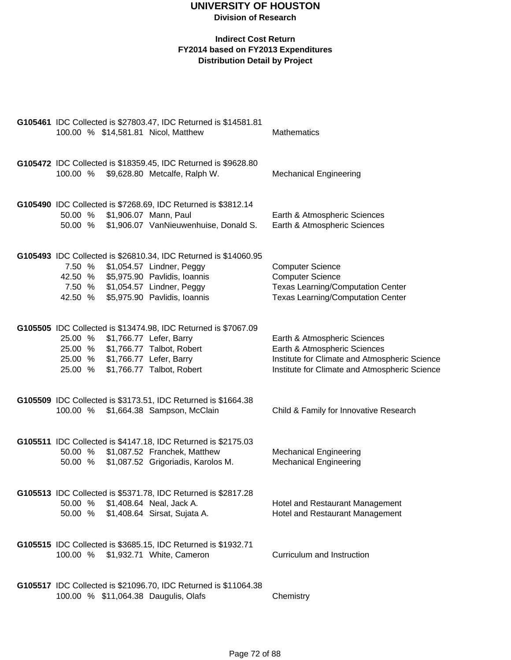| G105461 IDC Collected is \$27803.47, IDC Returned is \$14581.81<br>100.00 % \$14,581.81 Nicol, Matthew                                                                                                                     | Mathematics                                                                                                                                                    |
|----------------------------------------------------------------------------------------------------------------------------------------------------------------------------------------------------------------------------|----------------------------------------------------------------------------------------------------------------------------------------------------------------|
| G105472 IDC Collected is \$18359.45, IDC Returned is \$9628.80<br>100.00 % \$9,628.80 Metcalfe, Ralph W.                                                                                                                   | <b>Mechanical Engineering</b>                                                                                                                                  |
| G105490 IDC Collected is \$7268.69, IDC Returned is \$3812.14<br>50.00 %<br>\$1,906.07 Mann, Paul<br>\$1,906.07 VanNieuwenhuise, Donald S.<br>50.00 %                                                                      | Earth & Atmospheric Sciences<br>Earth & Atmospheric Sciences                                                                                                   |
| G105493 IDC Collected is \$26810.34, IDC Returned is \$14060.95<br>\$1,054.57 Lindner, Peggy<br>7.50 %<br>42.50 % \$5,975.90 Pavlidis, Ioannis<br>7.50 % \$1,054.57 Lindner, Peggy<br>42.50 % \$5,975.90 Pavlidis, Ioannis | <b>Computer Science</b><br><b>Computer Science</b><br><b>Texas Learning/Computation Center</b><br><b>Texas Learning/Computation Center</b>                     |
| G105505 IDC Collected is \$13474.98, IDC Returned is \$7067.09<br>25.00 % \$1,766.77 Lefer, Barry<br>25.00 % \$1,766.77 Talbot, Robert<br>25.00 % \$1,766.77 Lefer, Barry<br>\$1,766.77 Talbot, Robert<br>25.00 %          | Earth & Atmospheric Sciences<br>Earth & Atmospheric Sciences<br>Institute for Climate and Atmospheric Science<br>Institute for Climate and Atmospheric Science |
| G105509 IDC Collected is \$3173.51, IDC Returned is \$1664.38<br>\$1,664.38 Sampson, McClain<br>100.00 %                                                                                                                   | Child & Family for Innovative Research                                                                                                                         |
| G105511 IDC Collected is \$4147.18, IDC Returned is \$2175.03<br>50.00 %<br>\$1,087.52 Franchek, Matthew<br>\$1,087.52 Grigoriadis, Karolos M.<br>50.00 %                                                                  | <b>Mechanical Engineering</b><br><b>Mechanical Engineering</b>                                                                                                 |
| G105513 IDC Collected is \$5371.78, IDC Returned is \$2817.28<br>50.00 %<br>\$1,408.64 Neal, Jack A.<br>\$1,408.64 Sirsat, Sujata A.<br>50.00 %                                                                            | Hotel and Restaurant Management<br>Hotel and Restaurant Management                                                                                             |
| G105515 IDC Collected is \$3685.15, IDC Returned is \$1932.71<br>100.00 %<br>\$1,932.71 White, Cameron                                                                                                                     | Curriculum and Instruction                                                                                                                                     |
| G105517 IDC Collected is \$21096.70, IDC Returned is \$11064.38<br>100.00 % \$11,064.38 Daugulis, Olafs                                                                                                                    | Chemistry                                                                                                                                                      |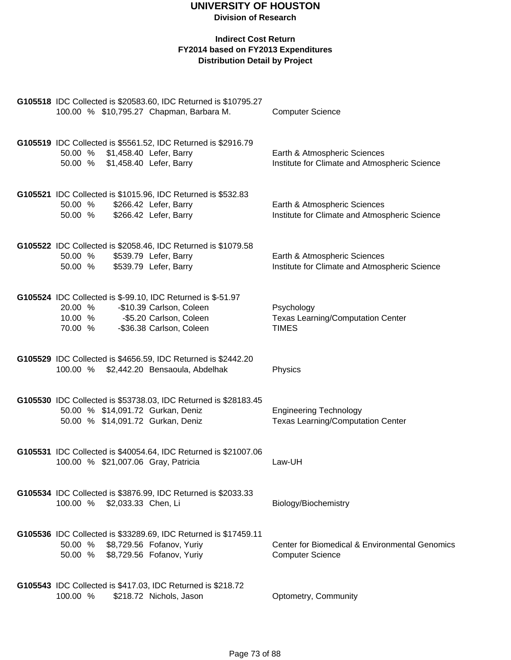|                    |                                                                    | G105518 IDC Collected is \$20583.60, IDC Returned is \$10795.27                                        |                                                                                      |
|--------------------|--------------------------------------------------------------------|--------------------------------------------------------------------------------------------------------|--------------------------------------------------------------------------------------|
|                    |                                                                    | 100.00 % \$10,795.27 Chapman, Barbara M.                                                               | <b>Computer Science</b>                                                              |
|                    |                                                                    | G105519 IDC Collected is \$5561.52, IDC Returned is \$2916.79                                          |                                                                                      |
|                    | 50.00 % \$1,458.40 Lefer, Barry<br>50.00 % \$1,458.40 Lefer, Barry |                                                                                                        | Earth & Atmospheric Sciences<br>Institute for Climate and Atmospheric Science        |
|                    |                                                                    |                                                                                                        |                                                                                      |
| 50.00 %            |                                                                    | G105521 IDC Collected is \$1015.96, IDC Returned is \$532.83<br>\$266.42 Lefer, Barry                  | Earth & Atmospheric Sciences                                                         |
| 50.00 %            |                                                                    | \$266.42 Lefer, Barry                                                                                  | Institute for Climate and Atmospheric Science                                        |
|                    |                                                                    | G105522 IDC Collected is \$2058.46, IDC Returned is \$1079.58                                          |                                                                                      |
| 50.00 %<br>50.00 % |                                                                    | \$539.79 Lefer, Barry<br>\$539.79 Lefer, Barry                                                         | Earth & Atmospheric Sciences<br>Institute for Climate and Atmospheric Science        |
|                    |                                                                    |                                                                                                        |                                                                                      |
| 20.00 %            |                                                                    | G105524 IDC Collected is \$-99.10, IDC Returned is \$-51.97<br>-\$10.39 Carlson, Coleen                |                                                                                      |
| 10.00 %            |                                                                    | -\$5.20 Carlson, Coleen                                                                                | Psychology<br><b>Texas Learning/Computation Center</b>                               |
| 70.00 %            |                                                                    | -\$36.38 Carlson, Coleen                                                                               | <b>TIMES</b>                                                                         |
|                    |                                                                    | G105529 IDC Collected is \$4656.59, IDC Returned is \$2442.20                                          |                                                                                      |
|                    |                                                                    | 100.00 % \$2,442.20 Bensaoula, Abdelhak                                                                | Physics                                                                              |
|                    |                                                                    | G105530 IDC Collected is \$53738.03, IDC Returned is \$28183.45                                        |                                                                                      |
|                    |                                                                    | 50.00 % \$14,091.72 Gurkan, Deniz<br>50.00 % \$14,091.72 Gurkan, Deniz                                 | <b>Engineering Technology</b><br><b>Texas Learning/Computation Center</b>            |
|                    |                                                                    |                                                                                                        |                                                                                      |
|                    |                                                                    | G105531 IDC Collected is \$40054.64, IDC Returned is \$21007.06<br>100.00 % \$21,007.06 Gray, Patricia | Law-UH                                                                               |
|                    |                                                                    |                                                                                                        |                                                                                      |
|                    |                                                                    | G105534 IDC Collected is \$3876.99, IDC Returned is \$2033.33                                          |                                                                                      |
|                    | 100.00 % \$2,033.33 Chen, Li                                       |                                                                                                        | Biology/Biochemistry                                                                 |
|                    |                                                                    | G105536 IDC Collected is \$33289.69, IDC Returned is \$17459.11                                        |                                                                                      |
|                    |                                                                    | 50.00 % \$8,729.56 Fofanov, Yuriy<br>50.00 % \$8,729.56 Fofanov, Yuriy                                 | <b>Center for Biomedical &amp; Environmental Genomics</b><br><b>Computer Science</b> |
|                    |                                                                    |                                                                                                        |                                                                                      |
|                    |                                                                    | G105543 IDC Collected is \$417.03, IDC Returned is \$218.72                                            |                                                                                      |
| 100.00 %           |                                                                    | \$218.72 Nichols, Jason                                                                                | Optometry, Community                                                                 |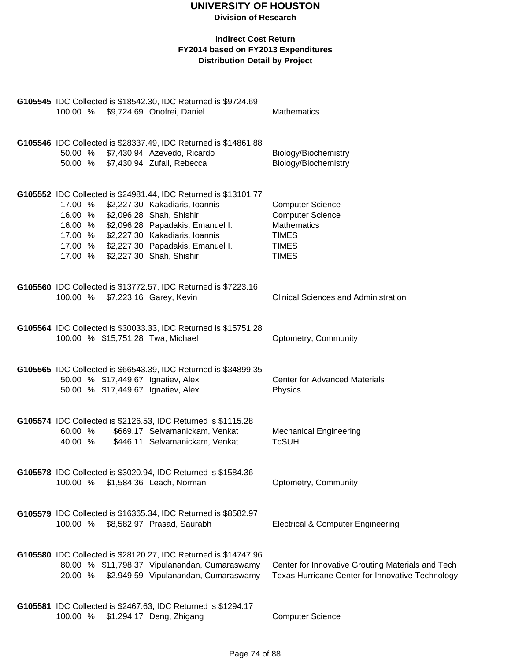| G105545 IDC Collected is \$18542.30, IDC Returned is \$9724.69<br>100.00 % \$9,724.69 Onofrei, Daniel                                                                                                                                                                                                                           | Mathematics                                                                                                              |
|---------------------------------------------------------------------------------------------------------------------------------------------------------------------------------------------------------------------------------------------------------------------------------------------------------------------------------|--------------------------------------------------------------------------------------------------------------------------|
| G105546 IDC Collected is \$28337.49, IDC Returned is \$14861.88<br>50.00 % \$7,430.94 Azevedo, Ricardo<br>50.00 % \$7,430.94 Zufall, Rebecca                                                                                                                                                                                    | Biology/Biochemistry<br>Biology/Biochemistry                                                                             |
| G105552 IDC Collected is \$24981.44, IDC Returned is \$13101.77<br>17.00 %<br>\$2,227.30 Kakadiaris, Ioannis<br>16.00 % \$2,096.28 Shah, Shishir<br>\$2,096.28 Papadakis, Emanuel I.<br>16.00 %<br>\$2,227.30 Kakadiaris, Ioannis<br>17.00 %<br>17.00 % \$2,227.30 Papadakis, Emanuel I.<br>\$2,227.30 Shah, Shishir<br>17.00 % | <b>Computer Science</b><br><b>Computer Science</b><br><b>Mathematics</b><br><b>TIMES</b><br><b>TIMES</b><br><b>TIMES</b> |
| G105560 IDC Collected is \$13772.57, IDC Returned is \$7223.16<br>100.00 % \$7,223.16 Garey, Kevin                                                                                                                                                                                                                              | <b>Clinical Sciences and Administration</b>                                                                              |
| G105564 IDC Collected is \$30033.33, IDC Returned is \$15751.28<br>100.00 % \$15,751.28 Twa, Michael                                                                                                                                                                                                                            | Optometry, Community                                                                                                     |
| G105565 IDC Collected is \$66543.39, IDC Returned is \$34899.35<br>50.00 % \$17,449.67 Ignatiev, Alex<br>50.00 % \$17,449.67 Ignatiev, Alex                                                                                                                                                                                     | <b>Center for Advanced Materials</b><br>Physics                                                                          |
| G105574 IDC Collected is \$2126.53, IDC Returned is \$1115.28<br>60.00 %<br>\$669.17 Selvamanickam, Venkat<br>40.00 %<br>\$446.11 Selvamanickam, Venkat                                                                                                                                                                         | <b>Mechanical Engineering</b><br><b>TcSUH</b>                                                                            |
| G105578 IDC Collected is \$3020.94, IDC Returned is \$1584.36<br>100.00 %<br>\$1,584.36 Leach, Norman                                                                                                                                                                                                                           | Optometry, Community                                                                                                     |
| G105579 IDC Collected is \$16365.34, IDC Returned is \$8582.97<br>100.00 % \$8,582.97 Prasad, Saurabh                                                                                                                                                                                                                           | <b>Electrical &amp; Computer Engineering</b>                                                                             |
| G105580 IDC Collected is \$28120.27, IDC Returned is \$14747.96<br>80.00 % \$11,798.37 Vipulanandan, Cumaraswamy<br>\$2,949.59 Vipulanandan, Cumaraswamy<br>20.00 %                                                                                                                                                             | Center for Innovative Grouting Materials and Tech<br>Texas Hurricane Center for Innovative Technology                    |
| G105581 IDC Collected is \$2467.63, IDC Returned is \$1294.17<br>100.00 %<br>\$1,294.17 Deng, Zhigang                                                                                                                                                                                                                           | <b>Computer Science</b>                                                                                                  |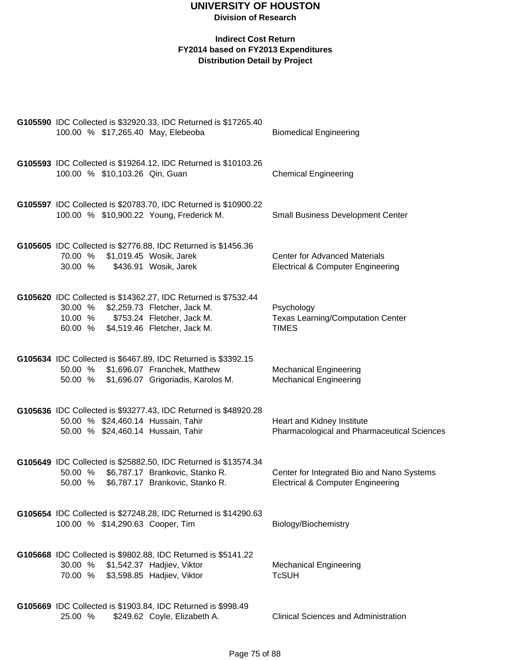| 100.00 % \$17,265.40 May, Elebeoba                                       | G105590 IDC Collected is \$32920.33, IDC Returned is \$17265.40                                                                       | <b>Biomedical Engineering</b>                                                              |
|--------------------------------------------------------------------------|---------------------------------------------------------------------------------------------------------------------------------------|--------------------------------------------------------------------------------------------|
| 100.00 % \$10,103.26 Qin, Guan                                           | G105593 IDC Collected is \$19264.12, IDC Returned is \$10103.26                                                                       | <b>Chemical Engineering</b>                                                                |
| 100.00 % \$10,900.22 Young, Frederick M.                                 | G105597 IDC Collected is \$20783.70, IDC Returned is \$10900.22                                                                       | <b>Small Business Development Center</b>                                                   |
| 70.00 %<br>30.00 %                                                       | G105605 IDC Collected is \$2776.88, IDC Returned is \$1456.36<br>\$1,019.45 Wosik, Jarek<br>\$436.91 Wosik, Jarek                     | <b>Center for Advanced Materials</b><br><b>Electrical &amp; Computer Engineering</b>       |
| 30.00 %<br>10.00 %<br>60.00 % \$4,519.46 Fletcher, Jack M.               | G105620 IDC Collected is \$14362.27, IDC Returned is \$7532.44<br>\$2,259.73 Fletcher, Jack M.<br>\$753.24 Fletcher, Jack M.          | Psychology<br><b>Texas Learning/Computation Center</b><br><b>TIMES</b>                     |
| 50.00 % \$1,696.07 Franchek, Matthew                                     | G105634 IDC Collected is \$6467.89, IDC Returned is \$3392.15<br>50.00 % \$1,696.07 Grigoriadis, Karolos M.                           | <b>Mechanical Engineering</b><br><b>Mechanical Engineering</b>                             |
| 50.00 % \$24,460.14 Hussain, Tahir<br>50.00 % \$24,460.14 Hussain, Tahir | G105636 IDC Collected is \$93277.43, IDC Returned is \$48920.28                                                                       | Heart and Kidney Institute<br>Pharmacological and Pharmaceutical Sciences                  |
| 50.00 %<br>50.00 %                                                       | G105649 IDC Collected is \$25882.50, IDC Returned is \$13574.34<br>\$6,787.17 Brankovic, Stanko R.<br>\$6,787.17 Brankovic, Stanko R. | Center for Integrated Bio and Nano Systems<br><b>Electrical &amp; Computer Engineering</b> |
| 100.00 % \$14,290.63 Cooper, Tim                                         | G105654 IDC Collected is \$27248.28, IDC Returned is \$14290.63                                                                       | Biology/Biochemistry                                                                       |
| 30.00 % \$1,542.37 Hadjiev, Viktor<br>70.00 % \$3,598.85 Hadjiev, Viktor | G105668 IDC Collected is \$9802.88, IDC Returned is \$5141.22                                                                         | <b>Mechanical Engineering</b><br><b>TcSUH</b>                                              |
| 25.00 %                                                                  | G105669 IDC Collected is \$1903.84, IDC Returned is \$998.49<br>\$249.62 Coyle, Elizabeth A.                                          | <b>Clinical Sciences and Administration</b>                                                |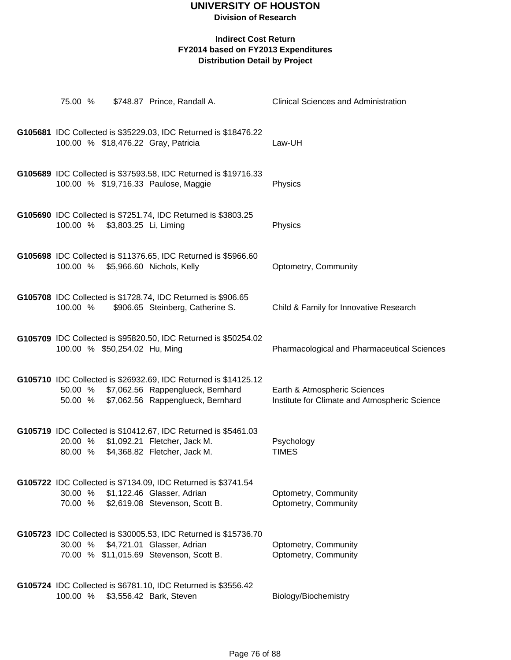**Division of Research**

| 75.00 %            |                               | \$748.87 Prince, Randall A.                                                                                                                      | <b>Clinical Sciences and Administration</b>                                   |
|--------------------|-------------------------------|--------------------------------------------------------------------------------------------------------------------------------------------------|-------------------------------------------------------------------------------|
|                    |                               | G105681 IDC Collected is \$35229.03, IDC Returned is \$18476.22<br>100.00 % \$18,476.22 Gray, Patricia                                           | Law-UH                                                                        |
|                    |                               | G105689 IDC Collected is \$37593.58, IDC Returned is \$19716.33<br>100.00 % \$19,716.33 Paulose, Maggie                                          | Physics                                                                       |
| 100.00 %           | \$3,803.25 Li, Liming         | G105690 IDC Collected is \$7251.74, IDC Returned is \$3803.25                                                                                    | Physics                                                                       |
| 100.00 %           |                               | G105698 IDC Collected is \$11376.65, IDC Returned is \$5966.60<br>\$5,966.60 Nichols, Kelly                                                      | Optometry, Community                                                          |
| 100.00 %           |                               | G105708 IDC Collected is \$1728.74, IDC Returned is \$906.65<br>\$906.65 Steinberg, Catherine S.                                                 | Child & Family for Innovative Research                                        |
|                    | 100.00 % \$50,254.02 Hu, Ming | G105709 IDC Collected is \$95820.50, IDC Returned is \$50254.02                                                                                  | Pharmacological and Pharmaceutical Sciences                                   |
| 50.00 %<br>50.00 % |                               | G105710 IDC Collected is \$26932.69, IDC Returned is \$14125.12<br>\$7,062.56 Rappenglueck, Bernhard<br>\$7,062.56 Rappenglueck, Bernhard        | Earth & Atmospheric Sciences<br>Institute for Climate and Atmospheric Science |
| 20.00 %<br>80.00 % |                               | G105719 IDC Collected is \$10412.67, IDC Returned is \$5461.03<br>\$1,092.21 Fletcher, Jack M.<br>\$4,368.82 Fletcher, Jack M.                   | Psychology<br><b>TIMES</b>                                                    |
| 30.00 %<br>70.00 % |                               | G105722 IDC Collected is \$7134.09, IDC Returned is \$3741.54<br>\$1,122.46 Glasser, Adrian<br>\$2,619.08 Stevenson, Scott B.                    | Optometry, Community<br>Optometry, Community                                  |
|                    |                               | G105723 IDC Collected is \$30005.53, IDC Returned is \$15736.70<br>30.00 % \$4,721.01 Glasser, Adrian<br>70.00 % \$11,015.69 Stevenson, Scott B. | Optometry, Community<br>Optometry, Community                                  |
| 100.00 %           |                               | G105724 IDC Collected is \$6781.10, IDC Returned is \$3556.42<br>\$3,556.42 Bark, Steven                                                         | Biology/Biochemistry                                                          |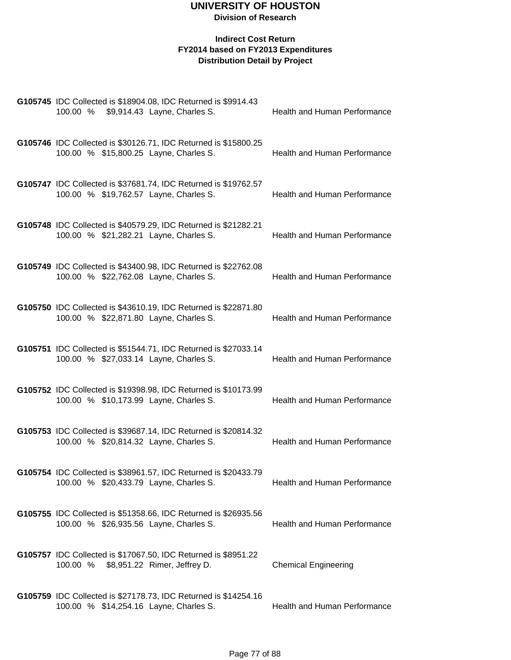| G105745 IDC Collected is \$18904.08, IDC Returned is \$9914.43<br>100.00 %<br>\$9,914.43 Layne, Charles S. | Health and Human Performance        |
|------------------------------------------------------------------------------------------------------------|-------------------------------------|
| G105746 IDC Collected is \$30126.71, IDC Returned is \$15800.25<br>100.00 % \$15,800.25 Layne, Charles S.  | Health and Human Performance        |
| G105747 IDC Collected is \$37681.74, IDC Returned is \$19762.57<br>100.00 % \$19,762.57 Layne, Charles S.  | Health and Human Performance        |
| G105748 IDC Collected is \$40579.29, IDC Returned is \$21282.21<br>100.00 % \$21,282.21 Layne, Charles S.  | Health and Human Performance        |
| G105749 IDC Collected is \$43400.98, IDC Returned is \$22762.08<br>100.00 % \$22,762.08 Layne, Charles S.  | <b>Health and Human Performance</b> |
| G105750 IDC Collected is \$43610.19, IDC Returned is \$22871.80<br>100.00 % \$22,871.80 Layne, Charles S.  | <b>Health and Human Performance</b> |
| G105751 IDC Collected is \$51544.71, IDC Returned is \$27033.14<br>100.00 % \$27,033.14 Layne, Charles S.  | Health and Human Performance        |
| G105752 IDC Collected is \$19398.98, IDC Returned is \$10173.99<br>100.00 % \$10,173.99 Layne, Charles S.  | Health and Human Performance        |
| G105753 IDC Collected is \$39687.14, IDC Returned is \$20814.32<br>100.00 % \$20,814.32 Layne, Charles S.  | Health and Human Performance        |
| G105754 IDC Collected is \$38961.57, IDC Returned is \$20433.79<br>100.00 % \$20,433.79 Layne, Charles S.  | Health and Human Performance        |
| G105755 IDC Collected is \$51358.66, IDC Returned is \$26935.56<br>100.00 % \$26,935.56 Layne, Charles S.  | Health and Human Performance        |
| G105757 IDC Collected is \$17067.50, IDC Returned is \$8951.22<br>100.00 %<br>\$8,951.22 Rimer, Jeffrey D. | <b>Chemical Engineering</b>         |
| G105759 IDC Collected is \$27178.73, IDC Returned is \$14254.16<br>100.00 % \$14,254.16 Layne, Charles S.  | Health and Human Performance        |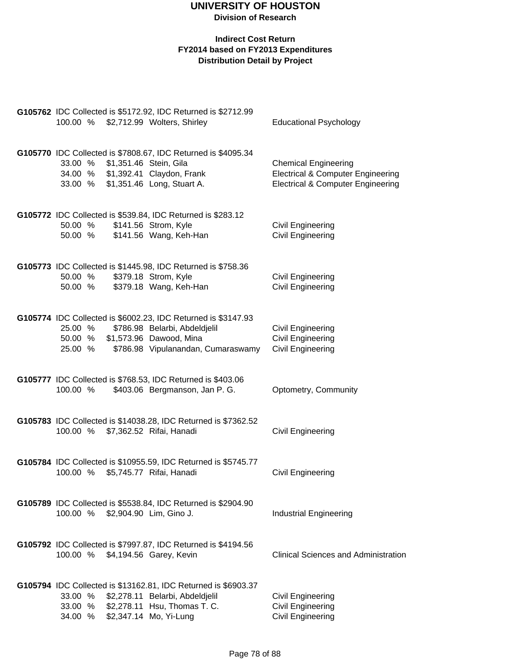| 100.00 % \$2,712.99 Wolters, Shirley                                                                              | G105762 IDC Collected is \$5172.92, IDC Returned is \$2712.99                                                                                | <b>Educational Psychology</b>                                                                                               |
|-------------------------------------------------------------------------------------------------------------------|----------------------------------------------------------------------------------------------------------------------------------------------|-----------------------------------------------------------------------------------------------------------------------------|
| 33.00 % \$1,351.46 Stein, Gila<br>34.00 % \$1,392.41 Claydon, Frank<br>33.00 % \$1,351.46 Long, Stuart A.         | G105770 IDC Collected is \$7808.67, IDC Returned is \$4095.34                                                                                | <b>Chemical Engineering</b><br><b>Electrical &amp; Computer Engineering</b><br><b>Electrical &amp; Computer Engineering</b> |
| 50.00 %<br>50.00 % \$141.56 Wang, Keh-Han                                                                         | G105772 IDC Collected is \$539.84, IDC Returned is \$283.12<br>\$141.56 Strom, Kyle                                                          | <b>Civil Engineering</b><br><b>Civil Engineering</b>                                                                        |
| 50.00 %<br>50.00 % \$379.18 Wang, Keh-Han                                                                         | G105773 IDC Collected is \$1445.98, IDC Returned is \$758.36<br>\$379.18 Strom, Kyle                                                         | <b>Civil Engineering</b><br><b>Civil Engineering</b>                                                                        |
| 25.00 %<br>50.00 % \$1,573.96 Dawood, Mina                                                                        | G105774 IDC Collected is \$6002.23, IDC Returned is \$3147.93<br>\$786.98 Belarbi, Abdeldjelil<br>25.00 % \$786.98 Vipulanandan, Cumaraswamy | Civil Engineering<br><b>Civil Engineering</b><br><b>Civil Engineering</b>                                                   |
| 100.00 %                                                                                                          | G105777 IDC Collected is \$768.53, IDC Returned is \$403.06<br>\$403.06 Bergmanson, Jan P. G.                                                | Optometry, Community                                                                                                        |
| 100.00 % \$7,362.52 Rifai, Hanadi                                                                                 | G105783 IDC Collected is \$14038.28, IDC Returned is \$7362.52                                                                               | <b>Civil Engineering</b>                                                                                                    |
| 100.00 %                                                                                                          | G105784 IDC Collected is \$10955.59, IDC Returned is \$5745.77<br>\$5,745.77 Rifai, Hanadi                                                   | <b>Civil Engineering</b>                                                                                                    |
| 100.00 % \$2,904.90 Lim, Gino J.                                                                                  | G105789 IDC Collected is \$5538.84, IDC Returned is \$2904.90                                                                                | <b>Industrial Engineering</b>                                                                                               |
| 100.00 % \$4,194.56 Garey, Kevin                                                                                  | G105792 IDC Collected is \$7997.87, IDC Returned is \$4194.56                                                                                | <b>Clinical Sciences and Administration</b>                                                                                 |
| 33.00 % \$2,278.11 Belarbi, Abdeldjelil<br>33.00 % \$2,278.11 Hsu, Thomas T. C.<br>34.00 % \$2,347.14 Mo, Yi-Lung | G105794 IDC Collected is \$13162.81, IDC Returned is \$6903.37                                                                               | <b>Civil Engineering</b><br><b>Civil Engineering</b><br><b>Civil Engineering</b>                                            |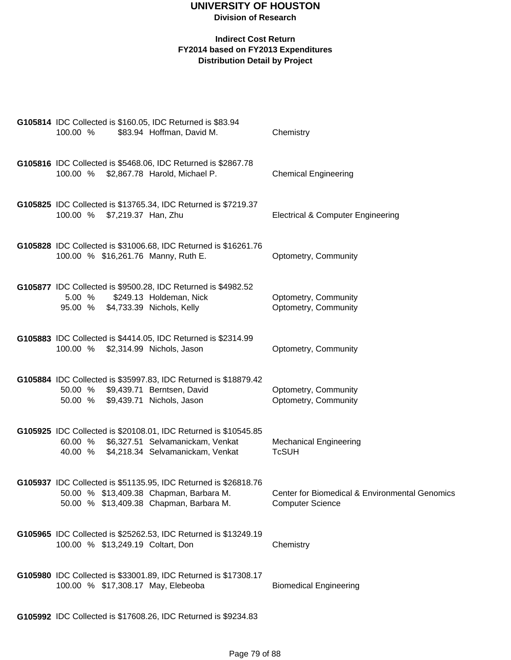#### **Indirect Cost Return FY2014 based on FY2013 Expenditures Distribution Detail by Project**

| 100.00 % |                              | G105814 IDC Collected is \$160.05, IDC Returned is \$83.94<br>\$83.94 Hoffman, David M.                                                                 | Chemistry                                                                 |
|----------|------------------------------|---------------------------------------------------------------------------------------------------------------------------------------------------------|---------------------------------------------------------------------------|
|          |                              | G105816 IDC Collected is \$5468.06, IDC Returned is \$2867.78<br>100.00 % \$2,867.78 Harold, Michael P.                                                 | <b>Chemical Engineering</b>                                               |
|          | 100.00 % \$7,219.37 Han, Zhu | G105825 IDC Collected is \$13765.34, IDC Returned is \$7219.37                                                                                          | <b>Electrical &amp; Computer Engineering</b>                              |
|          |                              | G105828 IDC Collected is \$31006.68, IDC Returned is \$16261.76<br>100.00 % \$16,261.76 Manny, Ruth E.                                                  | Optometry, Community                                                      |
| 5.00%    |                              | G105877 IDC Collected is \$9500.28, IDC Returned is \$4982.52<br>\$249.13 Holdeman, Nick<br>95.00 % \$4,733.39 Nichols, Kelly                           | Optometry, Community<br>Optometry, Community                              |
|          |                              | G105883 IDC Collected is \$4414.05, IDC Returned is \$2314.99<br>100.00 % \$2,314.99 Nichols, Jason                                                     | Optometry, Community                                                      |
|          |                              | G105884 IDC Collected is \$35997.83, IDC Returned is \$18879.42<br>50.00 % \$9,439.71 Berntsen, David<br>50.00 % \$9,439.71 Nichols, Jason              | Optometry, Community<br>Optometry, Community                              |
|          |                              | G105925 IDC Collected is \$20108.01, IDC Returned is \$10545.85<br>60.00 % \$6,327.51 Selvamanickam, Venkat<br>40.00 % \$4,218.34 Selvamanickam, Venkat | <b>Mechanical Engineering</b><br><b>TcSUH</b>                             |
|          |                              | G105937 IDC Collected is \$51135.95, IDC Returned is \$26818.76<br>50.00 % \$13,409.38 Chapman, Barbara M.<br>50.00 % \$13,409.38 Chapman, Barbara M.   | Center for Biomedical & Environmental Genomics<br><b>Computer Science</b> |
|          |                              | G105965 IDC Collected is \$25262.53, IDC Returned is \$13249.19<br>100.00 % \$13,249.19 Coltart, Don                                                    | Chemistry                                                                 |
|          |                              | G105980 IDC Collected is \$33001.89, IDC Returned is \$17308.17<br>100.00 % \$17,308.17 May, Elebeoba                                                   | <b>Biomedical Engineering</b>                                             |

**G105992** IDC Collected is \$17608.26, IDC Returned is \$9234.83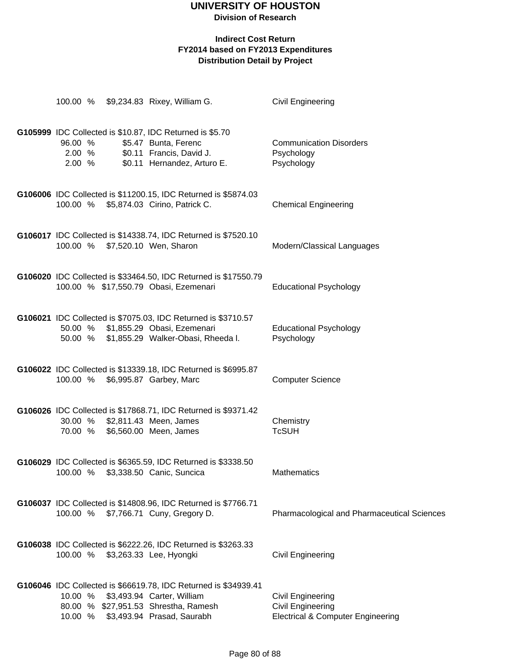**Division of Research**

|                             | 100.00 % \$9,234.83 Rixey, William G.                                                                                                                               | <b>Civil Engineering</b>                                                                             |
|-----------------------------|---------------------------------------------------------------------------------------------------------------------------------------------------------------------|------------------------------------------------------------------------------------------------------|
| 96.00 %<br>2.00 %<br>2.00 % | G105999 IDC Collected is \$10.87, IDC Returned is \$5.70<br>\$5.47 Bunta, Ferenc<br>\$0.11 Francis, David J.<br>\$0.11 Hernandez, Arturo E.                         | <b>Communication Disorders</b><br>Psychology<br>Psychology                                           |
|                             | G106006 IDC Collected is \$11200.15, IDC Returned is \$5874.03<br>100.00 % \$5,874.03 Cirino, Patrick C.                                                            | <b>Chemical Engineering</b>                                                                          |
|                             | G106017 IDC Collected is \$14338.74, IDC Returned is \$7520.10<br>100.00 % \$7,520.10 Wen, Sharon                                                                   | Modern/Classical Languages                                                                           |
|                             | G106020 IDC Collected is \$33464.50, IDC Returned is \$17550.79<br>100.00 % \$17,550.79 Obasi, Ezemenari                                                            | <b>Educational Psychology</b>                                                                        |
|                             | G106021 IDC Collected is \$7075.03, IDC Returned is \$3710.57<br>50.00 % \$1,855.29 Obasi, Ezemenari<br>50.00 % \$1,855.29 Walker-Obasi, Rheeda I.                  | <b>Educational Psychology</b><br>Psychology                                                          |
| 100.00 %                    | G106022 IDC Collected is \$13339.18, IDC Returned is \$6995.87<br>\$6,995.87 Garbey, Marc                                                                           | <b>Computer Science</b>                                                                              |
| 70.00 %                     | G106026 IDC Collected is \$17868.71, IDC Returned is \$9371.42<br>30.00 % \$2,811.43 Meen, James<br>\$6,560.00 Meen, James                                          | Chemistry<br><b>TcSUH</b>                                                                            |
|                             | G106029 IDC Collected is \$6365.59, IDC Returned is \$3338.50<br>100.00 % \$3,338.50 Canic, Suncica                                                                 | Mathematics                                                                                          |
|                             | G106037 IDC Collected is \$14808.96, IDC Returned is \$7766.71<br>100.00 % \$7,766.71 Cuny, Gregory D.                                                              | Pharmacological and Pharmaceutical Sciences                                                          |
| 100.00 %                    | G106038 IDC Collected is \$6222.26, IDC Returned is \$3263.33<br>\$3,263.33 Lee, Hyongki                                                                            | <b>Civil Engineering</b>                                                                             |
| 10.00 %<br>10.00 %          | G106046 IDC Collected is \$66619.78, IDC Returned is \$34939.41<br>\$3,493.94 Carter, William<br>80.00 % \$27,951.53 Shrestha, Ramesh<br>\$3,493.94 Prasad, Saurabh | <b>Civil Engineering</b><br><b>Civil Engineering</b><br><b>Electrical &amp; Computer Engineering</b> |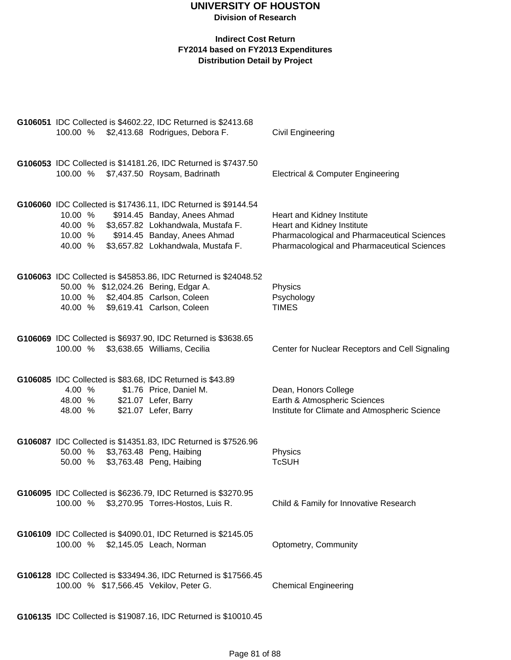|          | G106051 IDC Collected is \$4602.22, IDC Returned is \$2413.68                                      |                                                 |
|----------|----------------------------------------------------------------------------------------------------|-------------------------------------------------|
|          | 100.00 % \$2,413.68 Rodrigues, Debora F.                                                           | Civil Engineering                               |
|          |                                                                                                    |                                                 |
|          | G106053 IDC Collected is \$14181.26, IDC Returned is \$7437.50                                     |                                                 |
|          | 100.00 % \$7,437.50 Roysam, Badrinath                                                              | <b>Electrical &amp; Computer Engineering</b>    |
|          |                                                                                                    |                                                 |
|          |                                                                                                    |                                                 |
| 10.00 %  | G106060 IDC Collected is \$17436.11, IDC Returned is \$9144.54<br>\$914.45 Banday, Anees Ahmad     | Heart and Kidney Institute                      |
| 40.00 %  | \$3,657.82 Lokhandwala, Mustafa F.                                                                 | Heart and Kidney Institute                      |
| 10.00 %  | \$914.45 Banday, Anees Ahmad                                                                       | Pharmacological and Pharmaceutical Sciences     |
| 40.00 %  | \$3,657.82 Lokhandwala, Mustafa F.                                                                 | Pharmacological and Pharmaceutical Sciences     |
|          |                                                                                                    |                                                 |
|          | G106063 IDC Collected is \$45853.86, IDC Returned is \$24048.52                                    |                                                 |
|          | 50.00 % \$12,024.26 Bering, Edgar A.                                                               | Physics                                         |
|          | 10.00 % \$2,404.85 Carlson, Coleen                                                                 | Psychology                                      |
|          | 40.00 % \$9,619.41 Carlson, Coleen                                                                 | <b>TIMES</b>                                    |
|          |                                                                                                    |                                                 |
|          | G106069 IDC Collected is \$6937.90, IDC Returned is \$3638.65                                      |                                                 |
| 100.00 % | \$3,638.65 Williams, Cecilia                                                                       | Center for Nuclear Receptors and Cell Signaling |
|          |                                                                                                    |                                                 |
|          |                                                                                                    |                                                 |
| 4.00 %   | G106085 IDC Collected is \$83.68, IDC Returned is \$43.89<br>\$1.76 Price, Daniel M.               | Dean, Honors College                            |
| 48.00 %  | \$21.07 Lefer, Barry                                                                               | Earth & Atmospheric Sciences                    |
| 48.00 %  | \$21.07 Lefer, Barry                                                                               | Institute for Climate and Atmospheric Science   |
|          |                                                                                                    |                                                 |
|          |                                                                                                    |                                                 |
|          | G106087 IDC Collected is \$14351.83, IDC Returned is \$7526.96<br>50.00 % \$3,763.48 Peng, Haibing | Physics                                         |
| 50.00 %  | \$3,763.48 Peng, Haibing                                                                           | <b>TcSUH</b>                                    |
|          |                                                                                                    |                                                 |
|          |                                                                                                    |                                                 |
|          | G106095 IDC Collected is \$6236.79, IDC Returned is \$3270.95                                      |                                                 |
| 100.00 % | \$3,270.95 Torres-Hostos, Luis R.                                                                  | Child & Family for Innovative Research          |
|          |                                                                                                    |                                                 |
|          | G106109 IDC Collected is \$4090.01, IDC Returned is \$2145.05                                      |                                                 |
|          | 100.00 % \$2,145.05 Leach, Norman                                                                  | Optometry, Community                            |
|          |                                                                                                    |                                                 |
|          | G106128 IDC Collected is \$33494.36, IDC Returned is \$17566.45                                    |                                                 |
|          | 100.00 % \$17,566.45 Vekilov, Peter G.                                                             | <b>Chemical Engineering</b>                     |
|          |                                                                                                    |                                                 |
|          |                                                                                                    |                                                 |
|          | G106135 IDC Collected is \$19087.16, IDC Returned is \$10010.45                                    |                                                 |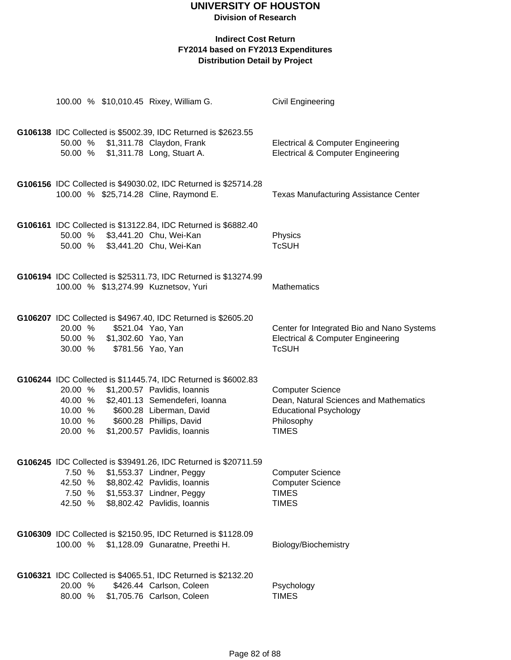**Division of Research**

|                    |                             | 100.00 % \$10,010.45 Rixey, William G.                                                                    | <b>Civil Engineering</b>                                                                     |
|--------------------|-----------------------------|-----------------------------------------------------------------------------------------------------------|----------------------------------------------------------------------------------------------|
|                    |                             | G106138 IDC Collected is \$5002.39, IDC Returned is \$2623.55                                             |                                                                                              |
|                    |                             | 50.00 % \$1,311.78 Claydon, Frank<br>50.00 % \$1,311.78 Long, Stuart A.                                   | <b>Electrical &amp; Computer Engineering</b><br><b>Electrical &amp; Computer Engineering</b> |
|                    |                             | G106156 IDC Collected is \$49030.02, IDC Returned is \$25714.28<br>100.00 % \$25,714.28 Cline, Raymond E. | <b>Texas Manufacturing Assistance Center</b>                                                 |
|                    |                             |                                                                                                           |                                                                                              |
|                    |                             | G106161 IDC Collected is \$13122.84, IDC Returned is \$6882.40                                            |                                                                                              |
|                    |                             | 50.00 % \$3,441.20 Chu, Wei-Kan                                                                           | Physics                                                                                      |
|                    |                             | 50.00 % \$3,441.20 Chu, Wei-Kan                                                                           | <b>TcSUH</b>                                                                                 |
|                    |                             | G106194 IDC Collected is \$25311.73, IDC Returned is \$13274.99                                           |                                                                                              |
|                    |                             | 100.00 % \$13,274.99 Kuznetsov, Yuri                                                                      | <b>Mathematics</b>                                                                           |
|                    |                             | G106207 IDC Collected is \$4967.40, IDC Returned is \$2605.20<br>\$521.04 Yao, Yan                        | Center for Integrated Bio and Nano Systems                                                   |
| 20.00 %            | 50.00 % \$1,302.60 Yao, Yan |                                                                                                           | <b>Electrical &amp; Computer Engineering</b>                                                 |
| 30.00 %            |                             | \$781.56 Yao, Yan                                                                                         | <b>TcSUH</b>                                                                                 |
|                    |                             | G106244 IDC Collected is \$11445.74, IDC Returned is \$6002.83                                            |                                                                                              |
|                    |                             | 20.00 % \$1,200.57 Pavlidis, Ioannis                                                                      | <b>Computer Science</b>                                                                      |
|                    |                             | 40.00 % \$2,401.13 Semendeferi, Ioanna<br>\$600.28 Liberman, David                                        | Dean, Natural Sciences and Mathematics<br><b>Educational Psychology</b>                      |
| 10.00 %<br>10.00 % |                             | \$600.28 Phillips, David                                                                                  | Philosophy                                                                                   |
| 20.00 %            |                             | \$1,200.57 Pavlidis, Ioannis                                                                              | <b>TIMES</b>                                                                                 |
|                    |                             | G106245 IDC Collected is \$39491.26, IDC Returned is \$20711.59                                           |                                                                                              |
| 7.50 %             |                             | \$1,553.37 Lindner, Peggy                                                                                 | <b>Computer Science</b>                                                                      |
| 42.50 %            |                             | \$8,802.42 Pavlidis, Ioannis                                                                              | <b>Computer Science</b>                                                                      |
| 7.50 %<br>42.50 %  |                             | \$1,553.37 Lindner, Peggy<br>\$8,802.42 Pavlidis, Ioannis                                                 | <b>TIMES</b><br><b>TIMES</b>                                                                 |
|                    |                             |                                                                                                           |                                                                                              |
|                    |                             | G106309 IDC Collected is \$2150.95, IDC Returned is \$1128.09                                             |                                                                                              |
|                    |                             | 100.00 % \$1,128.09 Gunaratne, Preethi H.                                                                 | Biology/Biochemistry                                                                         |
|                    |                             | G106321 IDC Collected is \$4065.51, IDC Returned is \$2132.20                                             |                                                                                              |
| 20.00 %            |                             | \$426.44 Carlson, Coleen                                                                                  | Psychology                                                                                   |
| 80.00 %            |                             | \$1,705.76 Carlson, Coleen                                                                                | <b>TIMES</b>                                                                                 |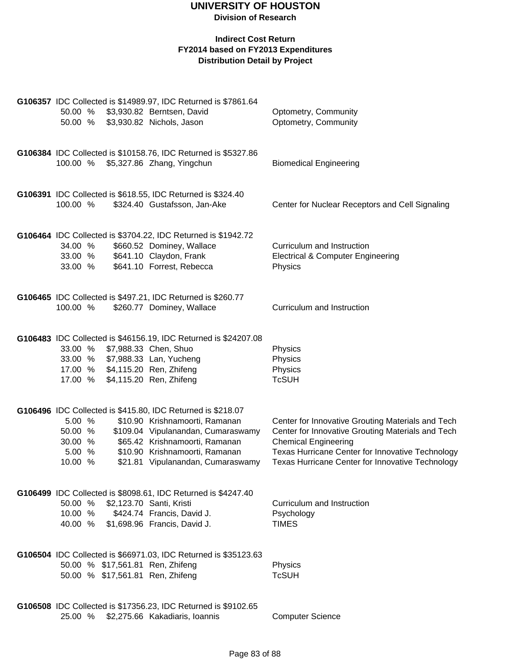| 50.00 % \$3,930.82 Berntsen, David<br>50.00 %                                            | G106357 IDC Collected is \$14989.97, IDC Returned is \$7861.64<br>\$3,930.82 Nichols, Jason                                                                                                                                                  | Optometry, Community<br>Optometry, Community                                                                                                                                                                                                  |
|------------------------------------------------------------------------------------------|----------------------------------------------------------------------------------------------------------------------------------------------------------------------------------------------------------------------------------------------|-----------------------------------------------------------------------------------------------------------------------------------------------------------------------------------------------------------------------------------------------|
| 100.00 % \$5,327.86 Zhang, Yingchun                                                      | G106384 IDC Collected is \$10158.76, IDC Returned is \$5327.86                                                                                                                                                                               | <b>Biomedical Engineering</b>                                                                                                                                                                                                                 |
| 100.00 %                                                                                 | G106391 IDC Collected is \$618.55, IDC Returned is \$324.40<br>\$324.40 Gustafsson, Jan-Ake                                                                                                                                                  | Center for Nuclear Receptors and Cell Signaling                                                                                                                                                                                               |
| 34.00 %<br>33.00 %<br>33.00 %                                                            | G106464 IDC Collected is \$3704.22, IDC Returned is \$1942.72<br>\$660.52 Dominey, Wallace<br>\$641.10 Claydon, Frank<br>\$641.10 Forrest, Rebecca                                                                                           | Curriculum and Instruction<br><b>Electrical &amp; Computer Engineering</b><br>Physics                                                                                                                                                         |
| 100.00 %                                                                                 | G106465 IDC Collected is \$497.21, IDC Returned is \$260.77<br>\$260.77 Dominey, Wallace                                                                                                                                                     | Curriculum and Instruction                                                                                                                                                                                                                    |
| 33.00 %<br>33.00 % \$7,988.33 Lan, Yucheng<br>17.00 % \$4,115.20 Ren, Zhifeng<br>17.00 % | G106483 IDC Collected is \$46156.19, IDC Returned is \$24207.08<br>\$7,988.33 Chen, Shuo<br>\$4,115.20 Ren, Zhifeng                                                                                                                          | Physics<br>Physics<br>Physics<br><b>TcSUH</b>                                                                                                                                                                                                 |
| 5.00 %<br>50.00 %<br>30.00 %<br>5.00 %<br>10.00 %                                        | G106496 IDC Collected is \$415.80, IDC Returned is \$218.07<br>\$10.90 Krishnamoorti, Ramanan<br>\$109.04 Vipulanandan, Cumaraswamy<br>\$65.42 Krishnamoorti, Ramanan<br>\$10.90 Krishnamoorti, Ramanan<br>\$21.81 Vipulanandan, Cumaraswamy | Center for Innovative Grouting Materials and Tech<br>Center for Innovative Grouting Materials and Tech<br><b>Chemical Engineering</b><br>Texas Hurricane Center for Innovative Technology<br>Texas Hurricane Center for Innovative Technology |
| 50.00 %<br>10.00 %<br>40.00 % \$1,698.96 Francis, David J.                               | G106499 IDC Collected is \$8098.61, IDC Returned is \$4247.40<br>\$2,123.70 Santi, Kristi<br>\$424.74 Francis, David J.                                                                                                                      | Curriculum and Instruction<br>Psychology<br><b>TIMES</b>                                                                                                                                                                                      |
| 50.00 % \$17,561.81 Ren, Zhifeng<br>50.00 % \$17,561.81 Ren, Zhifeng                     | G106504 IDC Collected is \$66971.03, IDC Returned is \$35123.63                                                                                                                                                                              | Physics<br><b>TcSUH</b>                                                                                                                                                                                                                       |
| 25.00 % \$2,275.66 Kakadiaris, Ioannis                                                   | G106508 IDC Collected is \$17356.23, IDC Returned is \$9102.65                                                                                                                                                                               | <b>Computer Science</b>                                                                                                                                                                                                                       |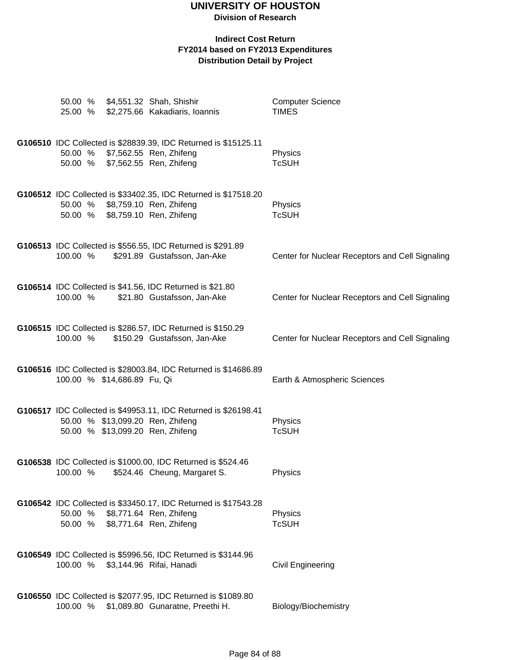**Division of Research**

| 25.00 %                          | 50.00 % \$4,551.32 Shah, Shishir<br>\$2,275.66 Kakadiaris, Ioannis                                                    | <b>Computer Science</b><br><b>TIMES</b>         |
|----------------------------------|-----------------------------------------------------------------------------------------------------------------------|-------------------------------------------------|
| 50.00 %<br>50.00 %               | G106510 IDC Collected is \$28839.39, IDC Returned is \$15125.11<br>\$7,562.55 Ren, Zhifeng<br>\$7,562.55 Ren, Zhifeng | Physics<br><b>TcSUH</b>                         |
| 50.00 %<br>50.00 %               | G106512 IDC Collected is \$33402.35, IDC Returned is \$17518.20<br>\$8,759.10 Ren, Zhifeng<br>\$8,759.10 Ren, Zhifeng | Physics<br><b>TcSUH</b>                         |
| 100.00 %                         | G106513 IDC Collected is \$556.55, IDC Returned is \$291.89<br>\$291.89 Gustafsson, Jan-Ake                           | Center for Nuclear Receptors and Cell Signaling |
| 100.00 %                         | G106514 IDC Collected is \$41.56, IDC Returned is \$21.80<br>\$21.80 Gustafsson, Jan-Ake                              | Center for Nuclear Receptors and Cell Signaling |
| 100.00 %                         | G106515 IDC Collected is \$286.57, IDC Returned is \$150.29<br>\$150.29 Gustafsson, Jan-Ake                           | Center for Nuclear Receptors and Cell Signaling |
| 100.00 % \$14,686.89 Fu, Qi      | G106516 IDC Collected is \$28003.84, IDC Returned is \$14686.89                                                       | Earth & Atmospheric Sciences                    |
| 50.00 % \$13,099.20 Ren, Zhifeng | G106517 IDC Collected is \$49953.11, IDC Returned is \$26198.41<br>50.00 % \$13,099.20 Ren, Zhifeng                   | Physics<br><b>TcSUH</b>                         |
| 100.00 %                         | G106538 IDC Collected is \$1000.00, IDC Returned is \$524.46<br>\$524.46 Cheung, Margaret S.                          | Physics                                         |
| 50.00 %<br>50.00 %               | G106542 IDC Collected is \$33450.17, IDC Returned is \$17543.28<br>\$8,771.64 Ren, Zhifeng<br>\$8,771.64 Ren, Zhifeng | Physics<br><b>TcSUH</b>                         |
| 100.00 %                         | G106549 IDC Collected is \$5996.56, IDC Returned is \$3144.96<br>\$3,144.96 Rifai, Hanadi                             | <b>Civil Engineering</b>                        |
| 100.00 %                         | G106550 IDC Collected is \$2077.95, IDC Returned is \$1089.80<br>\$1,089.80 Gunaratne, Preethi H.                     | Biology/Biochemistry                            |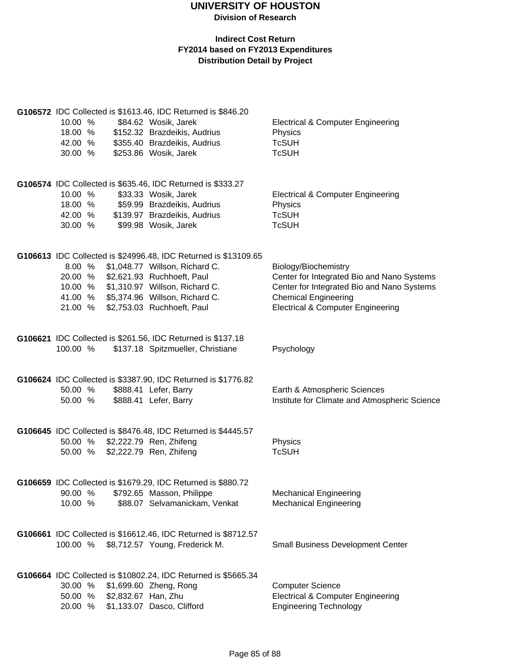|                                                             |                                                             | G106572 IDC Collected is \$1613.46, IDC Returned is \$846.20                                     |                                               |  |  |  |
|-------------------------------------------------------------|-------------------------------------------------------------|--------------------------------------------------------------------------------------------------|-----------------------------------------------|--|--|--|
| 10.00 %                                                     |                                                             | \$84.62 Wosik, Jarek                                                                             | <b>Electrical &amp; Computer Engineering</b>  |  |  |  |
| 18.00 %                                                     |                                                             | \$152.32 Brazdeikis, Audrius                                                                     | Physics                                       |  |  |  |
| 42.00 %                                                     |                                                             | \$355.40 Brazdeikis, Audrius                                                                     | <b>TcSUH</b>                                  |  |  |  |
| 30.00 %                                                     |                                                             | \$253.86 Wosik, Jarek                                                                            | <b>TcSUH</b>                                  |  |  |  |
|                                                             |                                                             |                                                                                                  |                                               |  |  |  |
| G106574 IDC Collected is \$635.46, IDC Returned is \$333.27 |                                                             |                                                                                                  |                                               |  |  |  |
| 10.00 %                                                     |                                                             | \$33.33 Wosik, Jarek                                                                             | <b>Electrical &amp; Computer Engineering</b>  |  |  |  |
| 18.00 %                                                     |                                                             | \$59.99 Brazdeikis, Audrius                                                                      | Physics                                       |  |  |  |
|                                                             |                                                             | 42.00 % \$139.97 Brazdeikis, Audrius                                                             | <b>TcSUH</b>                                  |  |  |  |
| 30.00 %                                                     |                                                             | \$99.98 Wosik, Jarek                                                                             | <b>TcSUH</b>                                  |  |  |  |
|                                                             |                                                             |                                                                                                  |                                               |  |  |  |
|                                                             |                                                             | G106613 IDC Collected is \$24996.48, IDC Returned is \$13109.65                                  |                                               |  |  |  |
| 8.00 %                                                      |                                                             | \$1,048.77 Willson, Richard C.                                                                   | Biology/Biochemistry                          |  |  |  |
| 20.00 %                                                     |                                                             | \$2,621.93 Ruchhoeft, Paul                                                                       | Center for Integrated Bio and Nano Systems    |  |  |  |
| 10.00 %                                                     |                                                             | \$1,310.97 Willson, Richard C.                                                                   | Center for Integrated Bio and Nano Systems    |  |  |  |
| 41.00 %                                                     |                                                             | \$5,374.96 Willson, Richard C.                                                                   | <b>Chemical Engineering</b>                   |  |  |  |
| 21.00 %                                                     |                                                             | \$2,753.03 Ruchhoeft, Paul                                                                       | <b>Electrical &amp; Computer Engineering</b>  |  |  |  |
|                                                             | G106621 IDC Collected is \$261.56, IDC Returned is \$137.18 |                                                                                                  |                                               |  |  |  |
| 100.00 %                                                    |                                                             | \$137.18 Spitzmueller, Christiane                                                                | Psychology                                    |  |  |  |
|                                                             |                                                             |                                                                                                  |                                               |  |  |  |
|                                                             |                                                             | G106624 IDC Collected is \$3387.90, IDC Returned is \$1776.82                                    |                                               |  |  |  |
| 50.00 %                                                     |                                                             | \$888.41 Lefer, Barry                                                                            | Earth & Atmospheric Sciences                  |  |  |  |
| 50.00 %                                                     |                                                             | \$888.41 Lefer, Barry                                                                            | Institute for Climate and Atmospheric Science |  |  |  |
|                                                             |                                                             |                                                                                                  |                                               |  |  |  |
|                                                             |                                                             | G106645 IDC Collected is \$8476.48, IDC Returned is \$4445.57                                    |                                               |  |  |  |
|                                                             |                                                             | 50.00 % \$2,222.79 Ren, Zhifeng                                                                  | Physics                                       |  |  |  |
| 50.00 %                                                     |                                                             | \$2,222.79 Ren, Zhifeng                                                                          | <b>TcSUH</b>                                  |  |  |  |
|                                                             |                                                             |                                                                                                  |                                               |  |  |  |
|                                                             |                                                             | G106659 IDC Collected is \$1679.29, IDC Returned is \$880.72                                     |                                               |  |  |  |
| 90.00 %                                                     |                                                             | \$792.65 Masson, Philippe                                                                        | <b>Mechanical Engineering</b>                 |  |  |  |
| 10.00 %                                                     |                                                             | \$88.07 Selvamanickam, Venkat                                                                    | <b>Mechanical Engineering</b>                 |  |  |  |
|                                                             |                                                             |                                                                                                  |                                               |  |  |  |
| 100.00 %                                                    |                                                             | G106661 IDC Collected is \$16612.46, IDC Returned is \$8712.57<br>\$8,712.57 Young, Frederick M. |                                               |  |  |  |
|                                                             |                                                             |                                                                                                  | <b>Small Business Development Center</b>      |  |  |  |
|                                                             |                                                             | G106664 IDC Collected is \$10802.24, IDC Returned is \$5665.34                                   |                                               |  |  |  |
| 30.00 %                                                     |                                                             | \$1,699.60 Zheng, Rong                                                                           | <b>Computer Science</b>                       |  |  |  |
| 50.00 %                                                     | \$2,832.67 Han, Zhu                                         |                                                                                                  | <b>Electrical &amp; Computer Engineering</b>  |  |  |  |
| 20.00 %                                                     |                                                             | \$1,133.07 Dasco, Clifford                                                                       | <b>Engineering Technology</b>                 |  |  |  |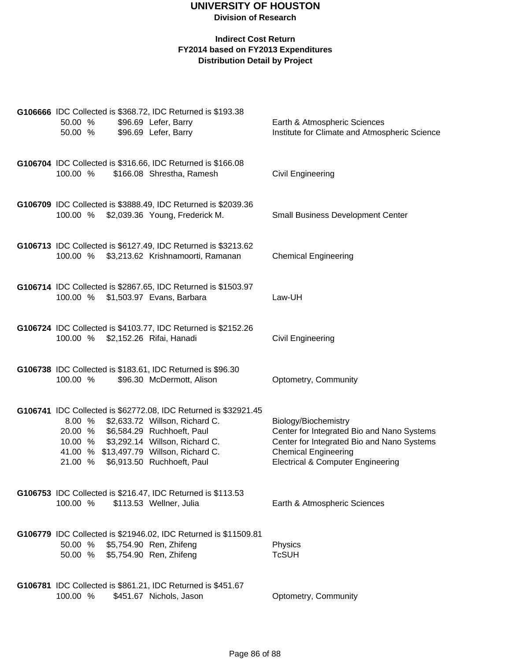| G106666 IDC Collected is \$368.72, IDC Returned is \$193.38   |  |  |                                                                                        |                                               |  |
|---------------------------------------------------------------|--|--|----------------------------------------------------------------------------------------|-----------------------------------------------|--|
| 50.00 %                                                       |  |  | \$96.69 Lefer, Barry                                                                   | Earth & Atmospheric Sciences                  |  |
| 50.00 %                                                       |  |  | \$96.69 Lefer, Barry                                                                   | Institute for Climate and Atmospheric Science |  |
|                                                               |  |  |                                                                                        |                                               |  |
|                                                               |  |  |                                                                                        |                                               |  |
|                                                               |  |  | G106704 IDC Collected is \$316.66, IDC Returned is \$166.08                            |                                               |  |
| 100.00 %                                                      |  |  | \$166.08 Shrestha, Ramesh                                                              | <b>Civil Engineering</b>                      |  |
|                                                               |  |  |                                                                                        |                                               |  |
|                                                               |  |  |                                                                                        |                                               |  |
|                                                               |  |  | G106709 IDC Collected is \$3888.49, IDC Returned is \$2039.36                          |                                               |  |
|                                                               |  |  | 100.00 % \$2,039.36 Young, Frederick M.                                                | <b>Small Business Development Center</b>      |  |
|                                                               |  |  |                                                                                        |                                               |  |
| G106713 IDC Collected is \$6127.49, IDC Returned is \$3213.62 |  |  |                                                                                        |                                               |  |
|                                                               |  |  | 100.00 % \$3,213.62 Krishnamoorti, Ramanan                                             | <b>Chemical Engineering</b>                   |  |
|                                                               |  |  |                                                                                        |                                               |  |
|                                                               |  |  |                                                                                        |                                               |  |
|                                                               |  |  | G106714 IDC Collected is \$2867.65, IDC Returned is \$1503.97                          |                                               |  |
| 100.00 %                                                      |  |  | \$1,503.97 Evans, Barbara                                                              | Law-UH                                        |  |
|                                                               |  |  |                                                                                        |                                               |  |
|                                                               |  |  |                                                                                        |                                               |  |
|                                                               |  |  | G106724 IDC Collected is \$4103.77, IDC Returned is \$2152.26                          |                                               |  |
| 100.00 %                                                      |  |  | \$2,152.26 Rifai, Hanadi                                                               | <b>Civil Engineering</b>                      |  |
|                                                               |  |  |                                                                                        |                                               |  |
|                                                               |  |  | G106738 IDC Collected is \$183.61, IDC Returned is \$96.30                             |                                               |  |
| 100.00 %                                                      |  |  | \$96.30 McDermott, Alison                                                              | Optometry, Community                          |  |
|                                                               |  |  |                                                                                        |                                               |  |
|                                                               |  |  |                                                                                        |                                               |  |
|                                                               |  |  | G106741 IDC Collected is \$62772.08, IDC Returned is \$32921.45                        |                                               |  |
| 8.00 %                                                        |  |  | \$2,633.72 Willson, Richard C.                                                         | Biology/Biochemistry                          |  |
| 20.00 %                                                       |  |  | \$6,584.29 Ruchhoeft, Paul                                                             | Center for Integrated Bio and Nano Systems    |  |
| 10.00 %                                                       |  |  | \$3,292.14 Willson, Richard C.                                                         | Center for Integrated Bio and Nano Systems    |  |
|                                                               |  |  | 41.00 % \$13,497.79 Willson, Richard C.                                                | <b>Chemical Engineering</b>                   |  |
| 21.00 %                                                       |  |  | \$6,913.50 Ruchhoeft, Paul                                                             | <b>Electrical &amp; Computer Engineering</b>  |  |
|                                                               |  |  |                                                                                        |                                               |  |
|                                                               |  |  |                                                                                        |                                               |  |
| 100.00 %                                                      |  |  | G106753 IDC Collected is \$216.47, IDC Returned is \$113.53<br>\$113.53 Wellner, Julia | Earth & Atmospheric Sciences                  |  |
|                                                               |  |  |                                                                                        |                                               |  |
|                                                               |  |  |                                                                                        |                                               |  |
|                                                               |  |  | G106779 IDC Collected is \$21946.02, IDC Returned is \$11509.81                        |                                               |  |
| 50.00 %                                                       |  |  | \$5,754.90 Ren, Zhifeng                                                                | Physics                                       |  |
| 50.00 %                                                       |  |  | \$5,754.90 Ren, Zhifeng                                                                | <b>TcSUH</b>                                  |  |
|                                                               |  |  |                                                                                        |                                               |  |
|                                                               |  |  |                                                                                        |                                               |  |
| G106781 IDC Collected is \$861.21, IDC Returned is \$451.67   |  |  |                                                                                        |                                               |  |
| 100.00 %                                                      |  |  | \$451.67 Nichols, Jason                                                                | Optometry, Community                          |  |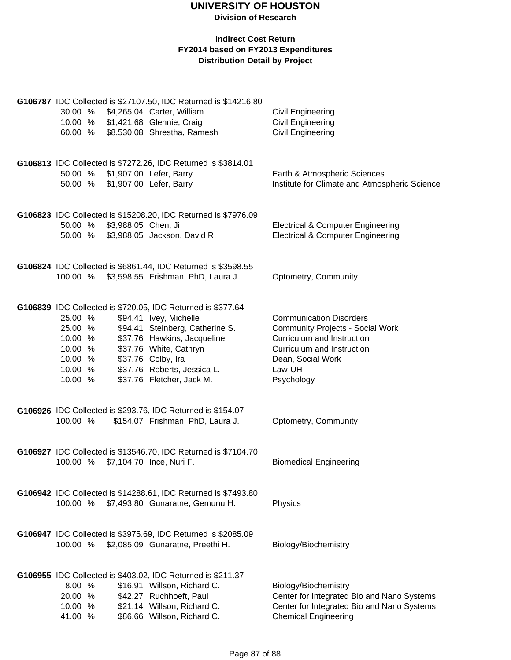**Division of Research**

| 30.00 %<br>10.00 %<br>60.00 %                                             |                     | G106787 IDC Collected is \$27107.50, IDC Returned is \$14216.80<br>\$4,265.04 Carter, William<br>\$1,421.68 Glennie, Craig<br>\$8,530.08 Shrestha, Ramesh                                                                                                           | <b>Civil Engineering</b><br><b>Civil Engineering</b><br><b>Civil Engineering</b>                                                                                                   |
|---------------------------------------------------------------------------|---------------------|---------------------------------------------------------------------------------------------------------------------------------------------------------------------------------------------------------------------------------------------------------------------|------------------------------------------------------------------------------------------------------------------------------------------------------------------------------------|
| 50.00 %                                                                   |                     | G106813 IDC Collected is \$7272.26, IDC Returned is \$3814.01<br>50.00 % \$1,907.00 Lefer, Barry<br>\$1,907.00 Lefer, Barry                                                                                                                                         | Earth & Atmospheric Sciences<br>Institute for Climate and Atmospheric Science                                                                                                      |
| 50.00 %<br>50.00 %                                                        | \$3,988.05 Chen, Ji | G106823 IDC Collected is \$15208.20, IDC Returned is \$7976.09<br>\$3,988.05 Jackson, David R.                                                                                                                                                                      | <b>Electrical &amp; Computer Engineering</b><br><b>Electrical &amp; Computer Engineering</b>                                                                                       |
| 100.00 %                                                                  |                     | G106824 IDC Collected is \$6861.44, IDC Returned is \$3598.55<br>\$3,598.55 Frishman, PhD, Laura J.                                                                                                                                                                 | Optometry, Community                                                                                                                                                               |
| 25.00 %<br>25.00 %<br>10.00 %<br>10.00 %<br>10.00 %<br>10.00 %<br>10.00 % |                     | G106839 IDC Collected is \$720.05, IDC Returned is \$377.64<br>\$94.41 Ivey, Michelle<br>\$94.41 Steinberg, Catherine S.<br>\$37.76 Hawkins, Jacqueline<br>\$37.76 White, Cathryn<br>\$37.76 Colby, Ira<br>\$37.76 Roberts, Jessica L.<br>\$37.76 Fletcher, Jack M. | <b>Communication Disorders</b><br><b>Community Projects - Social Work</b><br>Curriculum and Instruction<br>Curriculum and Instruction<br>Dean, Social Work<br>Law-UH<br>Psychology |
| 100.00 %                                                                  |                     | G106926 IDC Collected is \$293.76, IDC Returned is \$154.07<br>\$154.07 Frishman, PhD, Laura J.                                                                                                                                                                     | Optometry, Community                                                                                                                                                               |
| 100.00 %                                                                  |                     | G106927 IDC Collected is \$13546.70, IDC Returned is \$7104.70<br>\$7,104.70 Ince, Nuri F.                                                                                                                                                                          | <b>Biomedical Engineering</b>                                                                                                                                                      |
| 100.00 %                                                                  |                     | G106942 IDC Collected is \$14288.61, IDC Returned is \$7493.80<br>\$7,493.80 Gunaratne, Gemunu H.                                                                                                                                                                   | Physics                                                                                                                                                                            |
| 100.00 %                                                                  |                     | G106947 IDC Collected is \$3975.69, IDC Returned is \$2085.09<br>\$2,085.09 Gunaratne, Preethi H.                                                                                                                                                                   | Biology/Biochemistry                                                                                                                                                               |
| 8.00 %<br>20.00 %<br>10.00 %<br>41.00 %                                   |                     | G106955 IDC Collected is \$403.02, IDC Returned is \$211.37<br>\$16.91 Willson, Richard C.<br>\$42.27 Ruchhoeft, Paul<br>\$21.14 Willson, Richard C.<br>\$86.66 Willson, Richard C.                                                                                 | Biology/Biochemistry<br>Center for Integrated Bio and Nano Systems<br>Center for Integrated Bio and Nano Systems<br><b>Chemical Engineering</b>                                    |